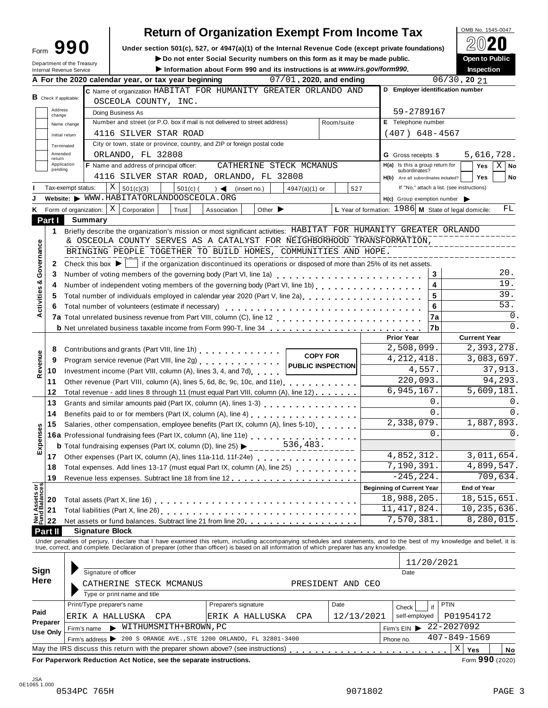|                                      |                            |                                                                                                                                                                                                                                | <b>Return of Organization Exempt From Income Tax</b>                                               |                            |                   |                                                        | OMB No. 1545-0047                          |
|--------------------------------------|----------------------------|--------------------------------------------------------------------------------------------------------------------------------------------------------------------------------------------------------------------------------|----------------------------------------------------------------------------------------------------|----------------------------|-------------------|--------------------------------------------------------|--------------------------------------------|
| Form                                 | 990                        |                                                                                                                                                                                                                                | Under section 501(c), 527, or 4947(a)(1) of the Internal Revenue Code (except private foundations) |                            |                   |                                                        |                                            |
|                                      | Department of the Treasury |                                                                                                                                                                                                                                | Do not enter Social Security numbers on this form as it may be made public.                        |                            |                   |                                                        | Open to Public                             |
| Internal Revenue Service             |                            |                                                                                                                                                                                                                                | Information about Form 990 and its instructions is at www.irs.gov/form990.                         |                            |                   |                                                        | Inspection                                 |
|                                      |                            | A For the 2020 calendar year, or tax year beginning                                                                                                                                                                            |                                                                                                    | $07/01$ , 2020, and ending |                   |                                                        | $06/30$ , 20 $21$                          |
| $\mathbf B$ Check if applicable:     |                            | C Name of organization HABITAT FOR HUMANITY GREATER ORLANDO AND                                                                                                                                                                |                                                                                                    |                            |                   | D Employer identification number                       |                                            |
| Address                              |                            | OSCEOLA COUNTY, INC.                                                                                                                                                                                                           |                                                                                                    |                            |                   |                                                        |                                            |
| change                               |                            | Doing Business As<br>Number and street (or P.O. box if mail is not delivered to street address)                                                                                                                                |                                                                                                    |                            |                   | 59-2789167<br>E Telephone number                       |                                            |
|                                      | Name change                | 4116 SILVER STAR ROAD                                                                                                                                                                                                          |                                                                                                    |                            | Room/suite        |                                                        |                                            |
|                                      | Initial return             | City or town, state or province, country, and ZIP or foreign postal code                                                                                                                                                       |                                                                                                    |                            |                   | $(407)$ 648-4567                                       |                                            |
| Amended                              | Terminated                 | ORLANDO, FL 32808                                                                                                                                                                                                              |                                                                                                    |                            |                   | <b>G</b> Gross receipts \$                             | 5,616,728.                                 |
| return                               | Application                | <b>F</b> Name and address of principal officer:                                                                                                                                                                                | CATHERINE STECK MCMANUS                                                                            |                            |                   | H(a) Is this a group return for                        | <b>Yes</b><br>$X \mid$<br>No               |
| pending                              |                            | 4116 SILVER STAR ROAD, ORLANDO, FL 32808                                                                                                                                                                                       |                                                                                                    |                            |                   | subordinates?<br>H(b) Are all subordinates included?   | <b>Yes</b><br>No                           |
|                                      | Tax-exempt status:         | X   501(c)(3)<br>$501(c)$ (                                                                                                                                                                                                    | $) \triangleleft$ (insert no.)                                                                     | 4947(a)(1) or              | 527               |                                                        | If "No," attach a list. (see instructions) |
|                                      |                            | Website: WWW.HABITATORLANDOOSCEOLA.ORG                                                                                                                                                                                         |                                                                                                    |                            |                   | $H(c)$ Group exemption number $\blacktriangleright$    |                                            |
| Κ                                    |                            | Form of organization: $\mid X \mid$ Corporation<br>Trust                                                                                                                                                                       | Association<br>Other $\blacktriangleright$                                                         |                            |                   | L Year of formation: $1986$ M State of legal domicile: | FL                                         |
| Part I                               | Summary                    |                                                                                                                                                                                                                                |                                                                                                    |                            |                   |                                                        |                                            |
| 1                                    |                            | Briefly describe the organization's mission or most significant activities: HABITAT FOR HUMANITY GREATER ORLANDO                                                                                                               |                                                                                                    |                            |                   |                                                        |                                            |
|                                      |                            | & OSCEOLA COUNTY SERVES AS A CATALYST FOR NEIGHBORHOOD TRANSFORMATION,                                                                                                                                                         |                                                                                                    |                            |                   |                                                        |                                            |
|                                      |                            | BRINGING PEOPLE TOGETHER TO BUILD HOMES, COMMUNITIES AND HOPE.                                                                                                                                                                 |                                                                                                    |                            |                   |                                                        | __________________                         |
| Governance<br>2                      |                            | Check this box $\blacktriangleright$   if the organization discontinued its operations or disposed of more than 25% of its net assets.                                                                                         |                                                                                                    |                            |                   |                                                        |                                            |
| 3                                    |                            |                                                                                                                                                                                                                                |                                                                                                    |                            |                   | $\mathbf{3}$                                           | 20.                                        |
| ctivities &<br>4                     |                            | Number of independent voting members of the governing body (Part VI, line 1b)<br>                                                                                                                                              |                                                                                                    |                            |                   | $\overline{\mathbf{4}}$                                | 19.                                        |
| 5                                    |                            | Total number of individuals employed in calendar year 2020 (Part V, line 2a)<br>The 2a)                                                                                                                                        |                                                                                                    |                            |                   | 5                                                      | 39.                                        |
| 6                                    |                            |                                                                                                                                                                                                                                |                                                                                                    |                            |                   | 6                                                      | 53.                                        |
|                                      |                            |                                                                                                                                                                                                                                |                                                                                                    |                            |                   | 7a                                                     | $\mathbf 0$ .                              |
|                                      |                            | <b>b</b> Net unrelated business taxable income from Form 990-T, line 34                                                                                                                                                        |                                                                                                    |                            |                   | 7b                                                     | $\Omega$ .                                 |
|                                      |                            |                                                                                                                                                                                                                                |                                                                                                    |                            |                   | <b>Prior Year</b>                                      | <b>Current Year</b>                        |
| 8                                    |                            | Contributions and grants (Part VIII, line 1h)                                                                                                                                                                                  |                                                                                                    | <b>COPY FOR</b>            |                   | 2,508,099.                                             | 2,393,278.                                 |
| Revenue<br>9                         |                            |                                                                                                                                                                                                                                |                                                                                                    |                            |                   | 4, 212, 418.                                           | 3,083,697.                                 |
| 10                                   |                            | Investment income (Part VIII, column (A), lines 3, 4, and 7d)                                                                                                                                                                  |                                                                                                    |                            |                   | 4,557.                                                 | 37,913.                                    |
| 11                                   |                            | Other revenue (Part VIII, column (A), lines 5, 6d, 8c, 9c, 10c, and 11e)                                                                                                                                                       |                                                                                                    |                            |                   | 220,093.                                               | 94,293.                                    |
| 12                                   |                            | Total revenue - add lines 8 through 11 (must equal Part VIII, column (A), line 12)                                                                                                                                             |                                                                                                    |                            |                   | 6,945,167.                                             | 5,609,181.                                 |
| 13                                   |                            |                                                                                                                                                                                                                                |                                                                                                    |                            |                   | 0.                                                     | 0.                                         |
| 14                                   |                            |                                                                                                                                                                                                                                |                                                                                                    |                            |                   | 0.                                                     | $\mathbf 0$ .                              |
| 15                                   |                            | Salaries, other compensation, employee benefits (Part IX, column (A), lines 5-10)                                                                                                                                              |                                                                                                    |                            |                   | 2,338,079.                                             | 1,887,893                                  |
| Expenses                             |                            | 16a Professional fundraising fees (Part IX, column (A), line 11e)<br>Fatel fundraising avenues (Part IX, column (D), line 25)<br>536,483.                                                                                      |                                                                                                    |                            |                   | $\Omega$ .                                             | $\mathbf{0}$                               |
|                                      |                            |                                                                                                                                                                                                                                |                                                                                                    |                            |                   | 4,852,312.                                             | 3,011,654.                                 |
| 17                                   |                            | Other expenses (Part IX, column (A), lines 11a-11d, 11f-24e)                                                                                                                                                                   |                                                                                                    |                            |                   | 7,190,391.                                             | 4,899,547.                                 |
| 18                                   |                            | Total expenses. Add lines 13-17 (must equal Part IX, column (A), line 25) [ [ [ [ ] ]                                                                                                                                          |                                                                                                    |                            |                   | $-245, 224.$                                           | 709,634.                                   |
| 19                                   |                            |                                                                                                                                                                                                                                |                                                                                                    |                            |                   | <b>Beginning of Current Year</b>                       | <b>End of Year</b>                         |
| Net Assets or<br>Fund Balances<br>20 |                            |                                                                                                                                                                                                                                |                                                                                                    |                            |                   | 18,988,205.                                            | 18,515,651.                                |
| 21                                   |                            |                                                                                                                                                                                                                                |                                                                                                    |                            |                   | 11, 417, 824.                                          | 10,235,636.                                |
| 22                                   |                            | Net assets or fund balances. Subtract line 21 from line 20 [11]                                                                                                                                                                |                                                                                                    |                            |                   | 7,570,381.                                             | 8,280,015.                                 |
| Part II                              |                            | <b>Signature Block</b>                                                                                                                                                                                                         |                                                                                                    |                            |                   |                                                        |                                            |
|                                      |                            |                                                                                                                                                                                                                                |                                                                                                    |                            |                   |                                                        |                                            |
|                                      |                            | Under penalties of perjury, I declare that I have examined this return, including accompanying schedules and statements, and to the best of my knowledge and belief, it is true, correct, and complete. Declaration of prepare |                                                                                                    |                            |                   |                                                        |                                            |
|                                      |                            |                                                                                                                                                                                                                                |                                                                                                    |                            |                   | 11/20/2021                                             |                                            |
| Sign                                 |                            | Signature of officer                                                                                                                                                                                                           |                                                                                                    |                            |                   | Date                                                   |                                            |
| Here                                 |                            | CATHERINE STECK MCMANUS                                                                                                                                                                                                        |                                                                                                    |                            | PRESIDENT AND CEO |                                                        |                                            |
|                                      |                            | Type or print name and title                                                                                                                                                                                                   |                                                                                                    |                            |                   |                                                        |                                            |
|                                      |                            | Print/Type preparer's name                                                                                                                                                                                                     | Preparer's signature                                                                               |                            | Date              | if<br>Check                                            | <b>PTIN</b>                                |
| Paid                                 |                            | ERIK A HALLUSKA<br>CPA                                                                                                                                                                                                         | ERIK A HALLUSKA                                                                                    | CPA                        | 12/13/2021        | self-employed                                          | P01954172                                  |
| Preparer                             | Firm's name                | WITHUMSMITH+BROWN, PC                                                                                                                                                                                                          |                                                                                                    |                            |                   | Firm's $EIN$                                           | 22-2027092                                 |
| Use Only                             |                            | Firm's address > 200 S ORANGE AVE., STE 1200 ORLANDO, FL 32801-3400                                                                                                                                                            |                                                                                                    |                            |                   | Phone no.                                              | $407 - 849 - 1569$                         |
|                                      |                            | May the IRS discuss this return with the preparer shown above? (see instructions)                                                                                                                                              |                                                                                                    |                            |                   |                                                        | Χ<br>Yes<br>No                             |
|                                      |                            | For Paperwork Reduction Act Notice, see the separate instructions.                                                                                                                                                             |                                                                                                    |                            |                   |                                                        | Form 990 (2020)                            |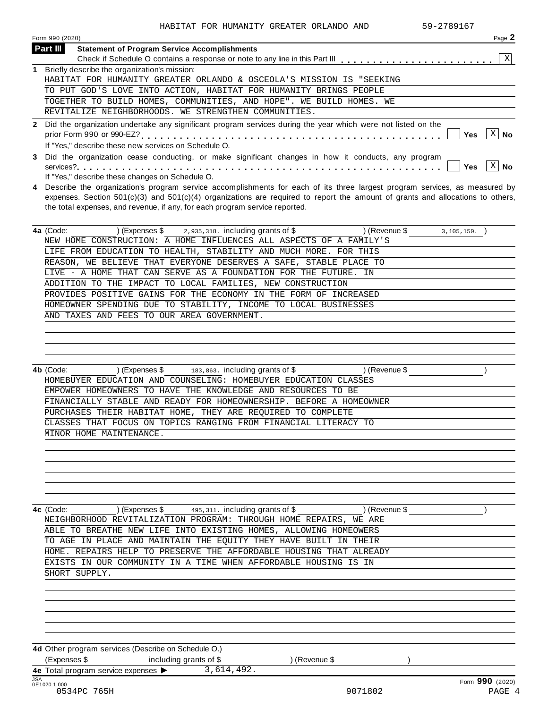| Page 2<br>Form 990 (2020)                                                                                                                                                                 |
|-------------------------------------------------------------------------------------------------------------------------------------------------------------------------------------------|
| Part III<br><b>Statement of Program Service Accomplishments</b>                                                                                                                           |
|                                                                                                                                                                                           |
| 1 Briefly describe the organization's mission:                                                                                                                                            |
| HABITAT FOR HUMANITY GREATER ORLANDO & OSCEOLA'S MISSION IS "SEEKING                                                                                                                      |
| TO PUT GOD'S LOVE INTO ACTION, HABITAT FOR HUMANITY BRINGS PEOPLE                                                                                                                         |
| TOGETHER TO BUILD HOMES, COMMUNITIES, AND HOPE". WE BUILD HOMES. WE                                                                                                                       |
| REVITALIZE NEIGHBORHOODS. WE STRENGTHEN COMMUNITIES.                                                                                                                                      |
| 2 Did the organization undertake any significant program services during the year which were not listed on the<br>∣ X   No<br>Yes<br>If "Yes," describe these new services on Schedule O. |
| 3 Did the organization cease conducting, or make significant changes in how it conducts, any program<br>X<br>No<br>If "Yes," describe these changes on Schedule O.                        |

**4** Describe the organization's program service accomplishments for each of its three largest program services, as measured by expenses. Section 501(c)(3) and 501(c)(4) organizations are required to report the amount of grants and allocations to others, the total expenses, and revenue, if any, for each program service reported.

| 4a (Code: |                                            | $(Express $ 3 \ 2.935.318. including grants of $$                  | ) (Revenue \$ | 3,105,150. |
|-----------|--------------------------------------------|--------------------------------------------------------------------|---------------|------------|
|           |                                            | NEW HOME CONSTRUCTION: A HOME INFLUENCES ALL ASPECTS OF A FAMILY'S |               |            |
|           |                                            | LIFE FROM EDUCATION TO HEALTH, STABILITY AND MUCH MORE. FOR THIS   |               |            |
|           |                                            | REASON, WE BELIEVE THAT EVERYONE DESERVES A SAFE, STABLE PLACE TO  |               |            |
|           |                                            | LIVE - A HOME THAT CAN SERVE AS A FOUNDATION FOR THE FUTURE. IN    |               |            |
|           |                                            | ADDITION TO THE IMPACT TO LOCAL FAMILIES, NEW CONSTRUCTION         |               |            |
|           |                                            | PROVIDES POSITIVE GAINS FOR THE ECONOMY IN THE FORM OF INCREASED   |               |            |
|           |                                            | HOMEOWNER SPENDING DUE TO STABILITY, INCOME TO LOCAL BUSINESSES    |               |            |
|           | AND TAXES AND FEES TO OUR AREA GOVERNMENT. |                                                                    |               |            |
|           |                                            |                                                                    |               |            |

**4b** (Code: ) (Expenses \$ 183,863. including grants of \$ ) (Revenue \$ ) ) HOMEBUYER EDUCATION AND COUNSELING: HOMEBUYER EDUCATION CLASSES EMPOWER HOMEOWNERS TO HAVE THE KNOWLEDGE AND RESOURCES TO BE FINANCIALLY STABLE AND READY FOR HOMEOWNERSHIP. BEFORE A HOMEOWNER PURCHASES THEIR HABITAT HOME, THEY ARE REQUIRED TO COMPLETE CLASSES THAT FOCUS ON TOPICS RANGING FROM FINANCIAL LITERACY TO MINOR HOME MAINTENANCE.

**4c** (Code: ) (Expenses \$ 195,311. including grants of \$ ) (Revenue \$ ) ) NEIGHBORHOOD REVITALIZATION PROGRAM: THROUGH HOME REPAIRS, WE ARE ABLE TO BREATHE NEW LIFE INTO EXISTING HOMES, ALLOWING HOMEOWERS TO AGE IN PLACE AND MAINTAIN THE EQUITY THEY HAVE BUILT IN THEIR HOME. REPAIRS HELP TO PRESERVE THE AFFORDABLE HOUSING THAT ALREADY EXISTS IN OUR COMMUNITY IN A TIME WHEN AFFORDABLE HOUSING IS IN SHORT SUPPLY.

**4d** Other program services (Describe on Schedule O.) (Expenses \$ including grants of \$ ) (Revenue \$ ) 3,614,492.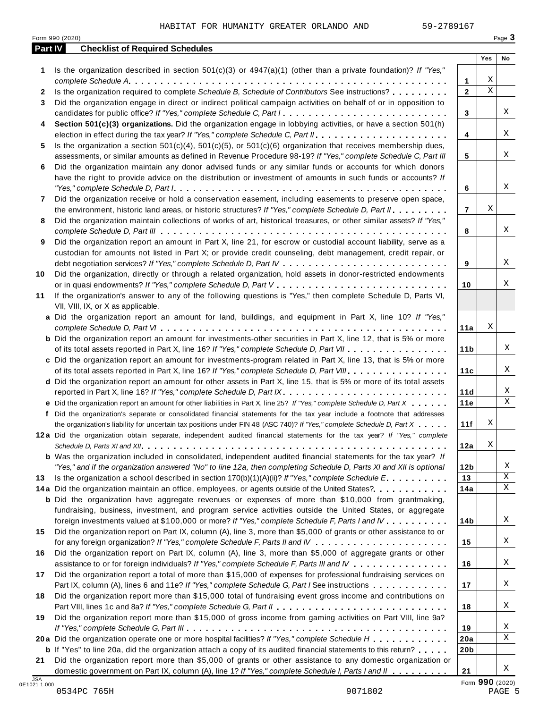|    | Part IV<br><b>Checklist of Required Schedules</b>                                                                         |                 | Yes                     | No |
|----|---------------------------------------------------------------------------------------------------------------------------|-----------------|-------------------------|----|
| 1  | Is the organization described in section $501(c)(3)$ or $4947(a)(1)$ (other than a private foundation)? If "Yes,"         |                 |                         |    |
|    |                                                                                                                           | 1               | Χ                       |    |
| 2  | Is the organization required to complete Schedule B, Schedule of Contributors See instructions?                           | $\mathbf{2}$    | $\overline{\mathbf{x}}$ |    |
| 3  | Did the organization engage in direct or indirect political campaign activities on behalf of or in opposition to          |                 |                         |    |
|    | candidates for public office? If "Yes," complete Schedule C, Part I.                                                      | 3               |                         | X  |
| 4  | Section 501(c)(3) organizations. Did the organization engage in lobbying activities, or have a section 501(h)             |                 |                         |    |
|    |                                                                                                                           | 4               |                         | X  |
| 5  | Is the organization a section $501(c)(4)$ , $501(c)(5)$ , or $501(c)(6)$ organization that receives membership dues,      |                 |                         |    |
|    | assessments, or similar amounts as defined in Revenue Procedure 98-19? If "Yes," complete Schedule C, Part III            | 5               |                         | X  |
| 6  | Did the organization maintain any donor advised funds or any similar funds or accounts for which donors                   |                 |                         |    |
|    | have the right to provide advice on the distribution or investment of amounts in such funds or accounts? If               |                 |                         |    |
|    |                                                                                                                           | 6               |                         | X  |
| 7  | Did the organization receive or hold a conservation easement, including easements to preserve open space,                 |                 |                         |    |
|    | the environment, historic land areas, or historic structures? If "Yes," complete Schedule D, Part II.                     | $\overline{7}$  | Χ                       |    |
| 8  | Did the organization maintain collections of works of art, historical treasures, or other similar assets? If "Yes,"       |                 |                         |    |
|    |                                                                                                                           | 8               |                         | Χ  |
| 9  | Did the organization report an amount in Part X, line 21, for escrow or custodial account liability, serve as a           |                 |                         |    |
|    | custodian for amounts not listed in Part X; or provide credit counseling, debt management, credit repair, or              |                 |                         |    |
|    |                                                                                                                           | 9               |                         | Χ  |
| 10 | Did the organization, directly or through a related organization, hold assets in donor-restricted endowments              |                 |                         |    |
|    |                                                                                                                           | 10              |                         | Χ  |
| 11 | If the organization's answer to any of the following questions is "Yes," then complete Schedule D, Parts VI,              |                 |                         |    |
|    | VII, VIII, IX, or X as applicable.                                                                                        |                 |                         |    |
|    | a Did the organization report an amount for land, buildings, and equipment in Part X, line 10? If "Yes,"                  |                 | Χ                       |    |
|    | <b>b</b> Did the organization report an amount for investments-other securities in Part X, line 12, that is 5% or more    | 11a             |                         |    |
|    | of its total assets reported in Part X, line 16? If "Yes," complete Schedule D, Part VII                                  | 11 <sub>b</sub> |                         | X  |
|    | c Did the organization report an amount for investments-program related in Part X, line 13, that is 5% or more            |                 |                         |    |
|    | of its total assets reported in Part X, line 16? If "Yes," complete Schedule D, Part VIII                                 | 11c             |                         | Χ  |
|    | d Did the organization report an amount for other assets in Part X, line 15, that is 5% or more of its total assets       |                 |                         |    |
|    |                                                                                                                           | 11d             |                         | Χ  |
|    | e Did the organization report an amount for other liabilities in Part X, line 25? If "Yes," complete Schedule D, Part X   | 11e             |                         | Χ  |
|    | f Did the organization's separate or consolidated financial statements for the tax year include a footnote that addresses |                 |                         |    |
|    | the organization's liability for uncertain tax positions under FIN 48 (ASC 740)? If "Yes," complete Schedule D, Part X    | 11f             | Χ                       |    |
|    | 12a Did the organization obtain separate, independent audited financial statements for the tax year? If "Yes," complete   |                 |                         |    |
|    |                                                                                                                           | 12a             | Χ                       |    |
|    | <b>b</b> Was the organization included in consolidated, independent audited financial statements for the tax year? If     |                 |                         |    |
|    | "Yes," and if the organization answered "No" to line 12a, then completing Schedule D, Parts XI and XII is optional        | 12 <sub>b</sub> |                         | Χ  |
| 13 | Is the organization a school described in section $170(b)(1)(A)(ii)$ ? If "Yes," complete Schedule E                      | 13              |                         | Χ  |
|    | 14a Did the organization maintain an office, employees, or agents outside of the United States?                           | 14a             |                         | Χ  |
|    | <b>b</b> Did the organization have aggregate revenues or expenses of more than \$10,000 from grantmaking,                 |                 |                         |    |
|    | fundraising, business, investment, and program service activities outside the United States, or aggregate                 |                 |                         |    |
|    | foreign investments valued at \$100,000 or more? If "Yes," complete Schedule F, Parts I and IV                            | 14b             |                         | X  |
| 15 | Did the organization report on Part IX, column (A), line 3, more than \$5,000 of grants or other assistance to or         |                 |                         |    |
|    |                                                                                                                           | 15              |                         | Χ  |
| 16 | Did the organization report on Part IX, column (A), line 3, more than \$5,000 of aggregate grants or other                |                 |                         |    |
|    | assistance to or for foreign individuals? If "Yes," complete Schedule F, Parts III and IV                                 | 16              |                         | X  |
| 17 | Did the organization report a total of more than \$15,000 of expenses for professional fundraising services on            |                 |                         |    |
|    | Part IX, column (A), lines 6 and 11e? If "Yes," complete Schedule G, Part I See instructions                              | 17              |                         | X  |
| 18 | Did the organization report more than \$15,000 total of fundraising event gross income and contributions on               |                 |                         |    |
|    |                                                                                                                           | 18              |                         | X  |
| 19 | Did the organization report more than \$15,000 of gross income from gaming activities on Part VIII, line 9a?              |                 |                         |    |
|    |                                                                                                                           | 19              |                         | Χ  |
|    | 20a Did the organization operate one or more hospital facilities? If "Yes," complete Schedule H                           | 20a             |                         | X  |
|    | <b>b</b> If "Yes" to line 20a, did the organization attach a copy of its audited financial statements to this return?     | 20 <sub>b</sub> |                         |    |
| 21 | Did the organization report more than \$5,000 of grants or other assistance to any domestic organization or               |                 |                         | X  |
|    | domestic government on Part IX, column (A), line 1? If "Yes," complete Schedule I, Parts I and II                         | 21              |                         |    |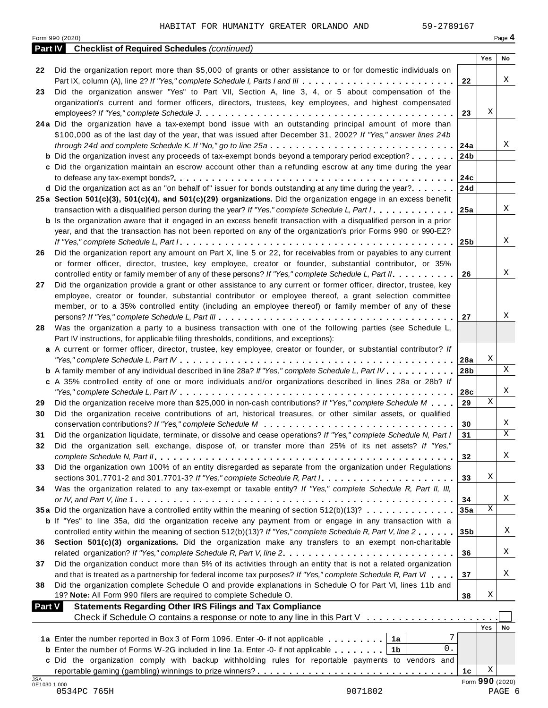Form <sup>990</sup> (2020) Page **4**

|                     | <b>Part IV</b> Checklist of Required Schedules (continued)                                                                                                                                                                 |                 |                 |             |
|---------------------|----------------------------------------------------------------------------------------------------------------------------------------------------------------------------------------------------------------------------|-----------------|-----------------|-------------|
|                     | Did the organization report more than \$5,000 of grants or other assistance to or for domestic individuals on                                                                                                              |                 | Yes             | No          |
| 22                  |                                                                                                                                                                                                                            | 22              |                 | X           |
| 23                  | Did the organization answer "Yes" to Part VII, Section A, line 3, 4, or 5 about compensation of the                                                                                                                        |                 |                 |             |
|                     | organization's current and former officers, directors, trustees, key employees, and highest compensated                                                                                                                    |                 |                 |             |
|                     |                                                                                                                                                                                                                            | 23              | Χ               |             |
|                     | 24a Did the organization have a tax-exempt bond issue with an outstanding principal amount of more than                                                                                                                    |                 |                 |             |
|                     | \$100,000 as of the last day of the year, that was issued after December 31, 2002? If "Yes," answer lines 24b                                                                                                              |                 |                 |             |
|                     | through 24d and complete Schedule K. If "No," go to line 25a                                                                                                                                                               | 24a             |                 | Χ           |
|                     | <b>b</b> Did the organization invest any proceeds of tax-exempt bonds beyond a temporary period exception?                                                                                                                 | 24 <sub>b</sub> |                 |             |
|                     | c Did the organization maintain an escrow account other than a refunding escrow at any time during the year                                                                                                                |                 |                 |             |
|                     |                                                                                                                                                                                                                            | 24c             |                 |             |
|                     | <b>d</b> Did the organization act as an "on behalf of" issuer for bonds outstanding at any time during the year?                                                                                                           | 24d             |                 |             |
|                     | 25a Section 501(c)(3), 501(c)(4), and 501(c)(29) organizations. Did the organization engage in an excess benefit                                                                                                           |                 |                 |             |
|                     | transaction with a disqualified person during the year? If "Yes," complete Schedule L, Part I                                                                                                                              | 25a             |                 | X           |
|                     | <b>b</b> Is the organization aware that it engaged in an excess benefit transaction with a disqualified person in a prior                                                                                                  |                 |                 |             |
|                     | year, and that the transaction has not been reported on any of the organization's prior Forms 990 or 990-EZ?                                                                                                               |                 |                 |             |
|                     |                                                                                                                                                                                                                            | 25b             |                 | X           |
| 26                  | Did the organization report any amount on Part X, line 5 or 22, for receivables from or payables to any current                                                                                                            |                 |                 |             |
|                     | or former officer, director, trustee, key employee, creator or founder, substantial contributor, or 35%                                                                                                                    |                 |                 | X           |
|                     | controlled entity or family member of any of these persons? If "Yes," complete Schedule L, Part II.<br>Did the organization provide a grant or other assistance to any current or former officer, director, trustee, key   | 26              |                 |             |
| 27                  | employee, creator or founder, substantial contributor or employee thereof, a grant selection committee                                                                                                                     |                 |                 |             |
|                     | member, or to a 35% controlled entity (including an employee thereof) or family member of any of these                                                                                                                     |                 |                 |             |
|                     |                                                                                                                                                                                                                            | 27              |                 | X           |
| 28                  | Was the organization a party to a business transaction with one of the following parties (see Schedule L,                                                                                                                  |                 |                 |             |
|                     | Part IV instructions, for applicable filing thresholds, conditions, and exceptions):                                                                                                                                       |                 |                 |             |
|                     | a A current or former officer, director, trustee, key employee, creator or founder, or substantial contributor? If                                                                                                         |                 |                 |             |
|                     |                                                                                                                                                                                                                            | 28a             | Χ               |             |
|                     | <b>b</b> A family member of any individual described in line 28a? If "Yes," complete Schedule L, Part IV.                                                                                                                  | 28 <sub>b</sub> |                 | X           |
|                     | c A 35% controlled entity of one or more individuals and/or organizations described in lines 28a or 28b? If                                                                                                                |                 |                 |             |
|                     |                                                                                                                                                                                                                            | 28c             |                 | X           |
| 29                  | Did the organization receive more than \$25,000 in non-cash contributions? If "Yes," complete Schedule M                                                                                                                   | 29              | X               |             |
| 30                  | Did the organization receive contributions of art, historical treasures, or other similar assets, or qualified                                                                                                             |                 |                 |             |
|                     |                                                                                                                                                                                                                            | 30              |                 | X           |
| 31                  | Did the organization liquidate, terminate, or dissolve and cease operations? If "Yes," complete Schedule N, Part I                                                                                                         | 31              |                 | $\mathbf X$ |
| 32                  | Did the organization sell, exchange, dispose of, or transfer more than 25% of its net assets? If "Yes,"                                                                                                                    |                 |                 |             |
|                     |                                                                                                                                                                                                                            | 32              |                 | Χ           |
| 33                  | Did the organization own 100% of an entity disregarded as separate from the organization under Regulations                                                                                                                 |                 |                 |             |
|                     |                                                                                                                                                                                                                            | 33              | Χ               |             |
| 34                  | Was the organization related to any tax-exempt or taxable entity? If "Yes," complete Schedule R, Part II, III,                                                                                                             |                 |                 |             |
|                     |                                                                                                                                                                                                                            | 34              |                 | Χ           |
|                     | 35a Did the organization have a controlled entity within the meaning of section 512(b)(13)?                                                                                                                                | 35a             | Χ               |             |
|                     | <b>b</b> If "Yes" to line 35a, did the organization receive any payment from or engage in any transaction with a                                                                                                           |                 |                 |             |
|                     | controlled entity within the meaning of section 512(b)(13)? If "Yes," complete Schedule R, Part V, line 2                                                                                                                  | 35 <sub>b</sub> |                 | X           |
| 36                  | Section 501(c)(3) organizations. Did the organization make any transfers to an exempt non-charitable                                                                                                                       |                 |                 |             |
|                     | related organization? If "Yes," complete Schedule R, Part V, line 2.                                                                                                                                                       | 36              |                 | X           |
| 37                  | Did the organization conduct more than 5% of its activities through an entity that is not a related organization                                                                                                           |                 |                 | X           |
|                     | and that is treated as a partnership for federal income tax purposes? If "Yes," complete Schedule R, Part VI<br>Did the organization complete Schedule O and provide explanations in Schedule O for Part VI, lines 11b and | 37              |                 |             |
| 38                  | 19? Note: All Form 990 filers are required to complete Schedule O.                                                                                                                                                         | 38              | Χ               |             |
| <b>Part V</b>       | <b>Statements Regarding Other IRS Filings and Tax Compliance</b>                                                                                                                                                           |                 |                 |             |
|                     | Check if Schedule O contains a response or note to any line in this Part V                                                                                                                                                 |                 |                 |             |
|                     |                                                                                                                                                                                                                            |                 | Yes             | No          |
|                     | 7<br>1a Enter the number reported in Box 3 of Form 1096. Enter -0- if not applicable   1a                                                                                                                                  |                 |                 |             |
|                     | 0.<br><b>b</b> Enter the number of Forms W-2G included in line 1a. Enter -0- if not applicable $\ldots \ldots$ ,                                                                                                           |                 |                 |             |
|                     | c Did the organization comply with backup withholding rules for reportable payments to vendors and                                                                                                                         |                 |                 |             |
|                     |                                                                                                                                                                                                                            | 1c              | Χ               |             |
| JSA<br>0E1030 1.000 |                                                                                                                                                                                                                            |                 | Form 990 (2020) |             |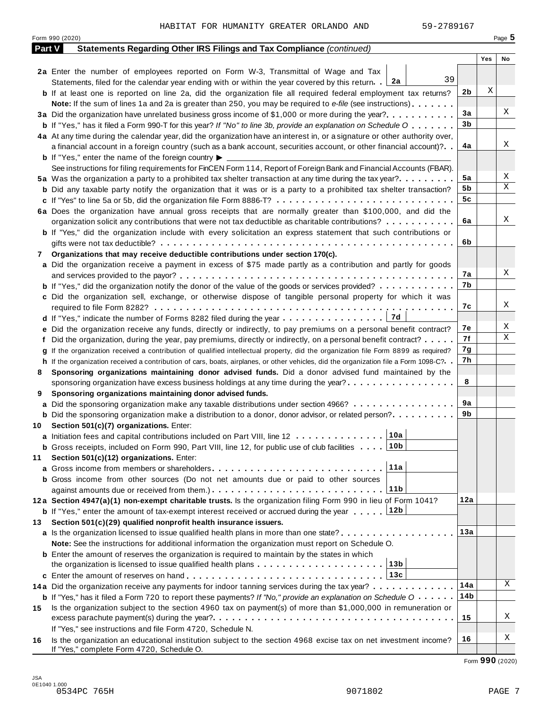|        | Form 990 (2020)                                                                                                                                              |     |     | Page 5 |
|--------|--------------------------------------------------------------------------------------------------------------------------------------------------------------|-----|-----|--------|
| Part V | Statements Regarding Other IRS Filings and Tax Compliance (continued)                                                                                        |     |     |        |
|        |                                                                                                                                                              |     | Yes | No     |
|        | 2a Enter the number of employees reported on Form W-3, Transmittal of Wage and Tax                                                                           |     |     |        |
|        | 39<br>Statements, filed for the calendar year ending with or within the year covered by this return. $2a$                                                    |     |     |        |
|        | <b>b</b> If at least one is reported on line 2a, did the organization file all required federal employment tax returns?                                      | 2b  | X   |        |
|        | <b>Note:</b> If the sum of lines 1a and 2a is greater than 250, you may be required to e-file (see instructions).                                            |     |     |        |
|        | 3a Did the organization have unrelated business gross income of \$1,000 or more during the year?                                                             | 3a  |     | Χ      |
|        | <b>b</b> If "Yes," has it filed a Form 990-T for this year? If "No" to line 3b, provide an explanation on Schedule O                                         | 3b  |     |        |
|        | 4a At any time during the calendar year, did the organization have an interest in, or a signature or other authority over,                                   |     |     |        |
|        | a financial account in a foreign country (such as a bank account, securities account, or other financial account)?                                           | 4a  |     | Χ      |
|        | <b>b</b> If "Yes," enter the name of the foreign country $\blacktriangleright$                                                                               |     |     |        |
|        | See instructions for filing requirements for FinCEN Form 114, Report of Foreign Bank and Financial Accounts (FBAR).                                          |     |     |        |
|        | 5a Was the organization a party to a prohibited tax shelter transaction at any time during the tax year?                                                     | 5a  |     | Χ      |
|        | <b>b</b> Did any taxable party notify the organization that it was or is a party to a prohibited tax shelter transaction?                                    | 5b  |     | Χ      |
|        | c If "Yes" to line 5a or 5b, did the organization file Form 8886-T?                                                                                          | 5c  |     |        |
|        | 6a Does the organization have annual gross receipts that are normally greater than \$100,000, and did the                                                    |     |     |        |
|        | organization solicit any contributions that were not tax deductible as charitable contributions?                                                             | 6a  |     | Χ      |
|        | <b>b</b> If "Yes," did the organization include with every solicitation an express statement that such contributions or                                      |     |     |        |
|        |                                                                                                                                                              | 6b  |     |        |
| 7      | Organizations that may receive deductible contributions under section 170(c).                                                                                |     |     |        |
|        | a Did the organization receive a payment in excess of \$75 made partly as a contribution and partly for goods                                                |     |     |        |
|        |                                                                                                                                                              | 7а  |     | Χ      |
|        | <b>b</b> If "Yes," did the organization notify the donor of the value of the goods or services provided?                                                     | 7b  |     |        |
|        | c Did the organization sell, exchange, or otherwise dispose of tangible personal property for which it was                                                   |     |     |        |
|        |                                                                                                                                                              | 7с  |     | Χ      |
|        | 7d<br>d If "Yes," indicate the number of Forms 8282 filed during the year                                                                                    |     |     |        |
|        | e Did the organization receive any funds, directly or indirectly, to pay premiums on a personal benefit contract?                                            | 7е  |     | Χ      |
|        | f Did the organization, during the year, pay premiums, directly or indirectly, on a personal benefit contract?                                               | 7f  |     | Χ      |
|        | g If the organization received a contribution of qualified intellectual property, did the organization file Form 8899 as required?                           | 7g  |     |        |
|        | h If the organization received a contribution of cars, boats, airplanes, or other vehicles, did the organization file a Form 1098-C?                         | 7h  |     |        |
| 8      | Sponsoring organizations maintaining donor advised funds. Did a donor advised fund maintained by the                                                         |     |     |        |
|        | sponsoring organization have excess business holdings at any time during the year?                                                                           | 8   |     |        |
| 9      | Sponsoring organizations maintaining donor advised funds.                                                                                                    |     |     |        |
|        | a Did the sponsoring organization make any taxable distributions under section 4966?                                                                         | 9а  |     |        |
|        | <b>b</b> Did the sponsoring organization make a distribution to a donor, donor advisor, or related person?                                                   | 9b  |     |        |
|        | 10 Section 501(c)(7) organizations. Enter:                                                                                                                   |     |     |        |
|        | 10a <br>a Initiation fees and capital contributions included on Part VIII, line 12                                                                           |     |     |        |
|        | 10b<br><b>b</b> Gross receipts, included on Form 990, Part VIII, line 12, for public use of club facilities                                                  |     |     |        |
| 11     | Section 501(c)(12) organizations. Enter:                                                                                                                     |     |     |        |
|        | 11a                                                                                                                                                          |     |     |        |
|        | b Gross income from other sources (Do not net amounts due or paid to other sources                                                                           |     |     |        |
|        | 11b                                                                                                                                                          |     |     |        |
|        | 12a Section 4947(a)(1) non-exempt charitable trusts. Is the organization filing Form 990 in lieu of Form 1041?                                               | 12a |     |        |
|        | 12b<br><b>b</b> If "Yes," enter the amount of tax-exempt interest received or accrued during the year                                                        |     |     |        |
| 13.    | Section 501(c)(29) qualified nonprofit health insurance issuers.                                                                                             |     |     |        |
|        | a Is the organization licensed to issue qualified health plans in more than one state?                                                                       | 13а |     |        |
|        | Note: See the instructions for additional information the organization must report on Schedule O.                                                            |     |     |        |
|        | <b>b</b> Enter the amount of reserves the organization is required to maintain by the states in which                                                        |     |     |        |
|        | 13b<br>the organization is licensed to issue qualified health plans $\ldots \ldots \ldots \ldots \ldots \ldots \ldots$                                       |     |     |        |
|        | 13c                                                                                                                                                          |     |     |        |
|        |                                                                                                                                                              | 14a |     | Χ      |
|        | 14a Did the organization receive any payments for indoor tanning services during the tax year?                                                               | 14b |     |        |
|        | <b>b</b> If "Yes," has it filed a Form 720 to report these payments? If "No," provide an explanation on Schedule O                                           |     |     |        |
| 15     | Is the organization subject to the section 4960 tax on payment(s) of more than \$1,000,000 in remuneration or                                                | 15  |     | Χ      |
|        |                                                                                                                                                              |     |     |        |
|        | If "Yes," see instructions and file Form 4720, Schedule N.                                                                                                   | 16  |     | Χ      |
| 16     | Is the organization an educational institution subject to the section 4968 excise tax on net investment income?<br>If "Yes," complete Form 4720, Schedule O. |     |     |        |

Form **990** (2020)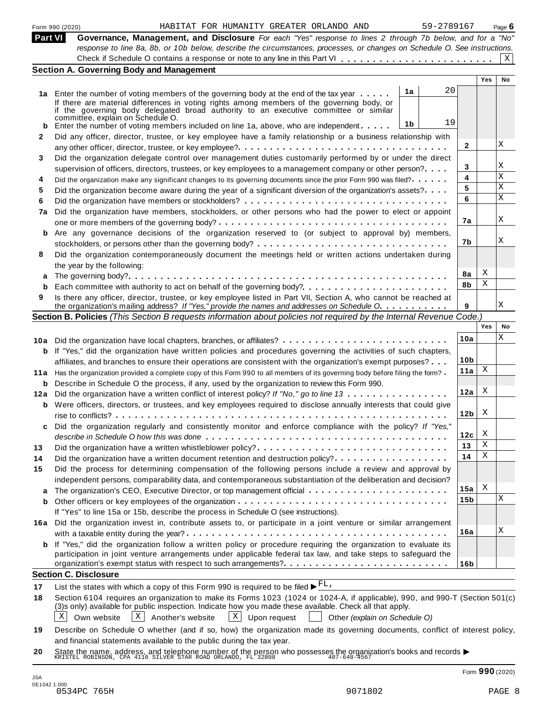| Part VI<br>Governance, Management, and Disclosure For each "Yes" response to lines 2 through 7b below, and for a "No"<br>response to line 8a, 8b, or 10b below, describe the circumstances, processes, or changes on Schedule O. See instructions.<br><b>Section A. Governing Body and Management</b><br><b>Yes</b><br><b>No</b><br>20<br>1a<br>1a Enter the number of voting members of the governing body at the end of the tax year<br>If there are material differences in voting rights among members of the governing body, or<br>if the governing body delegated broad authority to an executive committee or similar<br>committee, explain on Schedule O.<br>19<br>1b<br>Enter the number of voting members included on line 1a, above, who are independent<br>Did any officer, director, trustee, or key employee have a family relationship or a business relationship with<br>X<br>$\mathbf{2}$<br>Did the organization delegate control over management duties customarily performed by or under the direct<br>Χ<br>3<br>supervision of officers, directors, trustees, or key employees to a management company or other person?<br>X<br>4<br>Did the organization make any significant changes to its governing documents since the prior Form 990 was filed?<br>X<br>5<br>Did the organization become aware during the year of a significant diversion of the organization's assets?<br>X<br>6<br>Did the organization have members, stockholders, or other persons who had the power to elect or appoint<br>X<br>7а<br>b Are any governance decisions of the organization reserved to (or subject to approval by) members,<br>Χ<br>7b<br>Did the organization contemporaneously document the meetings held or written actions undertaken during<br>the year by the following:<br>Χ<br>8a<br>Χ<br>8b<br>Is there any officer, director, trustee, or key employee listed in Part VII, Section A, who cannot be reached at<br>Χ<br>the organization's mailing address? If "Yes," provide the names and addresses on Schedule O.<br>9<br>Section B. Policies (This Section B requests information about policies not required by the Internal Revenue Code.)<br>Yes<br>Χ<br>10a<br>10a Did the organization have local chapters, branches, or affiliates?<br><b>b</b> If "Yes," did the organization have written policies and procedures governing the activities of such chapters,<br>10 <sub>b</sub><br>affiliates, and branches to ensure their operations are consistent with the organization's exempt purposes?<br>Χ<br>11a<br>11a Has the organization provided a complete copy of this Form 990 to all members of its governing body before filing the form?<br>Describe in Schedule O the process, if any, used by the organization to review this Form 990.<br>b<br>X<br>12a<br>Did the organization have a written conflict of interest policy? If "No," go to line 13<br><b>b</b> Were officers, directors, or trustees, and key employees required to disclose annually interests that could give<br>X<br>12 <sub>b</sub><br>Did the organization regularly and consistently monitor and enforce compliance with the policy? If "Yes,"<br>X<br>12c<br>Χ<br>13<br>Did the organization have a written whistleblower policy?<br>Χ<br>14<br>Did the organization have a written document retention and destruction policy?<br>Did the process for determining compensation of the following persons include a review and approval by<br>independent persons, comparability data, and contemporaneous substantiation of the deliberation and decision?<br>Χ<br>15a<br>Χ<br>15b<br>If "Yes" to line 15a or 15b, describe the process in Schedule O (see instructions).<br>16a Did the organization invest in, contribute assets to, or participate in a joint venture or similar arrangement<br>X<br>16a<br><b>b</b> If "Yes," did the organization follow a written policy or procedure requiring the organization to evaluate its<br>participation in joint venture arrangements under applicable federal tax law, and take steps to safeguard the<br>16 <sub>b</sub><br><b>Section C. Disclosure</b><br>List the states with which a copy of this Form 990 is required to be filed $\blacktriangleright^{\text{FL}}$ .<br>Section 6104 requires an organization to make its Forms 1023 (1024 or 1024-A, if applicable), 990, and 990-T (Section 501(c)<br>(3)s only) available for public inspection. Indicate how you made these available. Check all that apply.<br>$\mathbf{X}$<br>X<br>Own website<br>Another's website<br>Upon request<br>X  <br>Other (explain on Schedule O)<br>Describe on Schedule O whether (and if so, how) the organization made its governing documents, conflict of interest policy, |     | 59-2789167<br>HABITAT FOR HUMANITY GREATER ORLANDO AND<br>Form 990 (2020) |  | Page $6$ |
|-------------------------------------------------------------------------------------------------------------------------------------------------------------------------------------------------------------------------------------------------------------------------------------------------------------------------------------------------------------------------------------------------------------------------------------------------------------------------------------------------------------------------------------------------------------------------------------------------------------------------------------------------------------------------------------------------------------------------------------------------------------------------------------------------------------------------------------------------------------------------------------------------------------------------------------------------------------------------------------------------------------------------------------------------------------------------------------------------------------------------------------------------------------------------------------------------------------------------------------------------------------------------------------------------------------------------------------------------------------------------------------------------------------------------------------------------------------------------------------------------------------------------------------------------------------------------------------------------------------------------------------------------------------------------------------------------------------------------------------------------------------------------------------------------------------------------------------------------------------------------------------------------------------------------------------------------------------------------------------------------------------------------------------------------------------------------------------------------------------------------------------------------------------------------------------------------------------------------------------------------------------------------------------------------------------------------------------------------------------------------------------------------------------------------------------------------------------------------------------------------------------------------------------------------------------------------------------------------------------------------------------------------------------------------------------------------------------------------------------------------------------------------------------------------------------------------------------------------------------------------------------------------------------------------------------------------------------------------------------------------------------------------------------------------------------------------------------------------------------------------------------------------------------------------------------------------------------------------------------------------------------------------------------------------------------------------------------------------------------------------------------------------------------------------------------------------------------------------------------------------------------------------------------------------------------------------------------------------------------------------------------------------------------------------------------------------------------------------------------------------------------------------------------------------------------------------------------------------------------------------------------------------------------------------------------------------------------------------------------------------------------------------------------------------------------------------------------------------------------------------------------------------------------------------------------------------------------------------------------------------------------------------------------------------------------------------------------------------------------------------------------------------------------------------------------------------------------------------------------------------------------------------------------------------------------------------------------------------------------------------------------------------------------------------------------------------------------------------------------------|-----|---------------------------------------------------------------------------|--|----------|
|                                                                                                                                                                                                                                                                                                                                                                                                                                                                                                                                                                                                                                                                                                                                                                                                                                                                                                                                                                                                                                                                                                                                                                                                                                                                                                                                                                                                                                                                                                                                                                                                                                                                                                                                                                                                                                                                                                                                                                                                                                                                                                                                                                                                                                                                                                                                                                                                                                                                                                                                                                                                                                                                                                                                                                                                                                                                                                                                                                                                                                                                                                                                                                                                                                                                                                                                                                                                                                                                                                                                                                                                                                                                                                                                                                                                                                                                                                                                                                                                                                                                                                                                                                                                                                                                                                                                                                                                                                                                                                                                                                                                                                                                                                                                           |     |                                                                           |  |          |
|                                                                                                                                                                                                                                                                                                                                                                                                                                                                                                                                                                                                                                                                                                                                                                                                                                                                                                                                                                                                                                                                                                                                                                                                                                                                                                                                                                                                                                                                                                                                                                                                                                                                                                                                                                                                                                                                                                                                                                                                                                                                                                                                                                                                                                                                                                                                                                                                                                                                                                                                                                                                                                                                                                                                                                                                                                                                                                                                                                                                                                                                                                                                                                                                                                                                                                                                                                                                                                                                                                                                                                                                                                                                                                                                                                                                                                                                                                                                                                                                                                                                                                                                                                                                                                                                                                                                                                                                                                                                                                                                                                                                                                                                                                                                           |     |                                                                           |  |          |
|                                                                                                                                                                                                                                                                                                                                                                                                                                                                                                                                                                                                                                                                                                                                                                                                                                                                                                                                                                                                                                                                                                                                                                                                                                                                                                                                                                                                                                                                                                                                                                                                                                                                                                                                                                                                                                                                                                                                                                                                                                                                                                                                                                                                                                                                                                                                                                                                                                                                                                                                                                                                                                                                                                                                                                                                                                                                                                                                                                                                                                                                                                                                                                                                                                                                                                                                                                                                                                                                                                                                                                                                                                                                                                                                                                                                                                                                                                                                                                                                                                                                                                                                                                                                                                                                                                                                                                                                                                                                                                                                                                                                                                                                                                                                           |     |                                                                           |  | X        |
|                                                                                                                                                                                                                                                                                                                                                                                                                                                                                                                                                                                                                                                                                                                                                                                                                                                                                                                                                                                                                                                                                                                                                                                                                                                                                                                                                                                                                                                                                                                                                                                                                                                                                                                                                                                                                                                                                                                                                                                                                                                                                                                                                                                                                                                                                                                                                                                                                                                                                                                                                                                                                                                                                                                                                                                                                                                                                                                                                                                                                                                                                                                                                                                                                                                                                                                                                                                                                                                                                                                                                                                                                                                                                                                                                                                                                                                                                                                                                                                                                                                                                                                                                                                                                                                                                                                                                                                                                                                                                                                                                                                                                                                                                                                                           |     |                                                                           |  |          |
|                                                                                                                                                                                                                                                                                                                                                                                                                                                                                                                                                                                                                                                                                                                                                                                                                                                                                                                                                                                                                                                                                                                                                                                                                                                                                                                                                                                                                                                                                                                                                                                                                                                                                                                                                                                                                                                                                                                                                                                                                                                                                                                                                                                                                                                                                                                                                                                                                                                                                                                                                                                                                                                                                                                                                                                                                                                                                                                                                                                                                                                                                                                                                                                                                                                                                                                                                                                                                                                                                                                                                                                                                                                                                                                                                                                                                                                                                                                                                                                                                                                                                                                                                                                                                                                                                                                                                                                                                                                                                                                                                                                                                                                                                                                                           |     |                                                                           |  |          |
|                                                                                                                                                                                                                                                                                                                                                                                                                                                                                                                                                                                                                                                                                                                                                                                                                                                                                                                                                                                                                                                                                                                                                                                                                                                                                                                                                                                                                                                                                                                                                                                                                                                                                                                                                                                                                                                                                                                                                                                                                                                                                                                                                                                                                                                                                                                                                                                                                                                                                                                                                                                                                                                                                                                                                                                                                                                                                                                                                                                                                                                                                                                                                                                                                                                                                                                                                                                                                                                                                                                                                                                                                                                                                                                                                                                                                                                                                                                                                                                                                                                                                                                                                                                                                                                                                                                                                                                                                                                                                                                                                                                                                                                                                                                                           |     |                                                                           |  |          |
|                                                                                                                                                                                                                                                                                                                                                                                                                                                                                                                                                                                                                                                                                                                                                                                                                                                                                                                                                                                                                                                                                                                                                                                                                                                                                                                                                                                                                                                                                                                                                                                                                                                                                                                                                                                                                                                                                                                                                                                                                                                                                                                                                                                                                                                                                                                                                                                                                                                                                                                                                                                                                                                                                                                                                                                                                                                                                                                                                                                                                                                                                                                                                                                                                                                                                                                                                                                                                                                                                                                                                                                                                                                                                                                                                                                                                                                                                                                                                                                                                                                                                                                                                                                                                                                                                                                                                                                                                                                                                                                                                                                                                                                                                                                                           |     |                                                                           |  |          |
|                                                                                                                                                                                                                                                                                                                                                                                                                                                                                                                                                                                                                                                                                                                                                                                                                                                                                                                                                                                                                                                                                                                                                                                                                                                                                                                                                                                                                                                                                                                                                                                                                                                                                                                                                                                                                                                                                                                                                                                                                                                                                                                                                                                                                                                                                                                                                                                                                                                                                                                                                                                                                                                                                                                                                                                                                                                                                                                                                                                                                                                                                                                                                                                                                                                                                                                                                                                                                                                                                                                                                                                                                                                                                                                                                                                                                                                                                                                                                                                                                                                                                                                                                                                                                                                                                                                                                                                                                                                                                                                                                                                                                                                                                                                                           |     |                                                                           |  |          |
|                                                                                                                                                                                                                                                                                                                                                                                                                                                                                                                                                                                                                                                                                                                                                                                                                                                                                                                                                                                                                                                                                                                                                                                                                                                                                                                                                                                                                                                                                                                                                                                                                                                                                                                                                                                                                                                                                                                                                                                                                                                                                                                                                                                                                                                                                                                                                                                                                                                                                                                                                                                                                                                                                                                                                                                                                                                                                                                                                                                                                                                                                                                                                                                                                                                                                                                                                                                                                                                                                                                                                                                                                                                                                                                                                                                                                                                                                                                                                                                                                                                                                                                                                                                                                                                                                                                                                                                                                                                                                                                                                                                                                                                                                                                                           |     |                                                                           |  |          |
|                                                                                                                                                                                                                                                                                                                                                                                                                                                                                                                                                                                                                                                                                                                                                                                                                                                                                                                                                                                                                                                                                                                                                                                                                                                                                                                                                                                                                                                                                                                                                                                                                                                                                                                                                                                                                                                                                                                                                                                                                                                                                                                                                                                                                                                                                                                                                                                                                                                                                                                                                                                                                                                                                                                                                                                                                                                                                                                                                                                                                                                                                                                                                                                                                                                                                                                                                                                                                                                                                                                                                                                                                                                                                                                                                                                                                                                                                                                                                                                                                                                                                                                                                                                                                                                                                                                                                                                                                                                                                                                                                                                                                                                                                                                                           | 2   |                                                                           |  |          |
|                                                                                                                                                                                                                                                                                                                                                                                                                                                                                                                                                                                                                                                                                                                                                                                                                                                                                                                                                                                                                                                                                                                                                                                                                                                                                                                                                                                                                                                                                                                                                                                                                                                                                                                                                                                                                                                                                                                                                                                                                                                                                                                                                                                                                                                                                                                                                                                                                                                                                                                                                                                                                                                                                                                                                                                                                                                                                                                                                                                                                                                                                                                                                                                                                                                                                                                                                                                                                                                                                                                                                                                                                                                                                                                                                                                                                                                                                                                                                                                                                                                                                                                                                                                                                                                                                                                                                                                                                                                                                                                                                                                                                                                                                                                                           |     |                                                                           |  |          |
|                                                                                                                                                                                                                                                                                                                                                                                                                                                                                                                                                                                                                                                                                                                                                                                                                                                                                                                                                                                                                                                                                                                                                                                                                                                                                                                                                                                                                                                                                                                                                                                                                                                                                                                                                                                                                                                                                                                                                                                                                                                                                                                                                                                                                                                                                                                                                                                                                                                                                                                                                                                                                                                                                                                                                                                                                                                                                                                                                                                                                                                                                                                                                                                                                                                                                                                                                                                                                                                                                                                                                                                                                                                                                                                                                                                                                                                                                                                                                                                                                                                                                                                                                                                                                                                                                                                                                                                                                                                                                                                                                                                                                                                                                                                                           | 3   |                                                                           |  |          |
|                                                                                                                                                                                                                                                                                                                                                                                                                                                                                                                                                                                                                                                                                                                                                                                                                                                                                                                                                                                                                                                                                                                                                                                                                                                                                                                                                                                                                                                                                                                                                                                                                                                                                                                                                                                                                                                                                                                                                                                                                                                                                                                                                                                                                                                                                                                                                                                                                                                                                                                                                                                                                                                                                                                                                                                                                                                                                                                                                                                                                                                                                                                                                                                                                                                                                                                                                                                                                                                                                                                                                                                                                                                                                                                                                                                                                                                                                                                                                                                                                                                                                                                                                                                                                                                                                                                                                                                                                                                                                                                                                                                                                                                                                                                                           |     |                                                                           |  |          |
|                                                                                                                                                                                                                                                                                                                                                                                                                                                                                                                                                                                                                                                                                                                                                                                                                                                                                                                                                                                                                                                                                                                                                                                                                                                                                                                                                                                                                                                                                                                                                                                                                                                                                                                                                                                                                                                                                                                                                                                                                                                                                                                                                                                                                                                                                                                                                                                                                                                                                                                                                                                                                                                                                                                                                                                                                                                                                                                                                                                                                                                                                                                                                                                                                                                                                                                                                                                                                                                                                                                                                                                                                                                                                                                                                                                                                                                                                                                                                                                                                                                                                                                                                                                                                                                                                                                                                                                                                                                                                                                                                                                                                                                                                                                                           | 4   |                                                                           |  |          |
|                                                                                                                                                                                                                                                                                                                                                                                                                                                                                                                                                                                                                                                                                                                                                                                                                                                                                                                                                                                                                                                                                                                                                                                                                                                                                                                                                                                                                                                                                                                                                                                                                                                                                                                                                                                                                                                                                                                                                                                                                                                                                                                                                                                                                                                                                                                                                                                                                                                                                                                                                                                                                                                                                                                                                                                                                                                                                                                                                                                                                                                                                                                                                                                                                                                                                                                                                                                                                                                                                                                                                                                                                                                                                                                                                                                                                                                                                                                                                                                                                                                                                                                                                                                                                                                                                                                                                                                                                                                                                                                                                                                                                                                                                                                                           | 5   |                                                                           |  |          |
|                                                                                                                                                                                                                                                                                                                                                                                                                                                                                                                                                                                                                                                                                                                                                                                                                                                                                                                                                                                                                                                                                                                                                                                                                                                                                                                                                                                                                                                                                                                                                                                                                                                                                                                                                                                                                                                                                                                                                                                                                                                                                                                                                                                                                                                                                                                                                                                                                                                                                                                                                                                                                                                                                                                                                                                                                                                                                                                                                                                                                                                                                                                                                                                                                                                                                                                                                                                                                                                                                                                                                                                                                                                                                                                                                                                                                                                                                                                                                                                                                                                                                                                                                                                                                                                                                                                                                                                                                                                                                                                                                                                                                                                                                                                                           | 6   |                                                                           |  |          |
|                                                                                                                                                                                                                                                                                                                                                                                                                                                                                                                                                                                                                                                                                                                                                                                                                                                                                                                                                                                                                                                                                                                                                                                                                                                                                                                                                                                                                                                                                                                                                                                                                                                                                                                                                                                                                                                                                                                                                                                                                                                                                                                                                                                                                                                                                                                                                                                                                                                                                                                                                                                                                                                                                                                                                                                                                                                                                                                                                                                                                                                                                                                                                                                                                                                                                                                                                                                                                                                                                                                                                                                                                                                                                                                                                                                                                                                                                                                                                                                                                                                                                                                                                                                                                                                                                                                                                                                                                                                                                                                                                                                                                                                                                                                                           | 7a  |                                                                           |  |          |
|                                                                                                                                                                                                                                                                                                                                                                                                                                                                                                                                                                                                                                                                                                                                                                                                                                                                                                                                                                                                                                                                                                                                                                                                                                                                                                                                                                                                                                                                                                                                                                                                                                                                                                                                                                                                                                                                                                                                                                                                                                                                                                                                                                                                                                                                                                                                                                                                                                                                                                                                                                                                                                                                                                                                                                                                                                                                                                                                                                                                                                                                                                                                                                                                                                                                                                                                                                                                                                                                                                                                                                                                                                                                                                                                                                                                                                                                                                                                                                                                                                                                                                                                                                                                                                                                                                                                                                                                                                                                                                                                                                                                                                                                                                                                           |     |                                                                           |  |          |
|                                                                                                                                                                                                                                                                                                                                                                                                                                                                                                                                                                                                                                                                                                                                                                                                                                                                                                                                                                                                                                                                                                                                                                                                                                                                                                                                                                                                                                                                                                                                                                                                                                                                                                                                                                                                                                                                                                                                                                                                                                                                                                                                                                                                                                                                                                                                                                                                                                                                                                                                                                                                                                                                                                                                                                                                                                                                                                                                                                                                                                                                                                                                                                                                                                                                                                                                                                                                                                                                                                                                                                                                                                                                                                                                                                                                                                                                                                                                                                                                                                                                                                                                                                                                                                                                                                                                                                                                                                                                                                                                                                                                                                                                                                                                           |     |                                                                           |  |          |
|                                                                                                                                                                                                                                                                                                                                                                                                                                                                                                                                                                                                                                                                                                                                                                                                                                                                                                                                                                                                                                                                                                                                                                                                                                                                                                                                                                                                                                                                                                                                                                                                                                                                                                                                                                                                                                                                                                                                                                                                                                                                                                                                                                                                                                                                                                                                                                                                                                                                                                                                                                                                                                                                                                                                                                                                                                                                                                                                                                                                                                                                                                                                                                                                                                                                                                                                                                                                                                                                                                                                                                                                                                                                                                                                                                                                                                                                                                                                                                                                                                                                                                                                                                                                                                                                                                                                                                                                                                                                                                                                                                                                                                                                                                                                           |     |                                                                           |  |          |
|                                                                                                                                                                                                                                                                                                                                                                                                                                                                                                                                                                                                                                                                                                                                                                                                                                                                                                                                                                                                                                                                                                                                                                                                                                                                                                                                                                                                                                                                                                                                                                                                                                                                                                                                                                                                                                                                                                                                                                                                                                                                                                                                                                                                                                                                                                                                                                                                                                                                                                                                                                                                                                                                                                                                                                                                                                                                                                                                                                                                                                                                                                                                                                                                                                                                                                                                                                                                                                                                                                                                                                                                                                                                                                                                                                                                                                                                                                                                                                                                                                                                                                                                                                                                                                                                                                                                                                                                                                                                                                                                                                                                                                                                                                                                           | 8   |                                                                           |  |          |
|                                                                                                                                                                                                                                                                                                                                                                                                                                                                                                                                                                                                                                                                                                                                                                                                                                                                                                                                                                                                                                                                                                                                                                                                                                                                                                                                                                                                                                                                                                                                                                                                                                                                                                                                                                                                                                                                                                                                                                                                                                                                                                                                                                                                                                                                                                                                                                                                                                                                                                                                                                                                                                                                                                                                                                                                                                                                                                                                                                                                                                                                                                                                                                                                                                                                                                                                                                                                                                                                                                                                                                                                                                                                                                                                                                                                                                                                                                                                                                                                                                                                                                                                                                                                                                                                                                                                                                                                                                                                                                                                                                                                                                                                                                                                           |     |                                                                           |  |          |
|                                                                                                                                                                                                                                                                                                                                                                                                                                                                                                                                                                                                                                                                                                                                                                                                                                                                                                                                                                                                                                                                                                                                                                                                                                                                                                                                                                                                                                                                                                                                                                                                                                                                                                                                                                                                                                                                                                                                                                                                                                                                                                                                                                                                                                                                                                                                                                                                                                                                                                                                                                                                                                                                                                                                                                                                                                                                                                                                                                                                                                                                                                                                                                                                                                                                                                                                                                                                                                                                                                                                                                                                                                                                                                                                                                                                                                                                                                                                                                                                                                                                                                                                                                                                                                                                                                                                                                                                                                                                                                                                                                                                                                                                                                                                           | a   |                                                                           |  |          |
|                                                                                                                                                                                                                                                                                                                                                                                                                                                                                                                                                                                                                                                                                                                                                                                                                                                                                                                                                                                                                                                                                                                                                                                                                                                                                                                                                                                                                                                                                                                                                                                                                                                                                                                                                                                                                                                                                                                                                                                                                                                                                                                                                                                                                                                                                                                                                                                                                                                                                                                                                                                                                                                                                                                                                                                                                                                                                                                                                                                                                                                                                                                                                                                                                                                                                                                                                                                                                                                                                                                                                                                                                                                                                                                                                                                                                                                                                                                                                                                                                                                                                                                                                                                                                                                                                                                                                                                                                                                                                                                                                                                                                                                                                                                                           |     |                                                                           |  |          |
|                                                                                                                                                                                                                                                                                                                                                                                                                                                                                                                                                                                                                                                                                                                                                                                                                                                                                                                                                                                                                                                                                                                                                                                                                                                                                                                                                                                                                                                                                                                                                                                                                                                                                                                                                                                                                                                                                                                                                                                                                                                                                                                                                                                                                                                                                                                                                                                                                                                                                                                                                                                                                                                                                                                                                                                                                                                                                                                                                                                                                                                                                                                                                                                                                                                                                                                                                                                                                                                                                                                                                                                                                                                                                                                                                                                                                                                                                                                                                                                                                                                                                                                                                                                                                                                                                                                                                                                                                                                                                                                                                                                                                                                                                                                                           | 9   |                                                                           |  |          |
|                                                                                                                                                                                                                                                                                                                                                                                                                                                                                                                                                                                                                                                                                                                                                                                                                                                                                                                                                                                                                                                                                                                                                                                                                                                                                                                                                                                                                                                                                                                                                                                                                                                                                                                                                                                                                                                                                                                                                                                                                                                                                                                                                                                                                                                                                                                                                                                                                                                                                                                                                                                                                                                                                                                                                                                                                                                                                                                                                                                                                                                                                                                                                                                                                                                                                                                                                                                                                                                                                                                                                                                                                                                                                                                                                                                                                                                                                                                                                                                                                                                                                                                                                                                                                                                                                                                                                                                                                                                                                                                                                                                                                                                                                                                                           |     |                                                                           |  |          |
|                                                                                                                                                                                                                                                                                                                                                                                                                                                                                                                                                                                                                                                                                                                                                                                                                                                                                                                                                                                                                                                                                                                                                                                                                                                                                                                                                                                                                                                                                                                                                                                                                                                                                                                                                                                                                                                                                                                                                                                                                                                                                                                                                                                                                                                                                                                                                                                                                                                                                                                                                                                                                                                                                                                                                                                                                                                                                                                                                                                                                                                                                                                                                                                                                                                                                                                                                                                                                                                                                                                                                                                                                                                                                                                                                                                                                                                                                                                                                                                                                                                                                                                                                                                                                                                                                                                                                                                                                                                                                                                                                                                                                                                                                                                                           |     |                                                                           |  | No       |
|                                                                                                                                                                                                                                                                                                                                                                                                                                                                                                                                                                                                                                                                                                                                                                                                                                                                                                                                                                                                                                                                                                                                                                                                                                                                                                                                                                                                                                                                                                                                                                                                                                                                                                                                                                                                                                                                                                                                                                                                                                                                                                                                                                                                                                                                                                                                                                                                                                                                                                                                                                                                                                                                                                                                                                                                                                                                                                                                                                                                                                                                                                                                                                                                                                                                                                                                                                                                                                                                                                                                                                                                                                                                                                                                                                                                                                                                                                                                                                                                                                                                                                                                                                                                                                                                                                                                                                                                                                                                                                                                                                                                                                                                                                                                           |     |                                                                           |  |          |
|                                                                                                                                                                                                                                                                                                                                                                                                                                                                                                                                                                                                                                                                                                                                                                                                                                                                                                                                                                                                                                                                                                                                                                                                                                                                                                                                                                                                                                                                                                                                                                                                                                                                                                                                                                                                                                                                                                                                                                                                                                                                                                                                                                                                                                                                                                                                                                                                                                                                                                                                                                                                                                                                                                                                                                                                                                                                                                                                                                                                                                                                                                                                                                                                                                                                                                                                                                                                                                                                                                                                                                                                                                                                                                                                                                                                                                                                                                                                                                                                                                                                                                                                                                                                                                                                                                                                                                                                                                                                                                                                                                                                                                                                                                                                           |     |                                                                           |  |          |
|                                                                                                                                                                                                                                                                                                                                                                                                                                                                                                                                                                                                                                                                                                                                                                                                                                                                                                                                                                                                                                                                                                                                                                                                                                                                                                                                                                                                                                                                                                                                                                                                                                                                                                                                                                                                                                                                                                                                                                                                                                                                                                                                                                                                                                                                                                                                                                                                                                                                                                                                                                                                                                                                                                                                                                                                                                                                                                                                                                                                                                                                                                                                                                                                                                                                                                                                                                                                                                                                                                                                                                                                                                                                                                                                                                                                                                                                                                                                                                                                                                                                                                                                                                                                                                                                                                                                                                                                                                                                                                                                                                                                                                                                                                                                           |     |                                                                           |  |          |
|                                                                                                                                                                                                                                                                                                                                                                                                                                                                                                                                                                                                                                                                                                                                                                                                                                                                                                                                                                                                                                                                                                                                                                                                                                                                                                                                                                                                                                                                                                                                                                                                                                                                                                                                                                                                                                                                                                                                                                                                                                                                                                                                                                                                                                                                                                                                                                                                                                                                                                                                                                                                                                                                                                                                                                                                                                                                                                                                                                                                                                                                                                                                                                                                                                                                                                                                                                                                                                                                                                                                                                                                                                                                                                                                                                                                                                                                                                                                                                                                                                                                                                                                                                                                                                                                                                                                                                                                                                                                                                                                                                                                                                                                                                                                           |     |                                                                           |  |          |
|                                                                                                                                                                                                                                                                                                                                                                                                                                                                                                                                                                                                                                                                                                                                                                                                                                                                                                                                                                                                                                                                                                                                                                                                                                                                                                                                                                                                                                                                                                                                                                                                                                                                                                                                                                                                                                                                                                                                                                                                                                                                                                                                                                                                                                                                                                                                                                                                                                                                                                                                                                                                                                                                                                                                                                                                                                                                                                                                                                                                                                                                                                                                                                                                                                                                                                                                                                                                                                                                                                                                                                                                                                                                                                                                                                                                                                                                                                                                                                                                                                                                                                                                                                                                                                                                                                                                                                                                                                                                                                                                                                                                                                                                                                                                           |     |                                                                           |  |          |
|                                                                                                                                                                                                                                                                                                                                                                                                                                                                                                                                                                                                                                                                                                                                                                                                                                                                                                                                                                                                                                                                                                                                                                                                                                                                                                                                                                                                                                                                                                                                                                                                                                                                                                                                                                                                                                                                                                                                                                                                                                                                                                                                                                                                                                                                                                                                                                                                                                                                                                                                                                                                                                                                                                                                                                                                                                                                                                                                                                                                                                                                                                                                                                                                                                                                                                                                                                                                                                                                                                                                                                                                                                                                                                                                                                                                                                                                                                                                                                                                                                                                                                                                                                                                                                                                                                                                                                                                                                                                                                                                                                                                                                                                                                                                           | 12a |                                                                           |  |          |
|                                                                                                                                                                                                                                                                                                                                                                                                                                                                                                                                                                                                                                                                                                                                                                                                                                                                                                                                                                                                                                                                                                                                                                                                                                                                                                                                                                                                                                                                                                                                                                                                                                                                                                                                                                                                                                                                                                                                                                                                                                                                                                                                                                                                                                                                                                                                                                                                                                                                                                                                                                                                                                                                                                                                                                                                                                                                                                                                                                                                                                                                                                                                                                                                                                                                                                                                                                                                                                                                                                                                                                                                                                                                                                                                                                                                                                                                                                                                                                                                                                                                                                                                                                                                                                                                                                                                                                                                                                                                                                                                                                                                                                                                                                                                           |     |                                                                           |  |          |
|                                                                                                                                                                                                                                                                                                                                                                                                                                                                                                                                                                                                                                                                                                                                                                                                                                                                                                                                                                                                                                                                                                                                                                                                                                                                                                                                                                                                                                                                                                                                                                                                                                                                                                                                                                                                                                                                                                                                                                                                                                                                                                                                                                                                                                                                                                                                                                                                                                                                                                                                                                                                                                                                                                                                                                                                                                                                                                                                                                                                                                                                                                                                                                                                                                                                                                                                                                                                                                                                                                                                                                                                                                                                                                                                                                                                                                                                                                                                                                                                                                                                                                                                                                                                                                                                                                                                                                                                                                                                                                                                                                                                                                                                                                                                           |     |                                                                           |  |          |
|                                                                                                                                                                                                                                                                                                                                                                                                                                                                                                                                                                                                                                                                                                                                                                                                                                                                                                                                                                                                                                                                                                                                                                                                                                                                                                                                                                                                                                                                                                                                                                                                                                                                                                                                                                                                                                                                                                                                                                                                                                                                                                                                                                                                                                                                                                                                                                                                                                                                                                                                                                                                                                                                                                                                                                                                                                                                                                                                                                                                                                                                                                                                                                                                                                                                                                                                                                                                                                                                                                                                                                                                                                                                                                                                                                                                                                                                                                                                                                                                                                                                                                                                                                                                                                                                                                                                                                                                                                                                                                                                                                                                                                                                                                                                           |     |                                                                           |  |          |
|                                                                                                                                                                                                                                                                                                                                                                                                                                                                                                                                                                                                                                                                                                                                                                                                                                                                                                                                                                                                                                                                                                                                                                                                                                                                                                                                                                                                                                                                                                                                                                                                                                                                                                                                                                                                                                                                                                                                                                                                                                                                                                                                                                                                                                                                                                                                                                                                                                                                                                                                                                                                                                                                                                                                                                                                                                                                                                                                                                                                                                                                                                                                                                                                                                                                                                                                                                                                                                                                                                                                                                                                                                                                                                                                                                                                                                                                                                                                                                                                                                                                                                                                                                                                                                                                                                                                                                                                                                                                                                                                                                                                                                                                                                                                           |     |                                                                           |  |          |
|                                                                                                                                                                                                                                                                                                                                                                                                                                                                                                                                                                                                                                                                                                                                                                                                                                                                                                                                                                                                                                                                                                                                                                                                                                                                                                                                                                                                                                                                                                                                                                                                                                                                                                                                                                                                                                                                                                                                                                                                                                                                                                                                                                                                                                                                                                                                                                                                                                                                                                                                                                                                                                                                                                                                                                                                                                                                                                                                                                                                                                                                                                                                                                                                                                                                                                                                                                                                                                                                                                                                                                                                                                                                                                                                                                                                                                                                                                                                                                                                                                                                                                                                                                                                                                                                                                                                                                                                                                                                                                                                                                                                                                                                                                                                           |     |                                                                           |  |          |
|                                                                                                                                                                                                                                                                                                                                                                                                                                                                                                                                                                                                                                                                                                                                                                                                                                                                                                                                                                                                                                                                                                                                                                                                                                                                                                                                                                                                                                                                                                                                                                                                                                                                                                                                                                                                                                                                                                                                                                                                                                                                                                                                                                                                                                                                                                                                                                                                                                                                                                                                                                                                                                                                                                                                                                                                                                                                                                                                                                                                                                                                                                                                                                                                                                                                                                                                                                                                                                                                                                                                                                                                                                                                                                                                                                                                                                                                                                                                                                                                                                                                                                                                                                                                                                                                                                                                                                                                                                                                                                                                                                                                                                                                                                                                           | 13  |                                                                           |  |          |
|                                                                                                                                                                                                                                                                                                                                                                                                                                                                                                                                                                                                                                                                                                                                                                                                                                                                                                                                                                                                                                                                                                                                                                                                                                                                                                                                                                                                                                                                                                                                                                                                                                                                                                                                                                                                                                                                                                                                                                                                                                                                                                                                                                                                                                                                                                                                                                                                                                                                                                                                                                                                                                                                                                                                                                                                                                                                                                                                                                                                                                                                                                                                                                                                                                                                                                                                                                                                                                                                                                                                                                                                                                                                                                                                                                                                                                                                                                                                                                                                                                                                                                                                                                                                                                                                                                                                                                                                                                                                                                                                                                                                                                                                                                                                           | 14  |                                                                           |  |          |
|                                                                                                                                                                                                                                                                                                                                                                                                                                                                                                                                                                                                                                                                                                                                                                                                                                                                                                                                                                                                                                                                                                                                                                                                                                                                                                                                                                                                                                                                                                                                                                                                                                                                                                                                                                                                                                                                                                                                                                                                                                                                                                                                                                                                                                                                                                                                                                                                                                                                                                                                                                                                                                                                                                                                                                                                                                                                                                                                                                                                                                                                                                                                                                                                                                                                                                                                                                                                                                                                                                                                                                                                                                                                                                                                                                                                                                                                                                                                                                                                                                                                                                                                                                                                                                                                                                                                                                                                                                                                                                                                                                                                                                                                                                                                           | 15  |                                                                           |  |          |
|                                                                                                                                                                                                                                                                                                                                                                                                                                                                                                                                                                                                                                                                                                                                                                                                                                                                                                                                                                                                                                                                                                                                                                                                                                                                                                                                                                                                                                                                                                                                                                                                                                                                                                                                                                                                                                                                                                                                                                                                                                                                                                                                                                                                                                                                                                                                                                                                                                                                                                                                                                                                                                                                                                                                                                                                                                                                                                                                                                                                                                                                                                                                                                                                                                                                                                                                                                                                                                                                                                                                                                                                                                                                                                                                                                                                                                                                                                                                                                                                                                                                                                                                                                                                                                                                                                                                                                                                                                                                                                                                                                                                                                                                                                                                           |     |                                                                           |  |          |
|                                                                                                                                                                                                                                                                                                                                                                                                                                                                                                                                                                                                                                                                                                                                                                                                                                                                                                                                                                                                                                                                                                                                                                                                                                                                                                                                                                                                                                                                                                                                                                                                                                                                                                                                                                                                                                                                                                                                                                                                                                                                                                                                                                                                                                                                                                                                                                                                                                                                                                                                                                                                                                                                                                                                                                                                                                                                                                                                                                                                                                                                                                                                                                                                                                                                                                                                                                                                                                                                                                                                                                                                                                                                                                                                                                                                                                                                                                                                                                                                                                                                                                                                                                                                                                                                                                                                                                                                                                                                                                                                                                                                                                                                                                                                           | a   |                                                                           |  |          |
|                                                                                                                                                                                                                                                                                                                                                                                                                                                                                                                                                                                                                                                                                                                                                                                                                                                                                                                                                                                                                                                                                                                                                                                                                                                                                                                                                                                                                                                                                                                                                                                                                                                                                                                                                                                                                                                                                                                                                                                                                                                                                                                                                                                                                                                                                                                                                                                                                                                                                                                                                                                                                                                                                                                                                                                                                                                                                                                                                                                                                                                                                                                                                                                                                                                                                                                                                                                                                                                                                                                                                                                                                                                                                                                                                                                                                                                                                                                                                                                                                                                                                                                                                                                                                                                                                                                                                                                                                                                                                                                                                                                                                                                                                                                                           | b   |                                                                           |  |          |
|                                                                                                                                                                                                                                                                                                                                                                                                                                                                                                                                                                                                                                                                                                                                                                                                                                                                                                                                                                                                                                                                                                                                                                                                                                                                                                                                                                                                                                                                                                                                                                                                                                                                                                                                                                                                                                                                                                                                                                                                                                                                                                                                                                                                                                                                                                                                                                                                                                                                                                                                                                                                                                                                                                                                                                                                                                                                                                                                                                                                                                                                                                                                                                                                                                                                                                                                                                                                                                                                                                                                                                                                                                                                                                                                                                                                                                                                                                                                                                                                                                                                                                                                                                                                                                                                                                                                                                                                                                                                                                                                                                                                                                                                                                                                           |     |                                                                           |  |          |
|                                                                                                                                                                                                                                                                                                                                                                                                                                                                                                                                                                                                                                                                                                                                                                                                                                                                                                                                                                                                                                                                                                                                                                                                                                                                                                                                                                                                                                                                                                                                                                                                                                                                                                                                                                                                                                                                                                                                                                                                                                                                                                                                                                                                                                                                                                                                                                                                                                                                                                                                                                                                                                                                                                                                                                                                                                                                                                                                                                                                                                                                                                                                                                                                                                                                                                                                                                                                                                                                                                                                                                                                                                                                                                                                                                                                                                                                                                                                                                                                                                                                                                                                                                                                                                                                                                                                                                                                                                                                                                                                                                                                                                                                                                                                           |     |                                                                           |  |          |
|                                                                                                                                                                                                                                                                                                                                                                                                                                                                                                                                                                                                                                                                                                                                                                                                                                                                                                                                                                                                                                                                                                                                                                                                                                                                                                                                                                                                                                                                                                                                                                                                                                                                                                                                                                                                                                                                                                                                                                                                                                                                                                                                                                                                                                                                                                                                                                                                                                                                                                                                                                                                                                                                                                                                                                                                                                                                                                                                                                                                                                                                                                                                                                                                                                                                                                                                                                                                                                                                                                                                                                                                                                                                                                                                                                                                                                                                                                                                                                                                                                                                                                                                                                                                                                                                                                                                                                                                                                                                                                                                                                                                                                                                                                                                           |     |                                                                           |  |          |
|                                                                                                                                                                                                                                                                                                                                                                                                                                                                                                                                                                                                                                                                                                                                                                                                                                                                                                                                                                                                                                                                                                                                                                                                                                                                                                                                                                                                                                                                                                                                                                                                                                                                                                                                                                                                                                                                                                                                                                                                                                                                                                                                                                                                                                                                                                                                                                                                                                                                                                                                                                                                                                                                                                                                                                                                                                                                                                                                                                                                                                                                                                                                                                                                                                                                                                                                                                                                                                                                                                                                                                                                                                                                                                                                                                                                                                                                                                                                                                                                                                                                                                                                                                                                                                                                                                                                                                                                                                                                                                                                                                                                                                                                                                                                           |     |                                                                           |  |          |
|                                                                                                                                                                                                                                                                                                                                                                                                                                                                                                                                                                                                                                                                                                                                                                                                                                                                                                                                                                                                                                                                                                                                                                                                                                                                                                                                                                                                                                                                                                                                                                                                                                                                                                                                                                                                                                                                                                                                                                                                                                                                                                                                                                                                                                                                                                                                                                                                                                                                                                                                                                                                                                                                                                                                                                                                                                                                                                                                                                                                                                                                                                                                                                                                                                                                                                                                                                                                                                                                                                                                                                                                                                                                                                                                                                                                                                                                                                                                                                                                                                                                                                                                                                                                                                                                                                                                                                                                                                                                                                                                                                                                                                                                                                                                           |     |                                                                           |  |          |
|                                                                                                                                                                                                                                                                                                                                                                                                                                                                                                                                                                                                                                                                                                                                                                                                                                                                                                                                                                                                                                                                                                                                                                                                                                                                                                                                                                                                                                                                                                                                                                                                                                                                                                                                                                                                                                                                                                                                                                                                                                                                                                                                                                                                                                                                                                                                                                                                                                                                                                                                                                                                                                                                                                                                                                                                                                                                                                                                                                                                                                                                                                                                                                                                                                                                                                                                                                                                                                                                                                                                                                                                                                                                                                                                                                                                                                                                                                                                                                                                                                                                                                                                                                                                                                                                                                                                                                                                                                                                                                                                                                                                                                                                                                                                           |     |                                                                           |  |          |
|                                                                                                                                                                                                                                                                                                                                                                                                                                                                                                                                                                                                                                                                                                                                                                                                                                                                                                                                                                                                                                                                                                                                                                                                                                                                                                                                                                                                                                                                                                                                                                                                                                                                                                                                                                                                                                                                                                                                                                                                                                                                                                                                                                                                                                                                                                                                                                                                                                                                                                                                                                                                                                                                                                                                                                                                                                                                                                                                                                                                                                                                                                                                                                                                                                                                                                                                                                                                                                                                                                                                                                                                                                                                                                                                                                                                                                                                                                                                                                                                                                                                                                                                                                                                                                                                                                                                                                                                                                                                                                                                                                                                                                                                                                                                           |     |                                                                           |  |          |
|                                                                                                                                                                                                                                                                                                                                                                                                                                                                                                                                                                                                                                                                                                                                                                                                                                                                                                                                                                                                                                                                                                                                                                                                                                                                                                                                                                                                                                                                                                                                                                                                                                                                                                                                                                                                                                                                                                                                                                                                                                                                                                                                                                                                                                                                                                                                                                                                                                                                                                                                                                                                                                                                                                                                                                                                                                                                                                                                                                                                                                                                                                                                                                                                                                                                                                                                                                                                                                                                                                                                                                                                                                                                                                                                                                                                                                                                                                                                                                                                                                                                                                                                                                                                                                                                                                                                                                                                                                                                                                                                                                                                                                                                                                                                           | 17  |                                                                           |  |          |
|                                                                                                                                                                                                                                                                                                                                                                                                                                                                                                                                                                                                                                                                                                                                                                                                                                                                                                                                                                                                                                                                                                                                                                                                                                                                                                                                                                                                                                                                                                                                                                                                                                                                                                                                                                                                                                                                                                                                                                                                                                                                                                                                                                                                                                                                                                                                                                                                                                                                                                                                                                                                                                                                                                                                                                                                                                                                                                                                                                                                                                                                                                                                                                                                                                                                                                                                                                                                                                                                                                                                                                                                                                                                                                                                                                                                                                                                                                                                                                                                                                                                                                                                                                                                                                                                                                                                                                                                                                                                                                                                                                                                                                                                                                                                           | 18  |                                                                           |  |          |
|                                                                                                                                                                                                                                                                                                                                                                                                                                                                                                                                                                                                                                                                                                                                                                                                                                                                                                                                                                                                                                                                                                                                                                                                                                                                                                                                                                                                                                                                                                                                                                                                                                                                                                                                                                                                                                                                                                                                                                                                                                                                                                                                                                                                                                                                                                                                                                                                                                                                                                                                                                                                                                                                                                                                                                                                                                                                                                                                                                                                                                                                                                                                                                                                                                                                                                                                                                                                                                                                                                                                                                                                                                                                                                                                                                                                                                                                                                                                                                                                                                                                                                                                                                                                                                                                                                                                                                                                                                                                                                                                                                                                                                                                                                                                           |     |                                                                           |  |          |
|                                                                                                                                                                                                                                                                                                                                                                                                                                                                                                                                                                                                                                                                                                                                                                                                                                                                                                                                                                                                                                                                                                                                                                                                                                                                                                                                                                                                                                                                                                                                                                                                                                                                                                                                                                                                                                                                                                                                                                                                                                                                                                                                                                                                                                                                                                                                                                                                                                                                                                                                                                                                                                                                                                                                                                                                                                                                                                                                                                                                                                                                                                                                                                                                                                                                                                                                                                                                                                                                                                                                                                                                                                                                                                                                                                                                                                                                                                                                                                                                                                                                                                                                                                                                                                                                                                                                                                                                                                                                                                                                                                                                                                                                                                                                           |     |                                                                           |  |          |
|                                                                                                                                                                                                                                                                                                                                                                                                                                                                                                                                                                                                                                                                                                                                                                                                                                                                                                                                                                                                                                                                                                                                                                                                                                                                                                                                                                                                                                                                                                                                                                                                                                                                                                                                                                                                                                                                                                                                                                                                                                                                                                                                                                                                                                                                                                                                                                                                                                                                                                                                                                                                                                                                                                                                                                                                                                                                                                                                                                                                                                                                                                                                                                                                                                                                                                                                                                                                                                                                                                                                                                                                                                                                                                                                                                                                                                                                                                                                                                                                                                                                                                                                                                                                                                                                                                                                                                                                                                                                                                                                                                                                                                                                                                                                           | 19  | and financial statements available to the public during the tax year.     |  |          |

**20** and infancial statements available to the public during the tax year.<br>State the name, address, and telephone number of the person who possesses the organization's books and records <br>KRISTEL ROBINSON, CPA 4116 SILVER STAR R

| $\sim$ Monomont and Discless $F_{\rm{max}}$ West $\sim$ 1. West $\sim$ 1. For $\sim$ |                                          |  |  |  |
|--------------------------------------------------------------------------------------|------------------------------------------|--|--|--|
|                                                                                      | AADIIAI FUN AUMANIII GNEAIEN UNDANDU AND |  |  |  |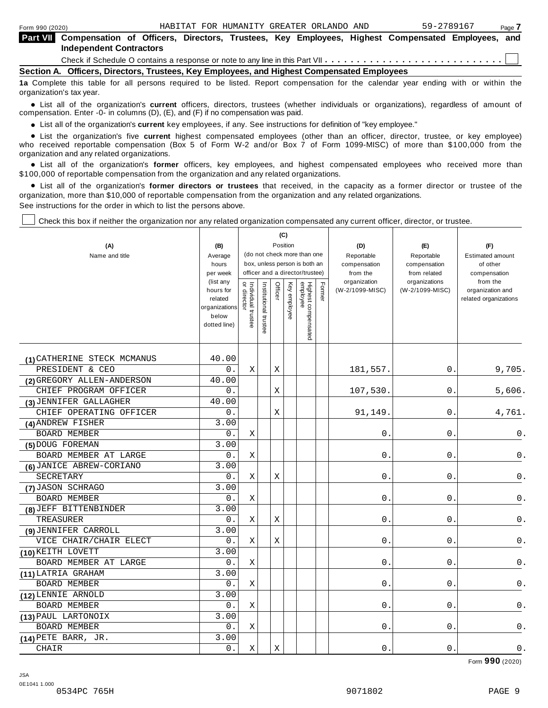| <b>Part VII</b> Compensation of Officers, Directors, Trustees, Key Employees, Highest Compensated Employees, and<br><b>Independent Contractors</b> |  |
|----------------------------------------------------------------------------------------------------------------------------------------------------|--|
| Check if Schedule O contains a response or note to any line in this Part VII $\ldots \ldots \ldots \ldots \ldots \ldots \ldots \ldots \ldots$      |  |
| Section A. Officers, Directors, Trustees, Key Employees, and Highest Compensated Employees                                                         |  |

**1a** Complete this table for all persons required to be listed. Report compensation for the calendar year ending with or within the organization's tax year.

anization's lax year.<br>● List all of the organization's **current** officers, directors, trustees (whether individuals or organizations), regardless of amount of<br>nnensation Enter -0- in columns (D) (E) and (E) if no compensa compensation. Enter -0- in columns (D), (E), and (F) if no compensation was paid.

• List all of the organization's current key employees, if any. See instructions for definition of "key employee."

■ List all of the organization's current key employees, if any. See instructions for definition of "key employee."<br>■ List the organization's five current highest compensated employees (other than an officer, director, tru who received reportable compensation (Box 5 of Form W-2 and/or Box 7 of Form 1099-MISC) of more than \$100,000 from the

organization and any related organizations.<br>• List all of the organization's **former** officers, key employees, and highest compensated employees who received more than<br>\$1.00.000 of reportable componention from the erganiza \$100,000 of reportable compensation from the organization and any related organizations.

% List all of the organization's **former directors or trustees** that received, in the capacity as a former director or trustee of the organization, more than \$10,000 of reportable compensation from the organization and any related organizations. See instructions for the order in which to list the persons above.

Check this box if neither the organization nor any related organization compensated any current officer, director, or trustee.

| (A)                         | (B)                                                                         |                                   |                       |         | (C)<br>Position |                                 |        | (D)                             | (E)                              | (F)                                                   |
|-----------------------------|-----------------------------------------------------------------------------|-----------------------------------|-----------------------|---------|-----------------|---------------------------------|--------|---------------------------------|----------------------------------|-------------------------------------------------------|
| Name and title              | Average                                                                     |                                   |                       |         |                 | (do not check more than one     |        | Reportable                      | Reportable                       | <b>Estimated amount</b>                               |
|                             | hours                                                                       |                                   |                       |         |                 | box, unless person is both an   |        | compensation                    | compensation                     | of other                                              |
|                             | per week                                                                    |                                   |                       |         |                 | officer and a director/trustee) |        | from the                        | from related                     | compensation                                          |
|                             | (list any<br>hours for<br>related<br>organizations<br>below<br>dotted line) | Individual trustee<br>or director | Institutional trustee | Officer | Key employee    | Highest compensated<br>employee | Former | organization<br>(W-2/1099-MISC) | organizations<br>(W-2/1099-MISC) | from the<br>organization and<br>related organizations |
| (1) CATHERINE STECK MCMANUS | 40.00                                                                       |                                   |                       |         |                 |                                 |        |                                 |                                  |                                                       |
| PRESIDENT & CEO             | 0.                                                                          | Χ                                 |                       | Χ       |                 |                                 |        | 181,557.                        | 0.                               | 9,705.                                                |
| (2) GREGORY ALLEN-ANDERSON  | 40.00                                                                       |                                   |                       |         |                 |                                 |        |                                 |                                  |                                                       |
| CHIEF PROGRAM OFFICER       | 0.                                                                          |                                   |                       | Χ       |                 |                                 |        | 107,530                         | $0$ .                            | 5,606.                                                |
| (3) JENNIFER GALLAGHER      | 40.00                                                                       |                                   |                       |         |                 |                                 |        |                                 |                                  |                                                       |
| CHIEF OPERATING OFFICER     | 0.                                                                          |                                   |                       | X       |                 |                                 |        | 91,149                          | 0                                | 4,761.                                                |
| (4) ANDREW FISHER           | 3.00                                                                        |                                   |                       |         |                 |                                 |        |                                 |                                  |                                                       |
| <b>BOARD MEMBER</b>         | 0.                                                                          | X                                 |                       |         |                 |                                 |        | $0$ .                           | $\mathsf{O}$ .                   | 0.                                                    |
| (5) DOUG FOREMAN            | 3.00                                                                        |                                   |                       |         |                 |                                 |        |                                 |                                  |                                                       |
| BOARD MEMBER AT LARGE       | 0.                                                                          | Χ                                 |                       |         |                 |                                 |        | 0                               | 0.                               | 0.                                                    |
| (6) JANICE ABREW-CORIANO    | 3.00                                                                        |                                   |                       |         |                 |                                 |        |                                 |                                  |                                                       |
| SECRETARY                   | 0.                                                                          | Χ                                 |                       | Χ       |                 |                                 |        | 0                               | 0                                | 0.                                                    |
| (7) JASON SCHRAGO           | 3.00                                                                        |                                   |                       |         |                 |                                 |        |                                 |                                  |                                                       |
| <b>BOARD MEMBER</b>         | 0.                                                                          | Χ                                 |                       |         |                 |                                 |        | 0                               | 0                                | 0.                                                    |
| (8) JEFF BITTENBINDER       | 3.00                                                                        |                                   |                       |         |                 |                                 |        |                                 |                                  |                                                       |
| TREASURER                   | 0.                                                                          | X                                 |                       | X       |                 |                                 |        | 0                               | 0                                | 0.                                                    |
| (9) JENNIFER CARROLL        | 3.00                                                                        |                                   |                       |         |                 |                                 |        |                                 |                                  |                                                       |
| VICE CHAIR/CHAIR ELECT      | 0.                                                                          | $\mathbf X$                       |                       | X       |                 |                                 |        | 0                               | $\mathbf 0$                      | $0$ .                                                 |
| (10) KEITH LOVETT           | 3.00                                                                        |                                   |                       |         |                 |                                 |        |                                 |                                  |                                                       |
| BOARD MEMBER AT LARGE       | 0.                                                                          | $\mathbf X$                       |                       |         |                 |                                 |        | 0                               | $0$ .                            | $0$ .                                                 |
| (11) LATRIA GRAHAM          | 3.00                                                                        |                                   |                       |         |                 |                                 |        |                                 |                                  |                                                       |
| <b>BOARD MEMBER</b>         | 0.                                                                          | Χ                                 |                       |         |                 |                                 |        | 0                               | 0.                               | 0.                                                    |
| (12) LENNIE ARNOLD          | 3.00                                                                        |                                   |                       |         |                 |                                 |        |                                 |                                  |                                                       |
| BOARD MEMBER                | 0.                                                                          | Χ                                 |                       |         |                 |                                 |        | 0                               | 0                                | 0.                                                    |
| (13) PAUL LARTONOIX         | 3.00                                                                        |                                   |                       |         |                 |                                 |        |                                 |                                  |                                                       |
| <b>BOARD MEMBER</b>         | 0.                                                                          | Χ                                 |                       |         |                 |                                 |        | 0                               | 0                                | 0.                                                    |
| $(14)$ PETE BARR, JR.       | 3.00                                                                        |                                   |                       |         |                 |                                 |        |                                 |                                  |                                                       |
| CHAIR                       | 0.                                                                          | Χ                                 |                       | Χ       |                 |                                 |        | 0.                              | 0                                | 0.                                                    |

Form **990** (2020)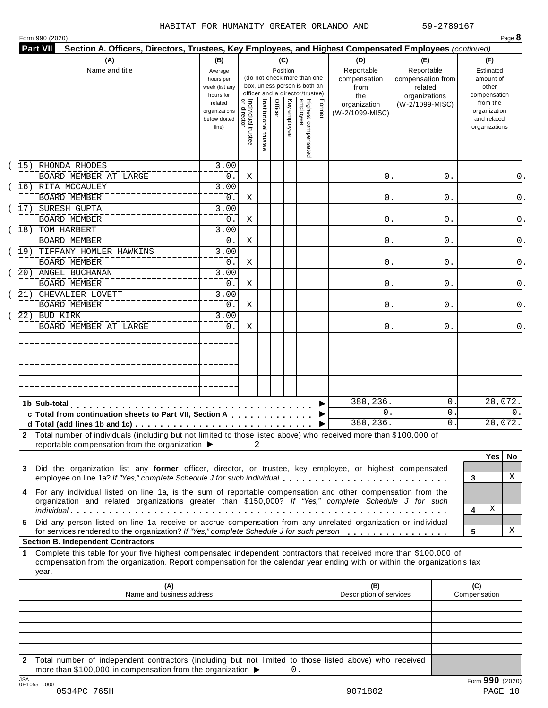| Form 990 (2020) |  |  |
|-----------------|--|--|

| <b>Part VII</b> | Section A. Officers, Directors, Trustees, Key Employees, and Highest Compensated Employees (continued)                                                                                                                                                    |                                                                |                                           |                       |         |                 |                                                                    |        |                                           |                                                   |                                                                          |
|-----------------|-----------------------------------------------------------------------------------------------------------------------------------------------------------------------------------------------------------------------------------------------------------|----------------------------------------------------------------|-------------------------------------------|-----------------------|---------|-----------------|--------------------------------------------------------------------|--------|-------------------------------------------|---------------------------------------------------|--------------------------------------------------------------------------|
|                 | (A)<br>Name and title                                                                                                                                                                                                                                     | (B)<br>Average<br>hours per<br>week (list any                  |                                           |                       |         | (C)<br>Position | (do not check more than one<br>box, unless person is both an       |        | (D)<br>Reportable<br>compensation<br>from | (E)<br>Reportable<br>compensation from<br>related | (F)<br>Estimated<br>amount of<br>other                                   |
|                 |                                                                                                                                                                                                                                                           | hours for<br>related<br>organizations<br>below dotted<br>line) | <br>  Individual trustee<br>  or director | Institutional trustee | Officer | Key employee    | officer and a director/trustee)<br>Highest compensated<br>employee | Former | the<br>organization<br>(W-2/1099-MISC)    | organizations<br>(W-2/1099-MISC)                  | compensation<br>from the<br>organization<br>and related<br>organizations |
|                 | 15) RHONDA RHODES                                                                                                                                                                                                                                         | 3.00                                                           |                                           |                       |         |                 |                                                                    |        |                                           |                                                   |                                                                          |
|                 | BOARD MEMBER AT LARGE<br>(16) RITA MCCAULEY                                                                                                                                                                                                               | $0$ .<br>3.00                                                  | Χ                                         |                       |         |                 |                                                                    |        | 0                                         | 0.                                                | 0.                                                                       |
|                 | <b>BOARD MEMBER</b>                                                                                                                                                                                                                                       | 0.                                                             | Χ                                         |                       |         |                 |                                                                    |        | 0                                         | 0.                                                | 0.                                                                       |
|                 | 17) SURESH GUPTA<br>BOARD MEMBER                                                                                                                                                                                                                          | 3.00<br>0.                                                     | Χ                                         |                       |         |                 |                                                                    |        | 0                                         | 0.                                                |                                                                          |
|                 | 18) TOM HARBERT                                                                                                                                                                                                                                           | 3.00                                                           |                                           |                       |         |                 |                                                                    |        |                                           |                                                   | 0.                                                                       |
|                 | <b>BOARD MEMBER</b>                                                                                                                                                                                                                                       | 0.                                                             | Χ                                         |                       |         |                 |                                                                    |        | 0                                         | 0.                                                |                                                                          |
|                 | 19) TIFFANY HOMLER HAWKINS<br><b>BOARD MEMBER</b>                                                                                                                                                                                                         | 3.00<br>$0$ .                                                  | Χ                                         |                       |         |                 |                                                                    |        | 0                                         | 0.                                                |                                                                          |
|                 | 20) ANGEL BUCHANAN                                                                                                                                                                                                                                        | 3.00                                                           |                                           |                       |         |                 |                                                                    |        |                                           |                                                   |                                                                          |
|                 | <b>BOARD MEMBER</b>                                                                                                                                                                                                                                       | 0.                                                             | Χ                                         |                       |         |                 |                                                                    |        | 0                                         | 0.                                                |                                                                          |
|                 | 21) CHEVALIER LOVETT                                                                                                                                                                                                                                      | 3.00                                                           |                                           |                       |         |                 |                                                                    |        |                                           |                                                   |                                                                          |
|                 | <b>BOARD MEMBER</b><br>22) BUD KIRK                                                                                                                                                                                                                       | 0.<br>3.00                                                     | Χ                                         |                       |         |                 |                                                                    |        | 0                                         | 0.                                                |                                                                          |
|                 | BOARD MEMBER AT LARGE                                                                                                                                                                                                                                     | $0$ .                                                          | Χ                                         |                       |         |                 |                                                                    |        | 0                                         | 0.                                                |                                                                          |
|                 |                                                                                                                                                                                                                                                           |                                                                |                                           |                       |         |                 |                                                                    |        |                                           |                                                   |                                                                          |
|                 |                                                                                                                                                                                                                                                           |                                                                |                                           |                       |         |                 |                                                                    |        |                                           |                                                   |                                                                          |
|                 |                                                                                                                                                                                                                                                           |                                                                |                                           |                       |         |                 |                                                                    |        | 380,236.                                  | 0                                                 | 20,072.                                                                  |
|                 | 1b Sub-total<br>c Total from continuation sheets to Part VII, Section A                                                                                                                                                                                   |                                                                |                                           |                       |         |                 |                                                                    |        | $\mathbf{0}$ .                            | 0                                                 | 0.                                                                       |
|                 |                                                                                                                                                                                                                                                           |                                                                |                                           |                       |         |                 |                                                                    |        | 380,236.                                  | 0                                                 | 20,072.                                                                  |
|                 | 2 Total number of individuals (including but not limited to those listed above) who received more than \$100,000 of<br>reportable compensation from the organization ▶                                                                                    |                                                                |                                           | 2                     |         |                 |                                                                    |        |                                           |                                                   |                                                                          |
| 3               | Did the organization list any former officer, director, or trustee, key employee, or highest compensated<br>employee on line 1a? If "Yes," complete Schedule J for such individual                                                                        |                                                                |                                           |                       |         |                 |                                                                    |        |                                           |                                                   | <b>Yes</b><br>No.<br>X<br>3                                              |
| 4               | For any individual listed on line 1a, is the sum of reportable compensation and other compensation from the<br>organization and related organizations greater than \$150,000? If "Yes," complete Schedule J for such                                      |                                                                |                                           |                       |         |                 |                                                                    |        |                                           |                                                   | Χ<br>4                                                                   |
| 5.              | Did any person listed on line 1a receive or accrue compensation from any unrelated organization or individual<br>for services rendered to the organization? If "Yes," complete Schedule J for such person                                                 |                                                                |                                           |                       |         |                 |                                                                    |        |                                           |                                                   | х<br>5                                                                   |
|                 | <b>Section B. Independent Contractors</b>                                                                                                                                                                                                                 |                                                                |                                           |                       |         |                 |                                                                    |        |                                           |                                                   |                                                                          |
| 1.              | Complete this table for your five highest compensated independent contractors that received more than \$100,000 of<br>compensation from the organization. Report compensation for the calendar year ending with or within the organization's tax<br>year. |                                                                |                                           |                       |         |                 |                                                                    |        |                                           |                                                   |                                                                          |
|                 | (A)<br>Name and business address                                                                                                                                                                                                                          |                                                                |                                           |                       |         |                 |                                                                    |        | (B)<br>Description of services            |                                                   | (C)<br>Compensation                                                      |
|                 |                                                                                                                                                                                                                                                           |                                                                |                                           |                       |         |                 |                                                                    |        |                                           |                                                   |                                                                          |
|                 |                                                                                                                                                                                                                                                           |                                                                |                                           |                       |         |                 |                                                                    |        |                                           |                                                   |                                                                          |

**2** Total number of independent contractors (including but not limited to those listed above) who received more than \$100,000 in compensation from the organization  $\triangleright$  0.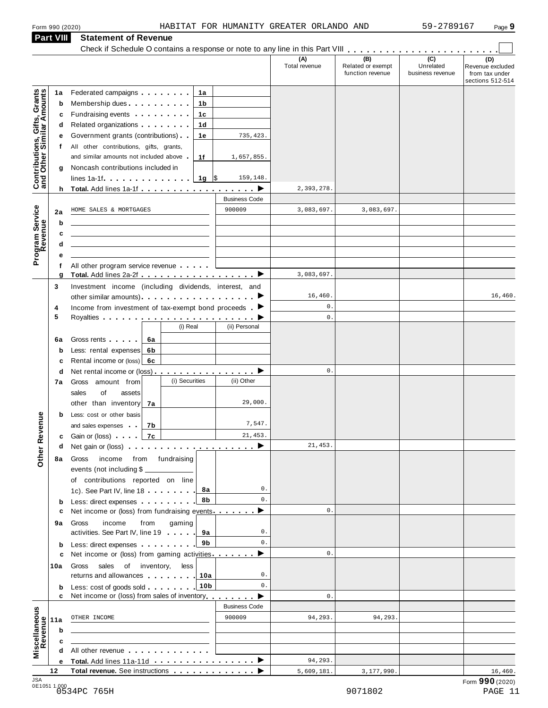**Part VIII Statement of Revenue**

#### Form <sup>990</sup> (2020) Page **9** HABITAT FOR HUMANITY GREATER ORLANDO AND 59-2789167

|                                                           | <b>Part VIII</b> | <b>Statement of Revenue</b>                                                                                                                                                                                                    |                      |                      |                                              |                                      |                                                               |
|-----------------------------------------------------------|------------------|--------------------------------------------------------------------------------------------------------------------------------------------------------------------------------------------------------------------------------|----------------------|----------------------|----------------------------------------------|--------------------------------------|---------------------------------------------------------------|
|                                                           |                  |                                                                                                                                                                                                                                |                      | (A)<br>Total revenue | (B)<br>Related or exempt<br>function revenue | (C)<br>Unrelated<br>business revenue | (D)<br>Revenue excluded<br>from tax under<br>sections 512-514 |
|                                                           | 1a               | Federated campaigns <b>Federated</b><br>1а                                                                                                                                                                                     |                      |                      |                                              |                                      |                                                               |
|                                                           | b                | Membership dues <b>All Accords</b> Membership dues<br>1b                                                                                                                                                                       |                      |                      |                                              |                                      |                                                               |
| Contributions, Gifts, Grants<br>and Other Similar Amounts | c                | Fundraising events <b>Exercises</b><br>1c                                                                                                                                                                                      |                      |                      |                                              |                                      |                                                               |
|                                                           | d                | Related organizations <b>contains</b><br>1d                                                                                                                                                                                    |                      |                      |                                              |                                      |                                                               |
|                                                           | е                | Government grants (contributions)<br>1е                                                                                                                                                                                        | 735,423.             |                      |                                              |                                      |                                                               |
|                                                           | t.               | All other contributions, gifts, grants,                                                                                                                                                                                        |                      |                      |                                              |                                      |                                                               |
|                                                           |                  | and similar amounts not included above<br>1f                                                                                                                                                                                   | 1,657,855.           |                      |                                              |                                      |                                                               |
|                                                           | g                | Noncash contributions included in                                                                                                                                                                                              |                      |                      |                                              |                                      |                                                               |
|                                                           |                  |                                                                                                                                                                                                                                | 159,148.             |                      |                                              |                                      |                                                               |
|                                                           |                  | h Total. Add lines 1a-1f $\ldots$ , $\ldots$ , $\ldots$ , $\blacktriangleright$                                                                                                                                                |                      | 2,393,278.           |                                              |                                      |                                                               |
|                                                           |                  |                                                                                                                                                                                                                                | <b>Business Code</b> |                      |                                              |                                      |                                                               |
|                                                           | 2a               | HOME SALES & MORTGAGES                                                                                                                                                                                                         | 900009               | 3,083,697.           | 3,083,697.                                   |                                      |                                                               |
| Program Service<br>Revenue                                | b                |                                                                                                                                                                                                                                |                      |                      |                                              |                                      |                                                               |
|                                                           | c                |                                                                                                                                                                                                                                |                      |                      |                                              |                                      |                                                               |
|                                                           | d                |                                                                                                                                                                                                                                |                      |                      |                                              |                                      |                                                               |
|                                                           | е                |                                                                                                                                                                                                                                |                      |                      |                                              |                                      |                                                               |
|                                                           | f                | All other program service revenue                                                                                                                                                                                              |                      |                      |                                              |                                      |                                                               |
|                                                           | g                |                                                                                                                                                                                                                                |                      | 3,083,697.           |                                              |                                      |                                                               |
|                                                           | 3                | Investment income (including dividends, interest, and                                                                                                                                                                          |                      |                      |                                              |                                      |                                                               |
|                                                           |                  |                                                                                                                                                                                                                                |                      | 16,460.              |                                              |                                      | 16,460.                                                       |
|                                                           | 4                | Income from investment of tax-exempt bond proceeds $\blacktriangleright$                                                                                                                                                       |                      | $0$ .                |                                              |                                      |                                                               |
|                                                           | 5                |                                                                                                                                                                                                                                |                      | $0$ .                |                                              |                                      |                                                               |
|                                                           |                  | (i) Real                                                                                                                                                                                                                       | (ii) Personal        |                      |                                              |                                      |                                                               |
|                                                           | 6a               | Gross rents  <br>6а                                                                                                                                                                                                            |                      |                      |                                              |                                      |                                                               |
|                                                           | b                | Less: rental expenses<br>6b                                                                                                                                                                                                    |                      |                      |                                              |                                      |                                                               |
|                                                           | c                | Rental income or (loss)<br>6с                                                                                                                                                                                                  |                      |                      |                                              |                                      |                                                               |
|                                                           | d                | Net rental income or (loss) ▶                                                                                                                                                                                                  |                      | $0$ .                |                                              |                                      |                                                               |
|                                                           | 7а               | (i) Securities<br>Gross amount from                                                                                                                                                                                            | (ii) Other           |                      |                                              |                                      |                                                               |
|                                                           |                  | sales<br>of<br>assets                                                                                                                                                                                                          |                      |                      |                                              |                                      |                                                               |
|                                                           |                  | other than inventory<br>7а                                                                                                                                                                                                     | 29,000.              |                      |                                              |                                      |                                                               |
|                                                           | b                | Less: cost or other basis                                                                                                                                                                                                      |                      |                      |                                              |                                      |                                                               |
| evenue                                                    |                  | and sales expenses and<br>7b                                                                                                                                                                                                   | 7,547.               |                      |                                              |                                      |                                                               |
|                                                           |                  | 7c<br><b>c</b> Gain or (loss)                                                                                                                                                                                                  | 21,453.              |                      |                                              |                                      |                                                               |
| Other <sub>R</sub>                                        | d                | Net gain or (loss) $\cdots$ $\cdots$ $\cdots$ $\cdots$ $\cdots$ $\cdots$ $\cdots$                                                                                                                                              |                      | 21, 453.             |                                              |                                      |                                                               |
|                                                           | 8а               | income from fundraising<br>Gross                                                                                                                                                                                               |                      |                      |                                              |                                      |                                                               |
|                                                           |                  | events (not including \$                                                                                                                                                                                                       |                      |                      |                                              |                                      |                                                               |
|                                                           |                  | of contributions reported on line                                                                                                                                                                                              |                      |                      |                                              |                                      |                                                               |
|                                                           |                  | 8а<br>1c). See Part IV, line 18                                                                                                                                                                                                | 0.                   |                      |                                              |                                      |                                                               |
|                                                           | b                | 8b<br>Less: direct expenses                                                                                                                                                                                                    | $\mathbf{0}$ .       |                      |                                              |                                      |                                                               |
|                                                           | c                | Net income or (loss) from fundraising events $\ldots$                                                                                                                                                                          |                      | $0$ .                |                                              |                                      |                                                               |
|                                                           | 9а               | income<br>from<br>gaming<br>Gross                                                                                                                                                                                              |                      |                      |                                              |                                      |                                                               |
|                                                           |                  | activities. See Part IV, line 19<br>9а                                                                                                                                                                                         | 0.                   |                      |                                              |                                      |                                                               |
|                                                           | b                | 9b<br>Less: direct expenses                                                                                                                                                                                                    | 0.                   |                      |                                              |                                      |                                                               |
|                                                           | c                | Net income or (loss) from gaming activities.                                                                                                                                                                                   | ▸                    | 0.                   |                                              |                                      |                                                               |
|                                                           | 10a              | sales of inventory,<br>less<br>Gross                                                                                                                                                                                           |                      |                      |                                              |                                      |                                                               |
|                                                           |                  | returns and allowances<br>10a                                                                                                                                                                                                  | 0.                   |                      |                                              |                                      |                                                               |
|                                                           | b                | Less: cost of goods sold 10b                                                                                                                                                                                                   | $\mathbf{0}$ .       |                      |                                              |                                      |                                                               |
|                                                           | c                | Net income or (loss) from sales of inventory extending the state of                                                                                                                                                            |                      | $\mathbf{0}$ .       |                                              |                                      |                                                               |
|                                                           |                  |                                                                                                                                                                                                                                | <b>Business Code</b> |                      |                                              |                                      |                                                               |
|                                                           | 11a              | OTHER INCOME                                                                                                                                                                                                                   | 900009               | 94,293.              | 94,293.                                      |                                      |                                                               |
|                                                           | $\mathbf b$      |                                                                                                                                                                                                                                |                      |                      |                                              |                                      |                                                               |
|                                                           | c                |                                                                                                                                                                                                                                |                      |                      |                                              |                                      |                                                               |
| Miscellaneous<br>Revenue                                  | d                | All other revenue experience and the set of the set of the set of the set of the set of the set of the set of the set of the set of the set of the set of the set of the set of the set of the set of the set of the set of th |                      |                      |                                              |                                      |                                                               |
|                                                           | е                |                                                                                                                                                                                                                                |                      | 94,293.              |                                              |                                      |                                                               |
| ICA                                                       | 12               | Total revenue. See instructions                                                                                                                                                                                                |                      | 5,609,181.           | 3,177,990.                                   |                                      | 16,460.                                                       |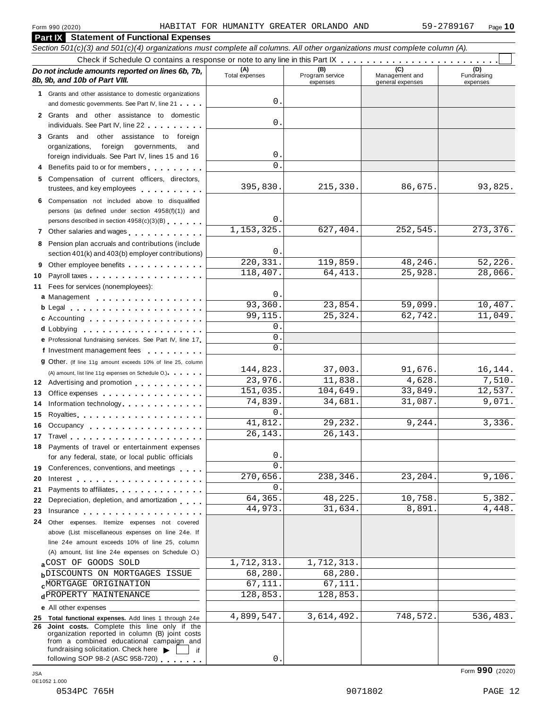**Part IX Statement of Functional Expenses**

|    | Section 501(c)(3) and 501(c)(4) organizations must complete all columns. All other organizations must complete column (A).                                                                                                           |                       |                                    |                                    |                                |
|----|--------------------------------------------------------------------------------------------------------------------------------------------------------------------------------------------------------------------------------------|-----------------------|------------------------------------|------------------------------------|--------------------------------|
|    |                                                                                                                                                                                                                                      |                       |                                    |                                    |                                |
|    | Do not include amounts reported on lines 6b, 7b,<br>8b, 9b, and 10b of Part VIII.                                                                                                                                                    | (A)<br>Total expenses | (B)<br>Program service<br>expenses | Management and<br>general expenses | (D)<br>Fundraising<br>expenses |
|    | 1 Grants and other assistance to domestic organizations                                                                                                                                                                              |                       |                                    |                                    |                                |
|    | and domestic governments. See Part IV, line 21                                                                                                                                                                                       | 0.                    |                                    |                                    |                                |
|    | 2 Grants and other assistance to domestic                                                                                                                                                                                            |                       |                                    |                                    |                                |
|    | individuals. See Part IV, line 22                                                                                                                                                                                                    | 0.                    |                                    |                                    |                                |
|    | other assistance to foreign<br>3 Grants and                                                                                                                                                                                          |                       |                                    |                                    |                                |
|    | organizations,<br>foreign<br>governments,<br>and                                                                                                                                                                                     |                       |                                    |                                    |                                |
|    | foreign individuals. See Part IV, lines 15 and 16                                                                                                                                                                                    | 0.                    |                                    |                                    |                                |
|    | Benefits paid to or for members                                                                                                                                                                                                      | $\Omega$ .            |                                    |                                    |                                |
|    | 5 Compensation of current officers, directors,                                                                                                                                                                                       |                       |                                    |                                    |                                |
|    | trustees, and key employees                                                                                                                                                                                                          | 395,830.              | 215,330.                           | 86,675.                            | 93,825.                        |
|    | Compensation not included above to disqualified                                                                                                                                                                                      |                       |                                    |                                    |                                |
|    | persons (as defined under section 4958(f)(1)) and                                                                                                                                                                                    | $\mathbf 0$ .         |                                    |                                    |                                |
|    | persons described in section 4958(c)(3)(B)                                                                                                                                                                                           | 1, 153, 325.          | 627,404.                           | 252,545.                           | 273, 376.                      |
| 7  | Other salaries and wages<br>interaction in the salar sales and wages<br>interaction in the sales and wages                                                                                                                           |                       |                                    |                                    |                                |
| 8  | Pension plan accruals and contributions (include                                                                                                                                                                                     | $\mathsf{O}$ .        |                                    |                                    |                                |
|    | section 401(k) and 403(b) employer contributions)                                                                                                                                                                                    | 220, 331.             | 119,859.                           | 48,246.                            | 52,226.                        |
|    | Other employee benefits                                                                                                                                                                                                              | 118,407.              | 64, 413.                           | 25,928                             | 28,066.                        |
| 10 |                                                                                                                                                                                                                                      |                       |                                    |                                    |                                |
| 11 | Fees for services (nonemployees):                                                                                                                                                                                                    | $\mathbf 0$ .         |                                    |                                    |                                |
|    | a Management                                                                                                                                                                                                                         | 93,360.               | 23,854.                            | 59,099.                            | 10,407.                        |
|    | $b$ Legal $\ldots$ , $\ldots$ , $\ldots$ , $\ldots$ , $\ldots$ , $\ldots$ , $\ldots$                                                                                                                                                 | 99,115.               | 25,324.                            | 62,742                             | 11,049.                        |
|    | c Accounting                                                                                                                                                                                                                         | $\mathbf 0$ .         |                                    |                                    |                                |
|    | d Lobbying<br>e Professional fundraising services. See Part IV, line 17                                                                                                                                                              | $\mathbf{0}$ .        |                                    |                                    |                                |
|    | f Investment management fees                                                                                                                                                                                                         | $0$ .                 |                                    |                                    |                                |
|    | <b>g</b> Other. (If line 11g amount exceeds 10% of line 25, column                                                                                                                                                                   |                       |                                    |                                    |                                |
|    | (A) amount, list line 11g expenses on Schedule O.).                                                                                                                                                                                  | 144,823.              | 37,003.                            | 91,676.                            | 16,144.                        |
|    | 12 Advertising and promotion                                                                                                                                                                                                         | 23,976.               | 11,838.                            | 4,628.                             | 7,510.                         |
| 13 | Office expenses extensive and the set of the set of the set of the set of the set of the set of the set of the                                                                                                                       | 151,035.              | 104,649.                           | 33,849.                            | 12,537.                        |
| 14 | Information technology.                                                                                                                                                                                                              | 74,839.               | 34,681.                            | 31,087.                            | 9,071.                         |
| 15 |                                                                                                                                                                                                                                      | $\overline{0}$ .      |                                    |                                    |                                |
| 16 | Occupancy                                                                                                                                                                                                                            | 41,812.               | 29,232.                            | 9,244                              | 3,336.                         |
|    |                                                                                                                                                                                                                                      | 26,143.               | 26, 143.                           |                                    |                                |
|    | 18 Payments of travel or entertainment expenses                                                                                                                                                                                      |                       |                                    |                                    |                                |
|    | for any federal, state, or local public officials                                                                                                                                                                                    | $\mathsf{O}$ .        |                                    |                                    |                                |
|    | 19 Conferences, conventions, and meetings                                                                                                                                                                                            | $\Omega$ .            |                                    |                                    |                                |
| 20 | Interest $\ldots$ , $\ldots$ , $\ldots$ , $\ldots$ , $\ldots$ , $\ldots$ , $\ldots$                                                                                                                                                  | 270,656.              | 238,346.                           | 23, 204.                           | 9,106.                         |
| 21 | Payments to affiliates                                                                                                                                                                                                               | 0.                    |                                    |                                    |                                |
| 22 | Depreciation, depletion, and amortization                                                                                                                                                                                            | 64,365.               | 48, 225.                           | 10,758                             | 5,382.                         |
| 23 | Insurance <b>All According to the Contract of the Contract of the Contract of the Contract of the Contract of the Contract of the Contract of the Contract of the Contract of the Contract of the Contract of the Contract of th</b> | 44,973.               | 31,634.                            | 8,891                              | 4,448.                         |
|    | 24 Other expenses. Itemize expenses not covered                                                                                                                                                                                      |                       |                                    |                                    |                                |
|    | above (List miscellaneous expenses on line 24e. If                                                                                                                                                                                   |                       |                                    |                                    |                                |
|    | line 24e amount exceeds 10% of line 25, column                                                                                                                                                                                       |                       |                                    |                                    |                                |
|    | (A) amount, list line 24e expenses on Schedule O.)                                                                                                                                                                                   |                       |                                    |                                    |                                |
|    | aCOST OF GOODS SOLD                                                                                                                                                                                                                  | 1,712,313.            | 1,712,313.                         |                                    |                                |
|    | <b>b</b> DISCOUNTS ON MORTGAGES ISSUE                                                                                                                                                                                                | 68,280.               | 68,280.                            |                                    |                                |
|    | <b>CMORTGAGE ORIGINATION</b>                                                                                                                                                                                                         | 67,111.               | 67,111.                            |                                    |                                |
|    | dPROPERTY MAINTENANCE                                                                                                                                                                                                                | 128,853.              | 128,853.                           |                                    |                                |
|    | <b>e</b> All other expenses                                                                                                                                                                                                          |                       |                                    |                                    |                                |
|    | 25 Total functional expenses. Add lines 1 through 24e                                                                                                                                                                                | 4,899,547.            | 3,614,492.                         | 748,572.                           | 536,483.                       |
| 26 | Joint costs. Complete this line only if the<br>organization reported in column (B) joint costs<br>from a combined educational campaign and                                                                                           |                       |                                    |                                    |                                |
|    | fundraising solicitation. Check here<br>if<br>following SOP 98-2 (ASC 958-720)                                                                                                                                                       | 0.                    |                                    |                                    |                                |
|    |                                                                                                                                                                                                                                      |                       |                                    |                                    |                                |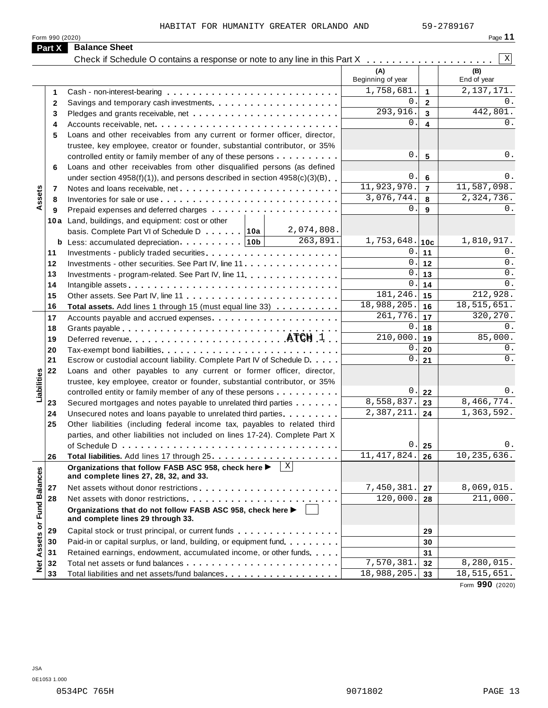HABITAT FOR HUMANITY GREATER ORLANDO AND 59-2789167

| Part X<br><b>Balance Sheet</b><br>(A)<br>Beginning of year<br>1,758,681.<br>1<br>$0$ .<br>2<br>293,916.<br>3<br>$0$ .<br>Accounts receivable, net<br>4<br>Loans and other receivables from any current or former officer, director,<br>5 | $\mathbf{1}$<br>$\mathbf{2}$<br>3 | X<br>(B)<br>End of year |
|------------------------------------------------------------------------------------------------------------------------------------------------------------------------------------------------------------------------------------------|-----------------------------------|-------------------------|
|                                                                                                                                                                                                                                          |                                   |                         |
|                                                                                                                                                                                                                                          |                                   |                         |
|                                                                                                                                                                                                                                          |                                   |                         |
|                                                                                                                                                                                                                                          |                                   | 2, 137, 171.            |
|                                                                                                                                                                                                                                          |                                   | 0.                      |
|                                                                                                                                                                                                                                          |                                   | 442,801.                |
|                                                                                                                                                                                                                                          | $\overline{\mathbf{4}}$           | 0.                      |
|                                                                                                                                                                                                                                          |                                   |                         |
| trustee, key employee, creator or founder, substantial contributor, or 35%                                                                                                                                                               |                                   |                         |
| 0.<br>controlled entity or family member of any of these persons                                                                                                                                                                         | $5\phantom{1}$                    | 0.                      |
| Loans and other receivables from other disqualified persons (as defined<br>6                                                                                                                                                             |                                   |                         |
| 0.<br>under section $4958(f)(1)$ , and persons described in section $4958(c)(3)(B)$                                                                                                                                                      | 6                                 | 0.                      |
| 11,923,970.<br>Notes and loans receivable, net<br>7                                                                                                                                                                                      | $\overline{7}$                    | 11,587,098.             |
| Assets<br>3,076,744.<br>8                                                                                                                                                                                                                | 8                                 | 2,324,736.              |
| $0$ .<br>9                                                                                                                                                                                                                               | 9                                 | 0.                      |
| 10a Land, buildings, and equipment: cost or other                                                                                                                                                                                        |                                   |                         |
| 2,074,808.<br>basis. Complete Part VI of Schedule D 10a                                                                                                                                                                                  |                                   |                         |
| 263,891.<br>$1,753,648.$ 10c                                                                                                                                                                                                             |                                   | 1,810,917.              |
| 0.<br>11                                                                                                                                                                                                                                 | 11                                | 0.                      |
| 0.<br>12<br>Investments - other securities. See Part IV, line 11                                                                                                                                                                         | 12                                | 0.                      |
| 0.<br>13<br>Investments - program-related. See Part IV, line 11                                                                                                                                                                          | 13                                | 0.                      |
| $\mathsf{0}$ .<br>14                                                                                                                                                                                                                     | 14                                | $0$ .                   |
| 181,246.<br>15                                                                                                                                                                                                                           | 15                                | 212,928.                |
| 18,988,205.<br>16<br>Total assets. Add lines 1 through 15 (must equal line 33)                                                                                                                                                           | 16                                | 18,515,651.             |
| $\overline{261}$ , 776.<br>17                                                                                                                                                                                                            | 17                                | 320, 270.               |
| 0.<br>18                                                                                                                                                                                                                                 | 18                                | 0.                      |
| 210,000.<br>19                                                                                                                                                                                                                           | 19                                | 85,000.                 |
| 0.<br>20                                                                                                                                                                                                                                 | 20                                | 0.                      |
| 0.<br>21<br>Escrow or custodial account liability. Complete Part IV of Schedule D.                                                                                                                                                       | 21                                | $0$ .                   |
| 22<br>Loans and other payables to any current or former officer, director,                                                                                                                                                               |                                   |                         |
| Liabilities<br>trustee, key employee, creator or founder, substantial contributor, or 35%                                                                                                                                                |                                   |                         |
| 0.<br>controlled entity or family member of any of these persons                                                                                                                                                                         | 22                                | 0.                      |
| 8,558,837.<br>Secured mortgages and notes payable to unrelated third parties<br>23                                                                                                                                                       | 23                                | 8,466,774.              |
| 2,387,211.<br>24<br>Unsecured notes and loans payable to unrelated third parties.                                                                                                                                                        | 24                                | 1,363,592.              |
| 25<br>Other liabilities (including federal income tax, payables to related third                                                                                                                                                         |                                   |                         |
| parties, and other liabilities not included on lines 17-24). Complete Part X                                                                                                                                                             |                                   |                         |
| 0.<br>of Schedule D $\ldots \ldots \ldots \ldots \ldots \ldots \ldots \ldots \ldots \ldots \ldots$                                                                                                                                       | 25                                | 0.                      |
| 11, 417, 824.<br>26                                                                                                                                                                                                                      | 26                                | 10, 235, 636.           |
| Χ<br>Organizations that follow FASB ASC 958, check here ▶<br>and complete lines 27, 28, 32, and 33.                                                                                                                                      |                                   |                         |
| 7,450,381.<br>27                                                                                                                                                                                                                         | 27                                | 8,069,015.              |
| 120,000.<br>28                                                                                                                                                                                                                           | 28                                | 211,000.                |
| <b>Fund Balances</b><br>Organizations that do not follow FASB ASC 958, check here ▶<br>and complete lines 29 through 33.                                                                                                                 |                                   |                         |
| Capital stock or trust principal, or current funds<br>29                                                                                                                                                                                 | 29                                |                         |
| 30<br>Paid-in or capital surplus, or land, building, or equipment fund.                                                                                                                                                                  | 30                                |                         |
| Assets or<br>31<br>Retained earnings, endowment, accumulated income, or other funds                                                                                                                                                      | 31                                |                         |
| 7,570,381.<br>32                                                                                                                                                                                                                         | 32                                | 8,280,015.              |
| $\frac{1}{2}$<br>18,988,205.<br>33<br>Total liabilities and net assets/fund balances                                                                                                                                                     | 33                                | 18,515,651.             |

Form **990** (2020)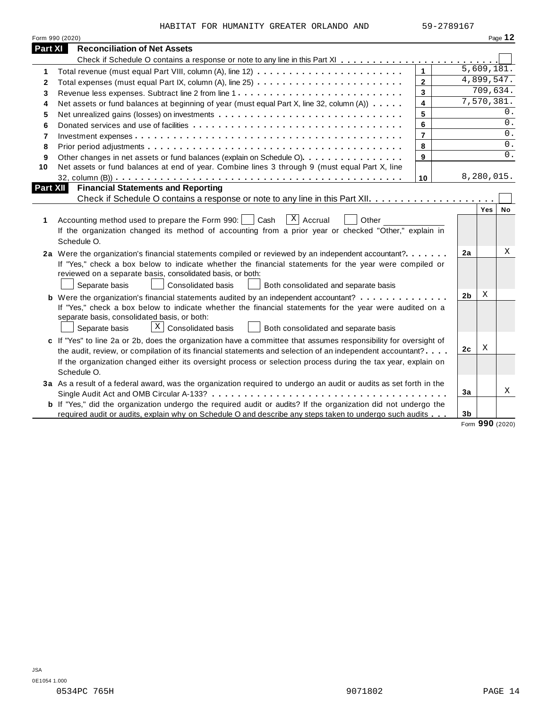| HABITAT FOR HUMANITY GREATER ORLANDO AND |  |  | 59-2789167 |
|------------------------------------------|--|--|------------|

|                 | Form 990 (2020)                                                                                                                                                                                                                                                                                                                                                   |                |                |                         | Page 12 |
|-----------------|-------------------------------------------------------------------------------------------------------------------------------------------------------------------------------------------------------------------------------------------------------------------------------------------------------------------------------------------------------------------|----------------|----------------|-------------------------|---------|
| <b>Part XI</b>  | <b>Reconciliation of Net Assets</b>                                                                                                                                                                                                                                                                                                                               |                |                |                         |         |
|                 |                                                                                                                                                                                                                                                                                                                                                                   |                |                |                         |         |
| 1               |                                                                                                                                                                                                                                                                                                                                                                   | $\mathbf{1}$   |                | 5,609,181.              |         |
| 2               | Total expenses (must equal Part IX, column (A), line 25)                                                                                                                                                                                                                                                                                                          | $\overline{2}$ |                | 4,899,547.              |         |
| 3               |                                                                                                                                                                                                                                                                                                                                                                   | 3              |                | 709,634.                |         |
| 4               | Net assets or fund balances at beginning of year (must equal Part X, line 32, column (A))                                                                                                                                                                                                                                                                         | 4              |                | 7,570,381.              |         |
| 5               |                                                                                                                                                                                                                                                                                                                                                                   | 5              |                |                         | $0$ .   |
| 6               |                                                                                                                                                                                                                                                                                                                                                                   | 6              |                |                         | 0.      |
| 7               |                                                                                                                                                                                                                                                                                                                                                                   | $\overline{7}$ |                |                         | 0.      |
| 8               |                                                                                                                                                                                                                                                                                                                                                                   | 8              |                |                         | 0.      |
| 9               | Other changes in net assets or fund balances (explain on Schedule O)                                                                                                                                                                                                                                                                                              | 9              |                |                         | 0.      |
| 10              | Net assets or fund balances at end of year. Combine lines 3 through 9 (must equal Part X, line                                                                                                                                                                                                                                                                    |                |                |                         |         |
|                 |                                                                                                                                                                                                                                                                                                                                                                   | 10             |                | 8,280,015.              |         |
| <b>Part XII</b> | <b>Financial Statements and Reporting</b>                                                                                                                                                                                                                                                                                                                         |                |                |                         |         |
|                 |                                                                                                                                                                                                                                                                                                                                                                   |                |                |                         |         |
| 1               | $X$ Accrual<br>Accounting method used to prepare the Form 990:  <br>Cash<br>Other<br>If the organization changed its method of accounting from a prior year or checked "Other," explain in<br>Schedule O.                                                                                                                                                         |                |                | Yes                     | No      |
|                 | 2a Were the organization's financial statements compiled or reviewed by an independent accountant?<br>If "Yes," check a box below to indicate whether the financial statements for the year were compiled or<br>reviewed on a separate basis, consolidated basis, or both:<br>Separate basis<br><b>Consolidated basis</b><br>Both consolidated and separate basis |                | 2a             |                         | Χ       |
|                 | <b>b</b> Were the organization's financial statements audited by an independent accountant?                                                                                                                                                                                                                                                                       |                | 2b             | X                       |         |
|                 | If "Yes," check a box below to indicate whether the financial statements for the year were audited on a<br>separate basis, consolidated basis, or both:<br>$\lfloor x \rfloor$ Consolidated basis<br>Separate basis<br>Both consolidated and separate basis                                                                                                       |                |                |                         |         |
|                 | c If "Yes" to line 2a or 2b, does the organization have a committee that assumes responsibility for oversight of                                                                                                                                                                                                                                                  |                |                |                         |         |
|                 | the audit, review, or compilation of its financial statements and selection of an independent accountant?                                                                                                                                                                                                                                                         |                | 2c             | Χ                       |         |
|                 | If the organization changed either its oversight process or selection process during the tax year, explain on<br>Schedule O.                                                                                                                                                                                                                                      |                |                |                         |         |
|                 | 3a As a result of a federal award, was the organization required to undergo an audit or audits as set forth in the                                                                                                                                                                                                                                                |                |                |                         |         |
|                 |                                                                                                                                                                                                                                                                                                                                                                   |                | 3a             |                         | X       |
|                 | b If "Yes," did the organization undergo the required audit or audits? If the organization did not undergo the                                                                                                                                                                                                                                                    |                |                |                         |         |
|                 | required audit or audits, explain why on Schedule O and describe any steps taken to undergo such audits                                                                                                                                                                                                                                                           |                | 3 <sub>b</sub> | $\mathbf{a} \mathbf{a}$ |         |

Form **990** (2020)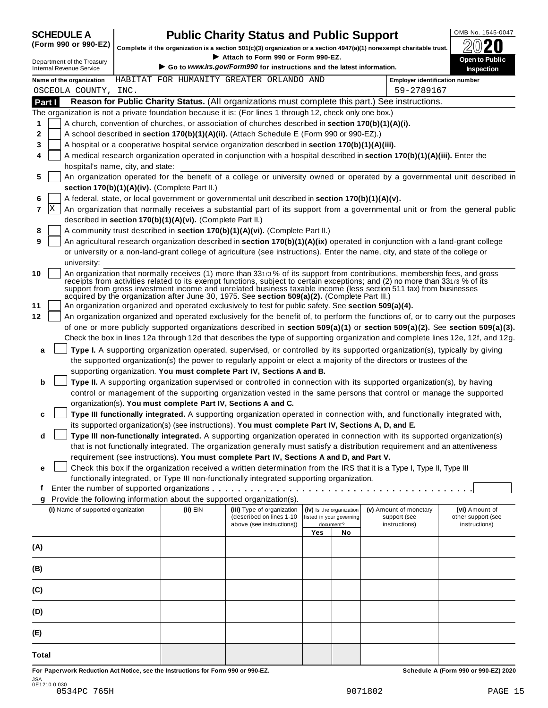**5**

**6 7** X

**8**

hospital's name, city, and state:

**section 170(b)(1)(A)(iv).** (Complete Part II.)

## OMB No. 1545-0047 **SCHEDULE A Public Charity Status and Public Support**

Complete if the organization is a section 501(c)(3) organization or a section 4947(a)(1) nonexempt charitable trust.<br>Attach to Form 990 or Form 990-EZ.

Complete if the organization is a section 501(c)(3) organization or a section 4947(a)(1) nonexempt charitable trust.<br>
Department of the Treasury Complete if the organization is a section 501(c)(3) organization or a sectio **Name of the organization** BEABITAT FOR HUMANITY GREATER ORLANDO AND **Fundance Employer identification** number **Part I Reason for Public Charity Status.** (All organizations must complete this part.) See instructions. The organization is not a private foundation because it is: (For lines 1 through 12, check only one box.) A church, convention of churches, or association of churches described in **section 170(b)(1)(A)(i).** A school described in **section 170(b)(1)(A)(ii).** (Attach Schedule E (Form 990 or 990-EZ).) A hospital or a cooperative hospital service organization described in **section 170(b)(1)(A)(iii).** A medical research organization operated in conjunction with a hospital described in **section 170(b)(1)(A)(iii).** Enter the An organization operated for the benefit of a college or university owned or operated by a governmental unit described in A federal, state, or local government or governmental unit described in **section 170(b)(1)(A)(v).** An organization that normally receives a substantial part of its support from a governmental unit or from the general public described in **section 170(b)(1)(A)(vi).** (Complete Part II.) A community trust described in **section 170(b)(1)(A)(vi).** (Complete Part II.) OSCEOLA COUNTY, INC. 59-2789167

|  | 9   An agricultural research organization described in section $170(b)(1)(A)(ix)$ operated in conjunction with a land-grant college |
|--|-------------------------------------------------------------------------------------------------------------------------------------|
|  | or university or a non-land-grant college of agriculture (see instructions). Enter the name, city, and state of the college or      |
|  | university:                                                                                                                         |

**10** An organization that normally receives (1) more than 331/3 % of its support from contributions, membership fees, and gross receipts from activities related to its exempt functions, subject to certain exceptions; and (2) no more than 331/3 % of its support from gross investment income and unrelated business taxable income (less section 511 tax) from businesses acquired by the organization after June 30, 1975. See **section 509(a)(2).** (Complete Part III.)

**11** An organization organized and operated exclusively to test for public safety. See **section 509(a)(4).**

**12** An organization organized and operated exclusively for the benefit of, to perform the functions of, or to carry out the purposes of one or more publicly supported organizations described in **section 509(a)(1)** or **section 509(a)(2).** See **section 509(a)(3).** Check the box in lines 12a through 12d that describes the type of supporting organization and complete lines 12e, 12f, and 12g.

**a Type I.**A supporting organization operated, supervised, or controlled by its supported organization(s), typically by giving the supported organization(s) the power to regularly appoint or elect a majority of the directors or trustees of the supporting organization. **You must complete Part IV, Sections A and B.**

**b Type II.** A supporting organization supervised or controlled in connection with its supported organization(s), by having control or management of the supporting organization vested in the same persons that control or manage the supported organization(s). **You must complete Part IV, Sections A and C.**

|  | c □ Type III functionally integrated. A supporting organization operated in connection with, and functionally integrated with, |
|--|--------------------------------------------------------------------------------------------------------------------------------|
|  | its supported organization(s) (see instructions). You must complete Part IV, Sections A, D, and E.                             |

**d Type III non-functionally integrated.** A supporting organization operated in connection with its supported organization(s) that is not functionally integrated. The organization generally must satisfy a distribution requirement and an attentiveness requirement (see instructions). **You must complete Part IV, Sections A and D, and Part V.**

**e** Check this box if the organization received a written determination from the IRS that it is a Type I, Type II, Type III

| functionally integrated, or Type III non-functionally integrated supporting organization. |          |                                                                                      |                                                                   |     |                                                         |                                                       |
|-------------------------------------------------------------------------------------------|----------|--------------------------------------------------------------------------------------|-------------------------------------------------------------------|-----|---------------------------------------------------------|-------------------------------------------------------|
|                                                                                           |          |                                                                                      |                                                                   |     |                                                         |                                                       |
| Provide the following information about the supported organization(s).<br>g               |          |                                                                                      |                                                                   |     |                                                         |                                                       |
| (i) Name of supported organization                                                        | (ii) EIN | (iii) Type of organization<br>(described on lines 1-10)<br>above (see instructions)) | (iv) Is the organization<br>listed in your governing<br>document? |     | (v) Amount of monetary<br>support (see<br>instructions) | (vi) Amount of<br>other support (see<br>instructions) |
|                                                                                           |          |                                                                                      | <b>Yes</b>                                                        | No. |                                                         |                                                       |
| (A)                                                                                       |          |                                                                                      |                                                                   |     |                                                         |                                                       |
| (B)                                                                                       |          |                                                                                      |                                                                   |     |                                                         |                                                       |
| (C)                                                                                       |          |                                                                                      |                                                                   |     |                                                         |                                                       |
| (D)                                                                                       |          |                                                                                      |                                                                   |     |                                                         |                                                       |
| (E)                                                                                       |          |                                                                                      |                                                                   |     |                                                         |                                                       |
| <b>Total</b>                                                                              |          |                                                                                      |                                                                   |     |                                                         |                                                       |
| For Paperwork Reduction Act Notice, see the Instructions for Form 990 or 990-EZ.          |          |                                                                                      |                                                                   |     |                                                         | Schedule A (Form 990 or 990-EZ) 2020                  |

JSA 0E1210 0.030 0534PC 765H 9071802 PAGE 15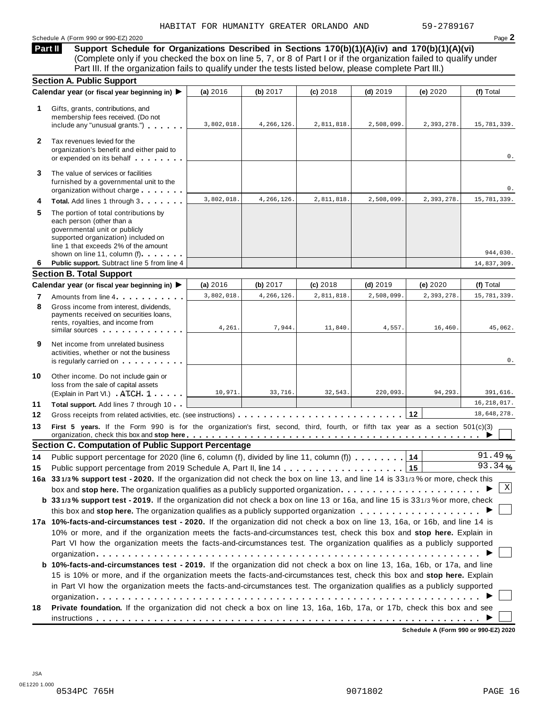#### Schedule <sup>A</sup> (Form <sup>990</sup> or 990-EZ) <sup>2020</sup> Page **2**

**Support Schedule for Organizations Described in Sections 170(b)(1)(A)(iv) and 170(b)(1)(A)(vi)** Complete only if you checked the box on line 5, 7, or 8 of Part I or if the organization failed to qualify under Part III. If the organization fails to qualify under the tests listed below, please complete Part III.) **Part II**

|              | <b>Section A. Public Support</b>                                                                                                                                                                                   |            |            |            |            |            |               |
|--------------|--------------------------------------------------------------------------------------------------------------------------------------------------------------------------------------------------------------------|------------|------------|------------|------------|------------|---------------|
|              | Calendar year (or fiscal year beginning in) ▶                                                                                                                                                                      | (a) 2016   | (b) 2017   | $(c)$ 2018 | $(d)$ 2019 | (e) 2020   | (f) Total     |
| 1.           | Gifts, grants, contributions, and<br>membership fees received. (Do not<br>include any "unusual grants.")                                                                                                           | 3,802,018. | 4,266,126. | 2,811,818. | 2,508,099. | 2,393,278. | 15,781,339.   |
| $\mathbf{2}$ | Tax revenues levied for the<br>organization's benefit and either paid to<br>or expended on its behalf                                                                                                              |            |            |            |            |            | 0.            |
| 3            | The value of services or facilities<br>furnished by a governmental unit to the<br>organization without charge                                                                                                      |            |            |            |            |            | 0.            |
| 4            | Total. Add lines 1 through 3                                                                                                                                                                                       | 3,802,018. | 4,266,126. | 2,811,818. | 2,508,099. | 2,393,278. | 15,781,339.   |
| 5            | The portion of total contributions by<br>each person (other than a<br>governmental unit or publicly<br>supported organization) included on<br>line 1 that exceeds 2% of the amount<br>shown on line 11, column (f) |            |            |            |            |            | 944,030.      |
| 6            | Public support. Subtract line 5 from line 4                                                                                                                                                                        |            |            |            |            |            | 14,837,309.   |
|              | <b>Section B. Total Support</b>                                                                                                                                                                                    |            |            |            |            |            |               |
|              | Calendar year (or fiscal year beginning in) ▶                                                                                                                                                                      | (a) 2016   | (b) 2017   | (c) 2018   | $(d)$ 2019 | (e) 2020   | (f) Total     |
| 7            | Amounts from line 4                                                                                                                                                                                                | 3,802,018. | 4,266,126. | 2,811,818. | 2,508,099  | 2,393,278. | 15,781,339.   |
| 8            | Gross income from interest, dividends,<br>payments received on securities loans,<br>rents, royalties, and income from<br>similar sources experiences                                                               | 4,261.     | 7,944.     | 11,840.    | 4,557.     | 16,460.    | 45,062.       |
| 9            | Net income from unrelated business<br>activities, whether or not the business<br>is regularly carried on the control of the set of the set of the set of the set of the set of the set of the s                    |            |            |            |            |            | 0.            |
| 10           | Other income. Do not include gain or<br>loss from the sale of capital assets<br>(Explain in Part VI.) ATCH 1                                                                                                       | 10,971.    | 33,716.    | 32,543.    | 220,093.   | 94,293.    | 391,616.      |
| 11           | Total support. Add lines 7 through 10                                                                                                                                                                              |            |            |            |            |            | 16, 218, 017. |
| 12           | Gross receipts from related activities, etc. (see instructions)                                                                                                                                                    |            |            |            |            | 12         | 18,648,278.   |
| 13           | First 5 years. If the Form 990 is for the organization's first, second, third, fourth, or fifth tax year as a section 501(c)(3)                                                                                    |            |            |            |            |            |               |
|              | <b>Section C. Computation of Public Support Percentage</b>                                                                                                                                                         |            |            |            |            |            |               |
| 14           | Public support percentage for 2020 (line 6, column (f), divided by line 11, column (f))                                                                                                                            |            |            |            |            | 14         | 91.49%        |
| 15           |                                                                                                                                                                                                                    |            |            |            |            | 15         | 93.34%        |
|              | 16a 331/3% support test - 2020. If the organization did not check the box on line 13, and line 14 is 331/3% or more, check this                                                                                    |            |            |            |            |            |               |
|              | box and stop here. The organization qualifies as a publicly supported organization $\ldots \ldots \ldots \ldots \ldots \ldots$                                                                                     |            |            |            |            |            | Χ             |
|              | b 331/3% support test - 2019. If the organization did not check a box on line 13 or 16a, and line 15 is 331/3% or more, check                                                                                      |            |            |            |            |            |               |
|              |                                                                                                                                                                                                                    |            |            |            |            |            |               |
|              | 17a 10%-facts-and-circumstances test - 2020. If the organization did not check a box on line 13, 16a, or 16b, and line 14 is                                                                                       |            |            |            |            |            |               |
|              | 10% or more, and if the organization meets the facts-and-circumstances test, check this box and stop here. Explain in                                                                                              |            |            |            |            |            |               |
|              | Part VI how the organization meets the facts-and-circumstances test. The organization qualifies as a publicly supported                                                                                            |            |            |            |            |            |               |
|              |                                                                                                                                                                                                                    |            |            |            |            |            |               |
|              | b 10%-facts-and-circumstances test - 2019. If the organization did not check a box on line 13, 16a, 16b, or 17a, and line                                                                                          |            |            |            |            |            |               |
|              | 15 is 10% or more, and if the organization meets the facts-and-circumstances test, check this box and stop here. Explain                                                                                           |            |            |            |            |            |               |
|              | in Part VI how the organization meets the facts-and-circumstances test. The organization qualifies as a publicly supported                                                                                         |            |            |            |            |            |               |
| 18           | Private foundation. If the organization did not check a box on line 13, 16a, 16b, 17a, or 17b, check this box and see                                                                                              |            |            |            |            |            |               |
|              |                                                                                                                                                                                                                    |            |            |            |            |            |               |
|              |                                                                                                                                                                                                                    |            |            |            |            |            |               |

**Schedule A (Form 990 or 990-EZ) 2020**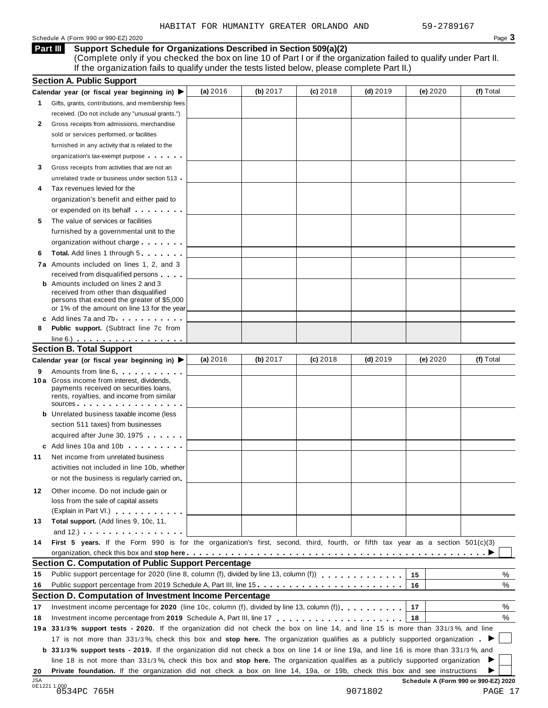#### Schedule <sup>A</sup> (Form <sup>990</sup> or 990-EZ) <sup>2020</sup> Page **3**

**Support Schedule for Organizations Described in Section 509(a)(2) Part III**

(Complete only if you checked the box on line 10 of Part I or if the organization failed to qualify under Part II. If the organization fails to qualify under the tests listed below, please complete Part II.)

|                      | <b>Section A. Public Support</b>                                                                                                                                                                                                                                                                                                            |          |          |            |            |          |           |
|----------------------|---------------------------------------------------------------------------------------------------------------------------------------------------------------------------------------------------------------------------------------------------------------------------------------------------------------------------------------------|----------|----------|------------|------------|----------|-----------|
|                      | Calendar year (or fiscal year beginning in) $\blacktriangleright$                                                                                                                                                                                                                                                                           | (a) 2016 | (b) 2017 | $(c)$ 2018 | $(d)$ 2019 | (e) 2020 | (f) Total |
| 1.                   | Gifts, grants, contributions, and membership fees                                                                                                                                                                                                                                                                                           |          |          |            |            |          |           |
|                      | received. (Do not include any "unusual grants.")                                                                                                                                                                                                                                                                                            |          |          |            |            |          |           |
| 2                    | Gross receipts from admissions, merchandise                                                                                                                                                                                                                                                                                                 |          |          |            |            |          |           |
|                      | sold or services performed, or facilities                                                                                                                                                                                                                                                                                                   |          |          |            |            |          |           |
|                      | furnished in any activity that is related to the                                                                                                                                                                                                                                                                                            |          |          |            |            |          |           |
|                      | organization's tax-exempt purpose                                                                                                                                                                                                                                                                                                           |          |          |            |            |          |           |
| 3                    | Gross receipts from activities that are not an                                                                                                                                                                                                                                                                                              |          |          |            |            |          |           |
|                      | unrelated trade or business under section 513                                                                                                                                                                                                                                                                                               |          |          |            |            |          |           |
| 4                    | Tax revenues levied for the                                                                                                                                                                                                                                                                                                                 |          |          |            |            |          |           |
|                      | organization's benefit and either paid to                                                                                                                                                                                                                                                                                                   |          |          |            |            |          |           |
|                      | or expended on its behalf <b>contained</b> on $\theta$                                                                                                                                                                                                                                                                                      |          |          |            |            |          |           |
| 5                    | The value of services or facilities                                                                                                                                                                                                                                                                                                         |          |          |            |            |          |           |
|                      | furnished by a governmental unit to the                                                                                                                                                                                                                                                                                                     |          |          |            |            |          |           |
|                      | organization without charge                                                                                                                                                                                                                                                                                                                 |          |          |            |            |          |           |
| 6                    | <b>Total.</b> Add lines 1 through 5                                                                                                                                                                                                                                                                                                         |          |          |            |            |          |           |
|                      | 7a Amounts included on lines 1, 2, and 3                                                                                                                                                                                                                                                                                                    |          |          |            |            |          |           |
|                      | received from disqualified persons                                                                                                                                                                                                                                                                                                          |          |          |            |            |          |           |
|                      | <b>b</b> Amounts included on lines 2 and 3                                                                                                                                                                                                                                                                                                  |          |          |            |            |          |           |
|                      | received from other than disqualified                                                                                                                                                                                                                                                                                                       |          |          |            |            |          |           |
|                      | persons that exceed the greater of \$5,000                                                                                                                                                                                                                                                                                                  |          |          |            |            |          |           |
|                      | or 1% of the amount on line 13 for the year<br>c Add lines 7a and 7b                                                                                                                                                                                                                                                                        |          |          |            |            |          |           |
| 8                    | <b>Public support.</b> (Subtract line 7c from                                                                                                                                                                                                                                                                                               |          |          |            |            |          |           |
|                      | $line 6.)$                                                                                                                                                                                                                                                                                                                                  |          |          |            |            |          |           |
|                      | <b>Section B. Total Support</b>                                                                                                                                                                                                                                                                                                             |          |          |            |            |          |           |
|                      | Calendar year (or fiscal year beginning in) ▶                                                                                                                                                                                                                                                                                               | (a) 2016 | (b) 2017 | $(c)$ 2018 | $(d)$ 2019 | (e) 2020 | (f) Total |
|                      |                                                                                                                                                                                                                                                                                                                                             |          |          |            |            |          |           |
| 9                    | Amounts from line 6<br><b>10a</b> Gross income from interest, dividends,                                                                                                                                                                                                                                                                    |          |          |            |            |          |           |
|                      | payments received on securities loans,                                                                                                                                                                                                                                                                                                      |          |          |            |            |          |           |
|                      | rents, royalties, and income from similar                                                                                                                                                                                                                                                                                                   |          |          |            |            |          |           |
|                      | SOUICES                                                                                                                                                                                                                                                                                                                                     |          |          |            |            |          |           |
|                      | <b>b</b> Unrelated business taxable income (less                                                                                                                                                                                                                                                                                            |          |          |            |            |          |           |
|                      | section 511 taxes) from businesses                                                                                                                                                                                                                                                                                                          |          |          |            |            |          |           |
|                      | acquired after June 30, 1975                                                                                                                                                                                                                                                                                                                |          |          |            |            |          |           |
|                      | c Add lines 10a and 10b                                                                                                                                                                                                                                                                                                                     |          |          |            |            |          |           |
| 11                   | Net income from unrelated business                                                                                                                                                                                                                                                                                                          |          |          |            |            |          |           |
|                      | activities not included in line 10b, whether                                                                                                                                                                                                                                                                                                |          |          |            |            |          |           |
|                      | or not the business is regularly carried on                                                                                                                                                                                                                                                                                                 |          |          |            |            |          |           |
| 12.                  | Other income. Do not include gain or                                                                                                                                                                                                                                                                                                        |          |          |            |            |          |           |
|                      | loss from the sale of capital assets                                                                                                                                                                                                                                                                                                        |          |          |            |            |          |           |
|                      | (Explain in Part VI.)                                                                                                                                                                                                                                                                                                                       |          |          |            |            |          |           |
| 13                   | Total support. (Add lines 9, 10c, 11,                                                                                                                                                                                                                                                                                                       |          |          |            |            |          |           |
|                      | and $12.$ ) $\qquad \qquad$ $\qquad \qquad$ $\qquad$ $\qquad$ $\qquad$ $\qquad$ $\qquad$ $\qquad$ $\qquad$ $\qquad$ $\qquad$ $\qquad$ $\qquad$ $\qquad$ $\qquad$ $\qquad$ $\qquad$ $\qquad$ $\qquad$ $\qquad$ $\qquad$ $\qquad$ $\qquad$ $\qquad$ $\qquad$ $\qquad$ $\qquad$ $\qquad$ $\qquad$ $\qquad$ $\qquad$ $\qquad$ $\qquad$ $\qquad$ |          |          |            |            |          |           |
| 14                   | First 5 years. If the Form 990 is for the organization's first, second, third, fourth, or fifth tax year as a section 501(c)(3)                                                                                                                                                                                                             |          |          |            |            |          |           |
|                      |                                                                                                                                                                                                                                                                                                                                             |          |          |            |            |          |           |
|                      | Section C. Computation of Public Support Percentage                                                                                                                                                                                                                                                                                         |          |          |            |            |          |           |
| 15                   | Public support percentage for 2020 (line 8, column (f), divided by line 13, column (f)                                                                                                                                                                                                                                                      |          |          |            |            | 15       | %         |
|                      | Public support percentage from 2019 Schedule A, Part III, line 15                                                                                                                                                                                                                                                                           |          |          |            |            | 16       | %         |
|                      |                                                                                                                                                                                                                                                                                                                                             |          |          |            |            |          |           |
|                      | Section D. Computation of Investment Income Percentage                                                                                                                                                                                                                                                                                      |          |          |            |            |          |           |
|                      | Investment income percentage for 2020 (line 10c, column (f), divided by line 13, column (f) $\ldots$ ,,,,,,,                                                                                                                                                                                                                                |          |          |            |            | 17       |           |
|                      |                                                                                                                                                                                                                                                                                                                                             |          |          |            |            | 18       |           |
|                      |                                                                                                                                                                                                                                                                                                                                             |          |          |            |            |          |           |
|                      | 19a 331/3% support tests - 2020. If the organization did not check the box on line 14, and line 15 is more than 331/3%, and line                                                                                                                                                                                                            |          |          |            |            |          |           |
|                      | 17 is not more than 331/3%, check this box and stop here. The organization qualifies as a publicly supported organization                                                                                                                                                                                                                   |          |          |            |            |          |           |
|                      | <b>b</b> 331/3% support tests - 2019. If the organization did not check a box on line 14 or line 19a, and line 16 is more than 331/3%, and                                                                                                                                                                                                  |          |          |            |            |          |           |
| 16<br>17<br>18<br>20 | line 18 is not more than 331/3%, check this box and stop here. The organization qualifies as a publicly supported organization<br>Private foundation. If the organization did not check a box on line 14, 19a, or 19b, check this box and see instructions                                                                                  |          |          |            |            |          | %<br>%    |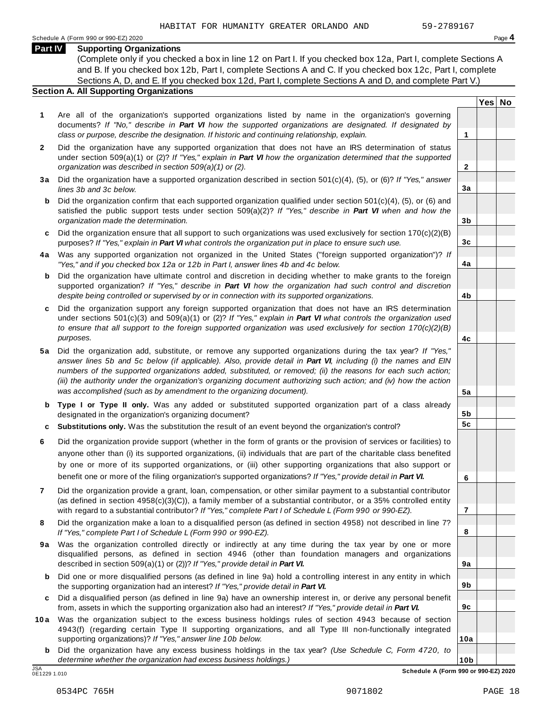**Yes No**

**2**

**3a**

**3b**

**3c**

**4a**

**4b**

**4c**

**5a**

**5b 5c**

**6**

**7**

**8**

**9a**

**9b**

**9c**

**10a**

#### **Part IV Supporting Organizations**

(Complete only if you checked a box in line 12 on Part I. If you checked box 12a, Part I, complete Sections A and B. If you checked box 12b, Part I, complete Sections A and C. If you checked box 12c, Part I, complete Sections A, D, and E. If you checked box 12d, Part I, complete Sections A and D, and complete Part V.)

### **Section A. All Supporting Organizations**

- **1** Are all of the organization's supported organizations listed by name in the organization's governing documents? *If "No," describe in Part VI how the supported organizations are designated. If designated by class or purpose, describe the designation. If historic and continuing relationship, explain.* **1**
- **2** Did the organization have any supported organization that does not have an IRS determination of status under section 509(a)(1) or (2)? *If"Yes," explain in Part VI how the organization determined that the supported organization was described in section 509(a)(1) or (2).*
- **3 a** Did the organization have a supported organization described in section 501(c)(4), (5), or (6)? *If "Yes," answer lines 3b and 3c below.*
- **b** Did the organization confirm that each supported organization qualified under section 501(c)(4), (5), or (6) and | satisfied the public support tests under section 509(a)(2)? *If "Yes," describe in Part VI when and how the organization made the determination.*
- **c** Did the organization ensure that all support to such organizations was used exclusively for section 170(c)(2)(B) purposes? *If"Yes," explain in Part VI what controls the organization put in place to ensure such use.*
- **4 a** Was any supported organization not organized in the United States ("foreign supported organization")? *If "Yes," and if you checked box 12a or 12b in Part I, answer lines 4b and 4c below.*
- **b** Did the organization have ultimate control and discretion in deciding whether to make grants to the foreign | supported organization? *If "Yes," describe in Part VI how the organization had such control and discretion despite being controlled or supervised by or in connection with its supported organizations.*
- **c** Did the organization support any foreign supported organization that does not have an IRS determination | under sections 501(c)(3) and 509(a)(1) or (2)? *If "Yes," explain in Part VI what controls the organization used to ensure that all support to the foreign supported organization was used exclusively for section 170(c)(2)(B) purposes.*
- **5 a** Did the organization add, substitute, or remove any supported organizations during the tax year? *If "Yes,"* answer lines 5b and 5c below (if applicable). Also, provide detail in Part VI, including (i) the names and EIN *numbers of the supported organizations added, substituted, or removed; (ii) the reasons for each such action;* (iii) the authority under the organization's organizing document authorizing such action; and (iv) how the action *was accomplished (such as by amendment to the organizing document).*
- **b Type I or Type II only.** Was any added or substituted supported organization part of a class already designated in the organization's organizing document?
- **c Substitutions only.** Was the substitution the result of an event beyond the organization's control?
- **6** Did the organization provide support (whether in the form of grants or the provision of services or facilities) to anyone other than (i) its supported organizations, (ii) individuals that are part of the charitable class benefited by one or more of its supported organizations, or (iii) other supporting organizations that also support or benefit one or more of the filing organization's supported organizations? *If"Yes," provide detail in Part VI.*
- **7** Did the organization provide a grant, loan, compensation, or other similar payment to a substantial contributor (as defined in section 4958(c)(3)(C)), a family member of a substantial contributor, or a 35% controlled entity with regard to a substantial contributor? *If"Yes," complete Part I of Schedule L (Form 990 or 990-EZ).*
- **8** Did the organization make a loan to a disqualified person (as defined in section 4958) not described in line 7? *If "Yes," complete Part I of Schedule L (Form 990 or 990-EZ).*
- **9a** Was the organization controlled directly or indirectly at any time during the tax year by one or more | disqualified persons, as defined in section 4946 (other than foundation managers and organizations described in section 509(a)(1) or (2))? *If"Yes," provide detail in Part VI.*
- **b** Did one or more disqualified persons (as defined in line 9a) hold a controlling interest in any entity in which | the supporting organization had an interest? *If"Yes," provide detail in Part VI.*
- **c** Did a disqualified person (as defined in line 9a) have an ownership interest in, or derive any personal benefit from, assets in which the supporting organization also had an interest? *If"Yes," provide detail in Part VI.*
- **10a** Was the organization subject to the excess business holdings rules of section 4943 because of section | 4943(f) (regarding certain Type II supporting organizations, and all Type III non-functionally integrated supporting organizations)? *If"Yes," answer line 10b below.*
	- **b** Did the organization have any excess business holdings in the tax year? *(Use Schedule C, Form 4720, to determine whether the organization had excess business holdings.)*

0E1229 1.010

**10b** JSA **Schedule A (Form 990 or 990-EZ) 2020**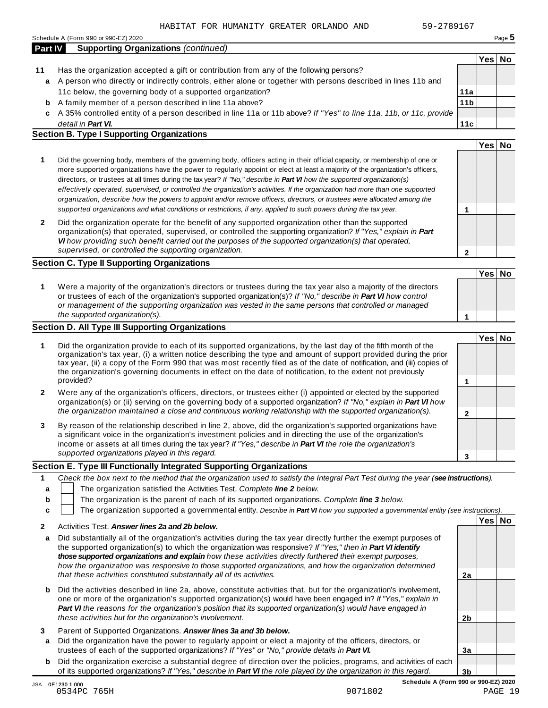**11a 11b**

**11c**

**2**

|                | Schedule A (Form 990 or 990-EZ) 2020                                                                           |        | Page 5 |
|----------------|----------------------------------------------------------------------------------------------------------------|--------|--------|
| <b>Part IV</b> | <b>Supporting Organizations (continued)</b>                                                                    |        |        |
|                |                                                                                                                | Yes No |        |
|                | Has the organization accepted a gift or contribution from any of the following persons?                        |        |        |
| a              | A person who directly or indirectly controls, either alone or together with persons described in lines 11b and |        |        |

- 11c below, the governing body of a supported organization? A family member of a person described in line 11a above? **b**
- A 35% controlled entity of a person described in line 11a or 11b above? *If"Yes" to line 11a, 11b, or 11c, provide* **c** *detail in Part VI.*

#### **Section B. Type I Supporting Organizations**

|                                                                                                                                                                                                                                                                                                                                                                                                                                                                                                                                                                                                                                                                                                                                                                                 |   | Yes |  |
|---------------------------------------------------------------------------------------------------------------------------------------------------------------------------------------------------------------------------------------------------------------------------------------------------------------------------------------------------------------------------------------------------------------------------------------------------------------------------------------------------------------------------------------------------------------------------------------------------------------------------------------------------------------------------------------------------------------------------------------------------------------------------------|---|-----|--|
| Did the governing body, members of the governing body, officers acting in their official capacity, or membership of one or<br>more supported organizations have the power to regularly appoint or elect at least a majority of the organization's officers,<br>directors, or trustees at all times during the tax year? If "No," describe in <b>Part VI</b> how the supported organization(s)<br>effectively operated, supervised, or controlled the organization's activities. If the organization had more than one supported<br>organization, describe how the powers to appoint and/or remove officers, directors, or trustees were allocated among the<br>supported organizations and what conditions or restrictions, if any, applied to such powers during the tax year. |   |     |  |
| Did the organization operate for the benefit of any supported organization other than the supported<br>organization(s) that operated, supervised, or controlled the supporting organization? If "Yes," explain in Part<br>VI how providing such benefit carried out the purposes of the supported organization(s) that operated,<br>supervised, or controlled the supporting organization.                                                                                                                                                                                                                                                                                                                                                                                      | ົ |     |  |

#### **Section C. Type II Supporting Organizations**

|                                                                                                                                                                                                                                                                                                                                                                               | 'Yes∣ No |  |
|-------------------------------------------------------------------------------------------------------------------------------------------------------------------------------------------------------------------------------------------------------------------------------------------------------------------------------------------------------------------------------|----------|--|
| Were a majority of the organization's directors or trustees during the tax year also a majority of the directors<br>or trustees of each of the organization's supported organization(s)? If "No," describe in Part VI how control<br>or management of the supporting organization was vested in the same persons that controlled or managed<br>the supported organization(s). |          |  |

### **Section D. All Type III Supporting Organizations**

|   |                                                                                                                                                                                                                                                                                                                                                                                                                                                                                          |  | Yes⊺ |  |
|---|------------------------------------------------------------------------------------------------------------------------------------------------------------------------------------------------------------------------------------------------------------------------------------------------------------------------------------------------------------------------------------------------------------------------------------------------------------------------------------------|--|------|--|
|   | Did the organization provide to each of its supported organizations, by the last day of the fifth month of the<br>organization's tax year, (i) a written notice describing the type and amount of support provided during the prior<br>tax year, (ii) a copy of the Form 990 that was most recently filed as of the date of notification, and (iii) copies of<br>the organization's governing documents in effect on the date of notification, to the extent not previously<br>provided? |  |      |  |
| 2 | Were any of the organization's officers, directors, or trustees either (i) appointed or elected by the supported<br>organization(s) or (ii) serving on the governing body of a supported organization? If "No," explain in <b>Part VI</b> how                                                                                                                                                                                                                                            |  |      |  |
|   | the organization maintained a close and continuous working relationship with the supported organization(s).                                                                                                                                                                                                                                                                                                                                                                              |  |      |  |
| 3 | By reason of the relationship described in line 2, above, did the organization's supported organizations have<br>a significant voice in the organization's investment policies and in directing the use of the organization's<br>income or assets at all times during the tax year? If "Yes," describe in Part VI the role the organization's                                                                                                                                            |  |      |  |
|   | supported organizations played in this regard.                                                                                                                                                                                                                                                                                                                                                                                                                                           |  |      |  |

#### **Section E. Type III Functionally Integrated Supporting Organizations**

|   | Check the box next to the method that the organization used to satisfy the Integral Part Test during the year (see instructions).                 |      |           |
|---|---------------------------------------------------------------------------------------------------------------------------------------------------|------|-----------|
|   | The organization satisfied the Activities Test. Complete line 2 below.                                                                            |      |           |
| b | The organization is the parent of each of its supported organizations. Complete line 3 below.                                                     |      |           |
|   | The organization supported a governmental entity. Describe in Part VI how you supported a governmental entity (see instructions).                 |      |           |
|   | $\Lambda$ and interest $\mathbf{T}$ and $\mathbf{A}$ are constant in the constant $\mathbf{A}$ and $\mathbf{A}$ and $\mathbf{A}$ and $\mathbf{A}$ | Yesl | <b>No</b> |

|   | Activities Test. Answer lines 2a and 2b below.                                                                                                                                                                                                                                                                                                                                                                                                                                                                                      |    |  |
|---|-------------------------------------------------------------------------------------------------------------------------------------------------------------------------------------------------------------------------------------------------------------------------------------------------------------------------------------------------------------------------------------------------------------------------------------------------------------------------------------------------------------------------------------|----|--|
| a | Did substantially all of the organization's activities during the tax year directly further the exempt purposes of<br>the supported organization(s) to which the organization was responsive? If "Yes," then in Part VI identify<br>those supported organizations and explain how these activities directly furthered their exempt purposes.<br>how the organization was responsive to those supported organizations, and how the organization determined<br>that these activities constituted substantially all of its activities. | 2a |  |
| b | Did the activities described in line 2a, above, constitute activities that, but for the organization's involvement,<br>one or more of the organization's supported organization(s) would have been engaged in? If "Yes," explain in<br>Part VI the reasons for the organization's position that its supported organization(s) would have engaged in<br>these activities but for the organization's involvement.                                                                                                                     | 2b |  |
| a | Parent of Supported Organizations. Answer lines 3a and 3b below.<br>Did the organization have the power to regularly appoint or elect a majority of the officers, directors, or<br>trustees of each of the supported organizations? If "Yes" or "No," provide details in Part VI.                                                                                                                                                                                                                                                   | 3a |  |
| b | Did the organization exercise a substantial degree of direction over the policies, programs, and activities of each<br>of its supported organizations? If "Yes," describe in Part VI the role played by the organization in this regard.                                                                                                                                                                                                                                                                                            | 3b |  |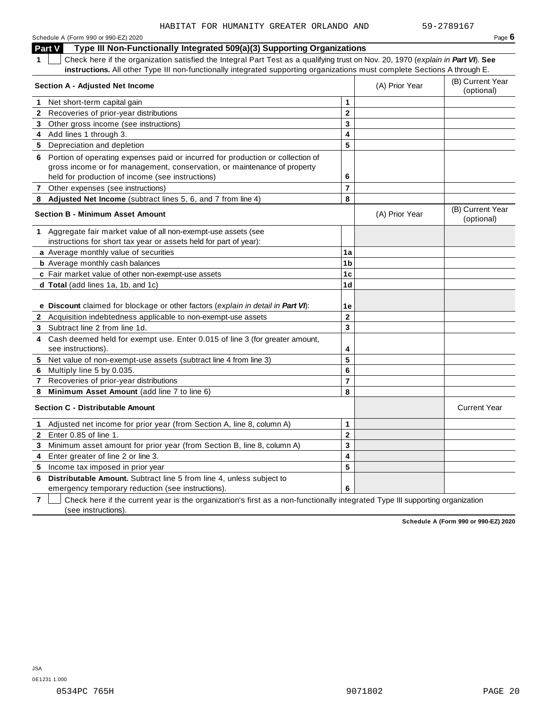| Schedule A (Form 990 or 990-EZ) 2020                                                                                                                                                                             |                         |                | Page $6$                       |
|------------------------------------------------------------------------------------------------------------------------------------------------------------------------------------------------------------------|-------------------------|----------------|--------------------------------|
| Type III Non-Functionally Integrated 509(a)(3) Supporting Organizations<br>Part V                                                                                                                                |                         |                |                                |
| Check here if the organization satisfied the Integral Part Test as a qualifying trust on Nov. 20, 1970 (explain in Part VI). See<br>1.                                                                           |                         |                |                                |
| instructions. All other Type III non-functionally integrated supporting organizations must complete Sections A through E.                                                                                        |                         |                |                                |
| <b>Section A - Adjusted Net Income</b>                                                                                                                                                                           |                         | (A) Prior Year | (B) Current Year<br>(optional) |
| Net short-term capital gain<br>1.                                                                                                                                                                                | $\mathbf{1}$            |                |                                |
| Recoveries of prior-year distributions<br>$\mathbf{2}$                                                                                                                                                           | $\mathbf 2$             |                |                                |
| Other gross income (see instructions)<br>3                                                                                                                                                                       | $\overline{\mathbf{3}}$ |                |                                |
| 4 Add lines 1 through 3.                                                                                                                                                                                         | $\overline{\mathbf{4}}$ |                |                                |
| Depreciation and depletion<br>5                                                                                                                                                                                  | 5                       |                |                                |
| 6 Portion of operating expenses paid or incurred for production or collection of<br>gross income or for management, conservation, or maintenance of property<br>held for production of income (see instructions) | 6                       |                |                                |
| 7 Other expenses (see instructions)                                                                                                                                                                              | $\overline{7}$          |                |                                |
| 8 Adjusted Net Income (subtract lines 5, 6, and 7 from line 4)                                                                                                                                                   | 8                       |                |                                |
| <b>Section B - Minimum Asset Amount</b>                                                                                                                                                                          |                         | (A) Prior Year | (B) Current Year<br>(optional) |
| Aggregate fair market value of all non-exempt-use assets (see<br>1<br>instructions for short tax year or assets held for part of year):                                                                          |                         |                |                                |
| a Average monthly value of securities                                                                                                                                                                            | 1a                      |                |                                |
| <b>b</b> Average monthly cash balances                                                                                                                                                                           | 1 <sub>b</sub>          |                |                                |
| c Fair market value of other non-exempt-use assets                                                                                                                                                               | 1 <sub>c</sub>          |                |                                |
| d Total (add lines 1a, 1b, and 1c)                                                                                                                                                                               | 1 <sub>d</sub>          |                |                                |
|                                                                                                                                                                                                                  |                         |                |                                |
| e Discount claimed for blockage or other factors (explain in detail in Part VI):                                                                                                                                 | 1e                      |                |                                |
| 2 Acquisition indebtedness applicable to non-exempt-use assets                                                                                                                                                   | $\overline{2}$          |                |                                |
| 3 Subtract line 2 from line 1d.                                                                                                                                                                                  | $\overline{\mathbf{3}}$ |                |                                |
| Cash deemed held for exempt use. Enter 0.015 of line 3 (for greater amount,<br>4<br>see instructions).                                                                                                           | 4                       |                |                                |
| 5 Net value of non-exempt-use assets (subtract line 4 from line 3)                                                                                                                                               | 5                       |                |                                |
| Multiply line 5 by 0.035.<br>6                                                                                                                                                                                   | 6                       |                |                                |
| 7 Recoveries of prior-year distributions                                                                                                                                                                         | $\overline{7}$          |                |                                |
| Minimum Asset Amount (add line 7 to line 6)<br>8                                                                                                                                                                 | 8                       |                |                                |
| <b>Section C - Distributable Amount</b>                                                                                                                                                                          |                         |                | <b>Current Year</b>            |
| Adjusted net income for prior year (from Section A, line 8, column A)<br>1.                                                                                                                                      | 1                       |                |                                |
| Enter 0.85 of line 1.<br>$\mathbf{2}$                                                                                                                                                                            | $\overline{\mathbf{c}}$ |                |                                |
| Minimum asset amount for prior year (from Section B, line 8, column A)<br>3                                                                                                                                      | 3                       |                |                                |
| Enter greater of line 2 or line 3.<br>4                                                                                                                                                                          | 4                       |                |                                |
| Income tax imposed in prior year<br>5                                                                                                                                                                            | 5                       |                |                                |
| Distributable Amount. Subtract line 5 from line 4, unless subject to<br>6                                                                                                                                        |                         |                |                                |

emergency temporary reduction (see instructions).

**7** Check here if the current year is the organization's first as a non-functionally integrated Type III supporting organization (see instructions).

**Schedule A (Form 990 or 990-EZ) 2020**

**6**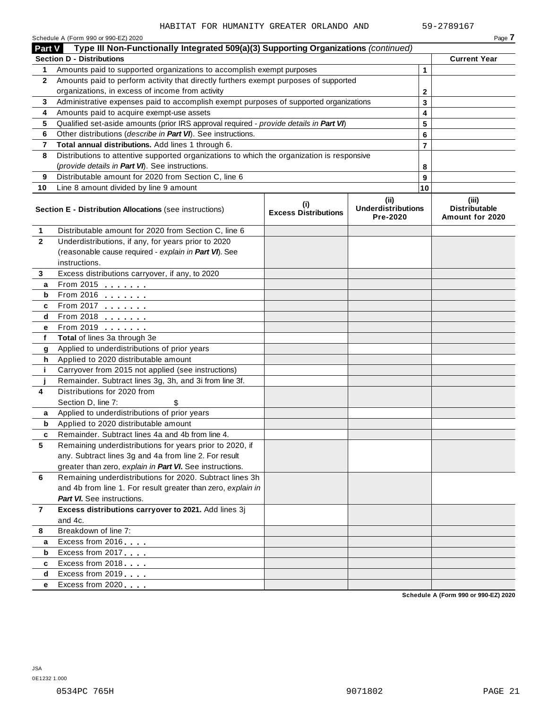|                                                                                                      | Schedule A (Form 990 or 990-EZ) 2020                                                       |                                            |                                               |                | Page 7                                        |  |  |
|------------------------------------------------------------------------------------------------------|--------------------------------------------------------------------------------------------|--------------------------------------------|-----------------------------------------------|----------------|-----------------------------------------------|--|--|
| Type III Non-Functionally Integrated 509(a)(3) Supporting Organizations (continued)<br><b>Part V</b> |                                                                                            |                                            |                                               |                |                                               |  |  |
|                                                                                                      | <b>Section D - Distributions</b>                                                           |                                            |                                               |                | <b>Current Year</b>                           |  |  |
| 1.                                                                                                   | Amounts paid to supported organizations to accomplish exempt purposes                      |                                            | $\mathbf 1$                                   |                |                                               |  |  |
| 2                                                                                                    | Amounts paid to perform activity that directly furthers exempt purposes of supported       |                                            |                                               |                |                                               |  |  |
|                                                                                                      | organizations, in excess of income from activity                                           |                                            | 2                                             |                |                                               |  |  |
| 3                                                                                                    | Administrative expenses paid to accomplish exempt purposes of supported organizations      |                                            |                                               | 3              |                                               |  |  |
| 4                                                                                                    | Amounts paid to acquire exempt-use assets                                                  |                                            |                                               | 4              |                                               |  |  |
| 5                                                                                                    | Qualified set-aside amounts (prior IRS approval required - provide details in Part VI)     |                                            |                                               | 5              |                                               |  |  |
| 6                                                                                                    | Other distributions (describe in Part VI). See instructions.                               |                                            |                                               | 6              |                                               |  |  |
| 7                                                                                                    | Total annual distributions. Add lines 1 through 6.                                         |                                            |                                               | $\overline{7}$ |                                               |  |  |
| 8                                                                                                    | Distributions to attentive supported organizations to which the organization is responsive |                                            |                                               |                |                                               |  |  |
|                                                                                                      | (provide details in Part VI). See instructions.                                            |                                            |                                               | 8              |                                               |  |  |
| 9                                                                                                    | Distributable amount for 2020 from Section C, line 6                                       |                                            |                                               | 9              |                                               |  |  |
| 10                                                                                                   | Line 8 amount divided by line 9 amount                                                     |                                            |                                               | 10             |                                               |  |  |
|                                                                                                      | <b>Section E - Distribution Allocations (see instructions)</b>                             | $\sf^{(i)}$<br><b>Excess Distributions</b> | (ii)<br><b>Underdistributions</b><br>Pre-2020 |                | (iii)<br>Distributable<br>Amount for 2020     |  |  |
| 1                                                                                                    | Distributable amount for 2020 from Section C, line 6                                       |                                            |                                               |                |                                               |  |  |
| $\overline{2}$                                                                                       | Underdistributions, if any, for years prior to 2020                                        |                                            |                                               |                |                                               |  |  |
|                                                                                                      | (reasonable cause required - explain in Part VI). See                                      |                                            |                                               |                |                                               |  |  |
|                                                                                                      | instructions.                                                                              |                                            |                                               |                |                                               |  |  |
| 3                                                                                                    | Excess distributions carryover, if any, to 2020                                            |                                            |                                               |                |                                               |  |  |
| a                                                                                                    | From 2015                                                                                  |                                            |                                               |                |                                               |  |  |
| b                                                                                                    | From 2016 $\frac{2016}{200}$                                                               |                                            |                                               |                |                                               |  |  |
| c                                                                                                    | From 2017                                                                                  |                                            |                                               |                |                                               |  |  |
| d                                                                                                    | From 2018                                                                                  |                                            |                                               |                |                                               |  |  |
| е                                                                                                    | From 2019 <b></b>                                                                          |                                            |                                               |                |                                               |  |  |
| f                                                                                                    | Total of lines 3a through 3e                                                               |                                            |                                               |                |                                               |  |  |
| g                                                                                                    | Applied to underdistributions of prior years                                               |                                            |                                               |                |                                               |  |  |
| h                                                                                                    | Applied to 2020 distributable amount                                                       |                                            |                                               |                |                                               |  |  |
| j.                                                                                                   | Carryover from 2015 not applied (see instructions)                                         |                                            |                                               |                |                                               |  |  |
|                                                                                                      | Remainder. Subtract lines 3g, 3h, and 3i from line 3f.                                     |                                            |                                               |                |                                               |  |  |
| 4                                                                                                    | Distributions for 2020 from                                                                |                                            |                                               |                |                                               |  |  |
|                                                                                                      | Section D, line 7:                                                                         |                                            |                                               |                |                                               |  |  |
| a                                                                                                    | Applied to underdistributions of prior years                                               |                                            |                                               |                |                                               |  |  |
| b                                                                                                    | Applied to 2020 distributable amount                                                       |                                            |                                               |                |                                               |  |  |
| c                                                                                                    | Remainder. Subtract lines 4a and 4b from line 4.                                           |                                            |                                               |                |                                               |  |  |
| 5                                                                                                    | Remaining underdistributions for years prior to 2020, if                                   |                                            |                                               |                |                                               |  |  |
|                                                                                                      | any. Subtract lines 3g and 4a from line 2. For result                                      |                                            |                                               |                |                                               |  |  |
|                                                                                                      | greater than zero, explain in Part VI. See instructions.                                   |                                            |                                               |                |                                               |  |  |
| 6                                                                                                    | Remaining underdistributions for 2020. Subtract lines 3h                                   |                                            |                                               |                |                                               |  |  |
|                                                                                                      | and 4b from line 1. For result greater than zero, explain in                               |                                            |                                               |                |                                               |  |  |
|                                                                                                      | <b>Part VI.</b> See instructions.                                                          |                                            |                                               |                |                                               |  |  |
| 7                                                                                                    | Excess distributions carryover to 2021. Add lines 3j                                       |                                            |                                               |                |                                               |  |  |
|                                                                                                      | and 4c.                                                                                    |                                            |                                               |                |                                               |  |  |
| 8                                                                                                    | Breakdown of line 7:                                                                       |                                            |                                               |                |                                               |  |  |
| а                                                                                                    | Excess from 2016                                                                           |                                            |                                               |                |                                               |  |  |
| b                                                                                                    | Excess from 2017                                                                           |                                            |                                               |                |                                               |  |  |
| c                                                                                                    | Excess from 2018                                                                           |                                            |                                               |                |                                               |  |  |
| d                                                                                                    | Excess from 2019                                                                           |                                            |                                               |                |                                               |  |  |
| е                                                                                                    | Excess from 2020                                                                           |                                            |                                               |                | <b>Calcedule A (Fause 000 as 000 F7) 2020</b> |  |  |

**Schedule A (Form 990 or 990-EZ) 2020**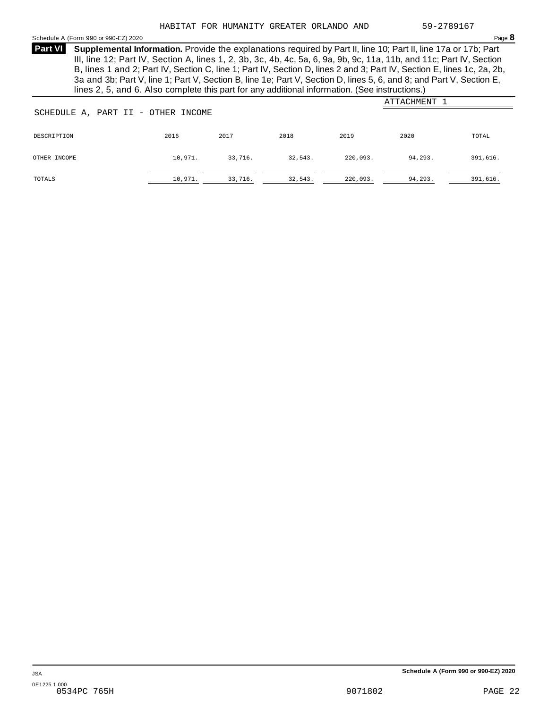<span id="page-19-0"></span>Schedule <sup>A</sup> (Form <sup>990</sup> or 990-EZ) <sup>2020</sup> Page **8**

**Supplemental Information.** Provide the explanations required by Part II, line 10; Part II, line 17a or 17b; Part **Part VI** III, line 12; Part IV, Section A, lines 1, 2, 3b, 3c, 4b, 4c, 5a, 6, 9a, 9b, 9c, 11a, 11b, and 11c; Part IV, Section B, lines 1 and 2; Part IV, Section C, line 1; Part IV, Section D, lines 2 and 3; Part IV, Section E, lines 1c, 2a, 2b, 3a and 3b; Part V, line 1; Part V, Section B, line 1e; Part V, Section D, lines 5, 6, and 8; and Part V, Section E, lines 2, 5, and 6. Also complete this part for any additional information. (See instructions.)

| SCHEDULE A, PART II - OTHER INCOME |         |         |         |          | ATTACHMENT |          |
|------------------------------------|---------|---------|---------|----------|------------|----------|
| DESCRIPTION                        | 2016    | 2017    | 2018    | 2019     | 2020       | TOTAL    |
| OTHER INCOME                       | 10,971. | 33,716. | 32,543. | 220,093. | 94,293.    | 391,616. |
| TOTALS                             | 10,971. | 33,716. | 32,543. | 220,093. | 94, 293.   | 391,616. |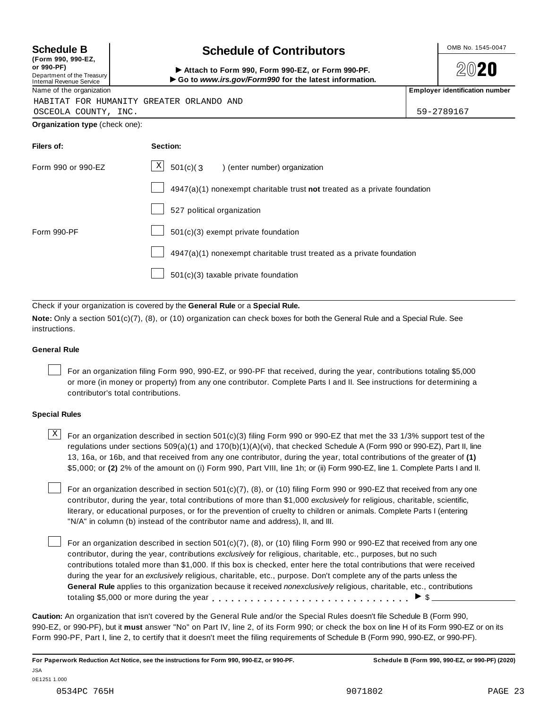| (Form 990, 990-EZ,         |
|----------------------------|
| or 990-PF)                 |
| Department of the Treasury |
| Internal Revenue Service   |

### **Schedule B chedule of Contributors**

(Form 990, 990-EZ,<br>
or 990-PF,<br>
Department of the Treasury **COLOCY**<br>
Internal Revenue Service **COLOCY**<br>
Name of the organization<br>
Name of the organization



HABITAT FOR HUMANITY GREATER ORLANDO AND

OSCEOLA COUNTY, INC. 59-2789167

**Organization type** (check one):

| Filers of:         | Section:                                                                    |
|--------------------|-----------------------------------------------------------------------------|
| Form 990 or 990-EZ | $\mathbf{X}$<br>$501(c)$ (3<br>) (enter number) organization                |
|                    | $4947(a)(1)$ nonexempt charitable trust not treated as a private foundation |
|                    | 527 political organization                                                  |
| Form 990-PF        | 501(c)(3) exempt private foundation                                         |
|                    | 4947(a)(1) nonexempt charitable trust treated as a private foundation       |
|                    | 501(c)(3) taxable private foundation                                        |

Check if your organization is covered by the **General Rule** or a **Special Rule.**

**Note:** Only a section 501(c)(7), (8), or (10) organization can check boxes for both the General Rule and a Special Rule. See instructions.

#### **General Rule**

For an organization filing Form 990, 990-EZ, or 990-PF that received, during the year, contributions totaling \$5,000 or more (in money or property) from any one contributor. Complete Parts I and II. See instructions for determining a contributor's total contributions.

#### **Special Rules**

 $\text{X}$  For an organization described in section 501(c)(3) filing Form 990 or 990-EZ that met the 33 1/3% support test of the regulations under sections 509(a)(1) and 170(b)(1)(A)(vi), that checked Schedule A (Form 990 or 990-EZ), Part II, line 13, 16a, or 16b, and that received from any one contributor, during the year, total contributions of the greater of **(1)** \$5,000; or **(2)** 2% of the amount on (i) Form 990, Part VIII, line 1h; or (ii) Form 990-EZ, line 1. Complete Parts I and II.

For an organization described in section 501(c)(7), (8), or (10) filing Form 990 or 990-EZ that received from any one contributor, during the year, total contributions of more than \$1,000 *exclusively* for religious, charitable, scientific, literary, or educational purposes, or for the prevention of cruelty to children or animals. Complete Parts I (entering "N/A" in column (b) instead of the contributor name and address), II, and III.

For an organization described in section 501(c)(7), (8), or (10) filing Form 990 or 990-EZ that received from any one contributor, during the year, contributions *exclusively* for religious, charitable, etc., purposes, but no such contributions totaled more than \$1,000. If this box is checked, enter here the total contributions that were received during the year for an *exclusively* religious, charitable, etc., purpose. Don't complete any of the parts unless the **General Rule** applies to this organization because it received *nonexclusively* religious, charitable, etc., contributions totaling \$5,000 or more during the year  $\ldots \ldots \ldots \ldots \ldots \ldots \ldots \ldots \ldots \vdots$ 

**Caution:** An organization that isn't covered by the General Rule and/or the Special Rules doesn't file Schedule B (Form 990, 990-EZ, or 990-PF), but it **must** answer "No" on Part IV, line 2, of its Form 990; or check the box on line H of its Form 990-EZ or on its Form 990-PF, Part I, line 2, to certify that it doesn't meet the filing requirements of Schedule B (Form 990, 990-EZ, or 990-PF).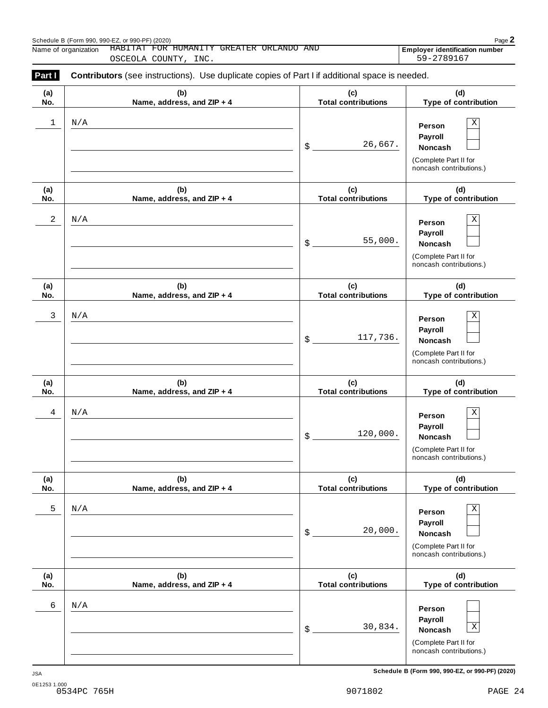|            | HABITAT FOR HUMANITY GREATER ORLANDO AND<br>Name of organization<br>OSCEOLA COUNTY, INC.       | <b>Employer identification number</b><br>59-2789167 |                                                                                                 |  |  |  |  |
|------------|------------------------------------------------------------------------------------------------|-----------------------------------------------------|-------------------------------------------------------------------------------------------------|--|--|--|--|
| Part I     | Contributors (see instructions). Use duplicate copies of Part I if additional space is needed. |                                                     |                                                                                                 |  |  |  |  |
| (a)<br>No. | (b)<br>Name, address, and ZIP + 4                                                              | (c)<br><b>Total contributions</b>                   | (d)<br>Type of contribution                                                                     |  |  |  |  |
| 1          | N/A                                                                                            | 26,667.<br>$\boldsymbol{\mathsf{S}}$                | Χ<br>Person<br>Payroll<br>Noncash<br>(Complete Part II for<br>noncash contributions.)           |  |  |  |  |
| (a)<br>No. | (b)<br>Name, address, and ZIP + 4                                                              | (c)<br><b>Total contributions</b>                   | (d)<br>Type of contribution                                                                     |  |  |  |  |
| 2          | N/A                                                                                            | 55,000.<br>$\boldsymbol{\mathsf{S}}$                | Χ<br>Person<br>Payroll<br>Noncash<br>(Complete Part II for<br>noncash contributions.)           |  |  |  |  |
| (a)<br>No. | (b)<br>Name, address, and ZIP + 4                                                              | (c)<br><b>Total contributions</b>                   | (d)<br>Type of contribution                                                                     |  |  |  |  |
| 3          | N/A                                                                                            | 117,736.<br>$\boldsymbol{\mathsf{S}}$               | Χ<br>Person<br>Payroll<br>Noncash<br>(Complete Part II for<br>noncash contributions.)           |  |  |  |  |
| (a)<br>No. | (b)<br>Name, address, and ZIP + 4                                                              | (c)<br><b>Total contributions</b>                   | (d)<br>Type of contribution                                                                     |  |  |  |  |
| 4          | N/A                                                                                            | 120,000.<br>\$                                      | Χ<br>Person<br>Payroll<br><b>Noncash</b><br>(Complete Part II for<br>noncash contributions.)    |  |  |  |  |
| (a)<br>No. | (b)<br>Name, address, and ZIP + 4                                                              | (c)<br><b>Total contributions</b>                   | (d)<br>Type of contribution                                                                     |  |  |  |  |
| 5          | N/A                                                                                            | 20,000.<br>\$                                       | Χ<br>Person<br>Payroll<br>Noncash<br>(Complete Part II for<br>noncash contributions.)           |  |  |  |  |
| (a)<br>No. | (b)<br>Name, address, and ZIP + 4                                                              | (c)<br><b>Total contributions</b>                   | (d)<br>Type of contribution                                                                     |  |  |  |  |
| 6          | N/A                                                                                            | 30,834.<br>\$                                       | Person<br>Payroll<br>$\mathbf X$<br>Noncash<br>(Complete Part II for<br>noncash contributions.) |  |  |  |  |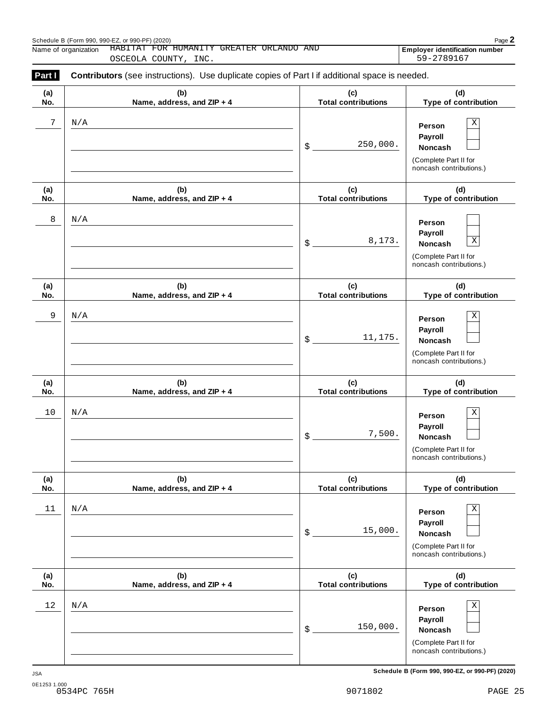|            | HABITAT FOR HUMANITY GREATER ORLANDO AND<br>Name of organization<br>OSCEOLA COUNTY, INC.       | Employer identification number<br>59-2789167 |                                                                                                             |  |  |  |  |
|------------|------------------------------------------------------------------------------------------------|----------------------------------------------|-------------------------------------------------------------------------------------------------------------|--|--|--|--|
| Part I     | Contributors (see instructions). Use duplicate copies of Part I if additional space is needed. |                                              |                                                                                                             |  |  |  |  |
| (a)<br>No. | (b)<br>Name, address, and ZIP + 4                                                              | (c)<br><b>Total contributions</b>            | (d)<br>Type of contribution                                                                                 |  |  |  |  |
| 7          | N/A                                                                                            | 250,000.<br>\$                               | Χ<br>Person<br>Payroll<br>Noncash<br>(Complete Part II for<br>noncash contributions.)                       |  |  |  |  |
| (a)<br>No. | (b)<br>Name, address, and ZIP + 4                                                              | (c)<br><b>Total contributions</b>            | (d)<br>Type of contribution                                                                                 |  |  |  |  |
| 8          | N/A                                                                                            | 8,173.<br>$\boldsymbol{\mathsf{S}}$          | Person<br>Payroll<br>$\overline{\textbf{X}}$<br>Noncash<br>(Complete Part II for<br>noncash contributions.) |  |  |  |  |
| (a)<br>No. | (b)<br>Name, address, and ZIP + 4                                                              | (c)<br><b>Total contributions</b>            | (d)<br><b>Type of contribution</b>                                                                          |  |  |  |  |
| 9          | N/A                                                                                            | 11,175.<br>$\boldsymbol{\mathsf{S}}$         | Χ<br>Person<br>Payroll<br>Noncash<br>(Complete Part II for<br>noncash contributions.)                       |  |  |  |  |
| (a)<br>No. | (b)<br>Name, address, and ZIP + 4                                                              | (c)<br><b>Total contributions</b>            | (d)<br>Type of contribution                                                                                 |  |  |  |  |
| 10         | N/A                                                                                            | 7,500.<br>\$                                 | Χ<br>Person<br>Payroll<br>Noncash<br>(Complete Part II for<br>noncash contributions.)                       |  |  |  |  |
| (a)<br>No. | (b)<br>Name, address, and ZIP + 4                                                              | (c)<br><b>Total contributions</b>            | (d)<br>Type of contribution                                                                                 |  |  |  |  |
| 11         | N/A                                                                                            | 15,000.<br>\$                                | $\mathbf X$<br>Person<br>Payroll<br>Noncash<br>(Complete Part II for<br>noncash contributions.)             |  |  |  |  |
| (a)<br>No. | (b)<br>Name, address, and ZIP + 4                                                              | (c)<br><b>Total contributions</b>            | (d)<br>Type of contribution                                                                                 |  |  |  |  |
| 12         | N/A                                                                                            | 150,000.<br>\$                               | $\mathbf X$<br>Person<br>Payroll<br>Noncash<br>(Complete Part II for<br>noncash contributions.)             |  |  |  |  |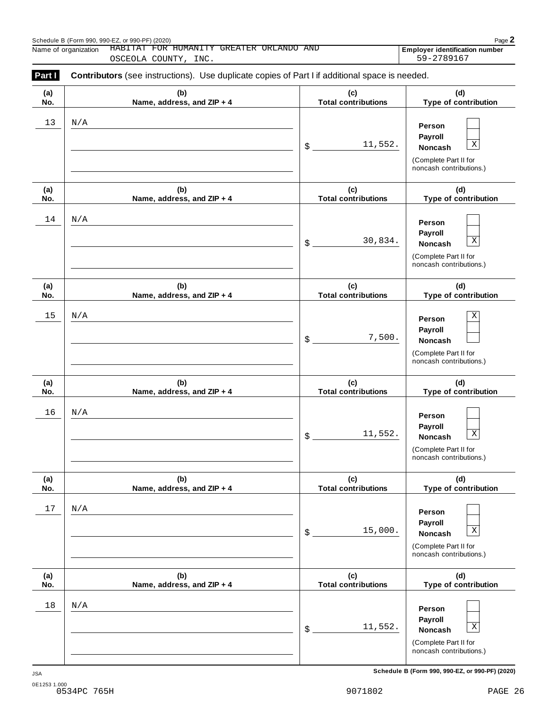|            | HABITAT FOR HUMANITY GREATER ORLANDO AND<br>Name of organization<br>OSCEOLA COUNTY, INC.       |                                    | Employer identification number<br>59-2789167                                                                |
|------------|------------------------------------------------------------------------------------------------|------------------------------------|-------------------------------------------------------------------------------------------------------------|
| Part I     | Contributors (see instructions). Use duplicate copies of Part I if additional space is needed. |                                    |                                                                                                             |
| (a)<br>No. | (b)<br>Name, address, and ZIP + 4                                                              | (c)<br><b>Total contributions</b>  | (d)<br>Type of contribution                                                                                 |
| 13         | N/A                                                                                            | 11,552.<br>$\sqrt[6]{\frac{1}{2}}$ | Person<br>Payroll<br>$\overline{\textbf{X}}$<br>Noncash<br>(Complete Part II for<br>noncash contributions.) |
| (a)<br>No. | (b)<br>Name, address, and ZIP + 4                                                              | (c)<br><b>Total contributions</b>  | (d)<br>Type of contribution                                                                                 |
| 14         | N/A                                                                                            | 30,834.<br>$\sqrt[6]{\frac{1}{2}}$ | Person<br>Payroll<br>$\mathbf X$<br>Noncash<br>(Complete Part II for<br>noncash contributions.)             |
| (a)<br>No. | (b)<br>Name, address, and ZIP + 4                                                              | (c)<br><b>Total contributions</b>  | (d)<br>Type of contribution                                                                                 |
| 15         | N/A                                                                                            | 7,500.<br>$\sqrt[6]{\frac{1}{2}}$  | Χ<br>Person<br>Payroll<br>Noncash<br>(Complete Part II for<br>noncash contributions.)                       |
| (a)<br>No. | (b)<br>Name, address, and ZIP + 4                                                              | (c)<br><b>Total contributions</b>  | (d)<br>Type of contribution                                                                                 |
| 16         | N/A                                                                                            | 11,552.<br>\$                      | Person<br>Payroll<br>$\mathbf X$<br>Noncash<br>(Complete Part II for<br>noncash contributions.)             |
| (a)<br>No. | (b)<br>Name, address, and ZIP + 4                                                              | (c)<br><b>Total contributions</b>  | (d)<br>Type of contribution                                                                                 |
| $17$       | N/A                                                                                            | 15,000.<br>\$                      | Person<br>Payroll<br>$\mathbf X$<br>Noncash<br>(Complete Part II for<br>noncash contributions.)             |
| (a)<br>No. | (b)<br>Name, address, and ZIP + 4                                                              | (c)<br><b>Total contributions</b>  | (d)<br>Type of contribution                                                                                 |
| 18         | N/A                                                                                            | 11,552.<br>\$                      | Person<br>Payroll<br>$\mathbf X$<br><b>Noncash</b><br>(Complete Part II for<br>noncash contributions.)      |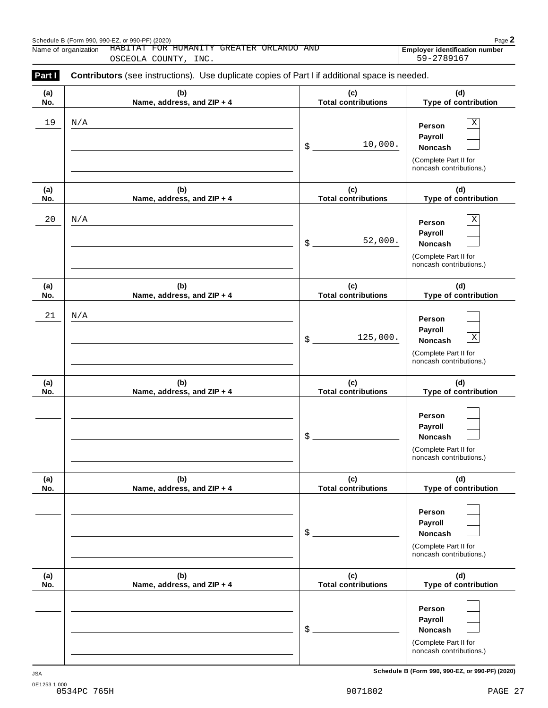|            | HABITAT FOR HUMANITY GREATER ORLANDO AND<br>Name of organization<br>OSCEOLA COUNTY, INC.       |                                      | Employer identification number<br>59-2789167                                                                |
|------------|------------------------------------------------------------------------------------------------|--------------------------------------|-------------------------------------------------------------------------------------------------------------|
| Part I     | Contributors (see instructions). Use duplicate copies of Part I if additional space is needed. |                                      |                                                                                                             |
| (a)<br>No. | (b)<br>Name, address, and ZIP + 4                                                              | (c)<br><b>Total contributions</b>    | (d)<br>Type of contribution                                                                                 |
| 19         | N/A                                                                                            | 10,000.<br>$\boldsymbol{\mathsf{S}}$ | Χ<br>Person<br>Payroll<br>Noncash<br>(Complete Part II for<br>noncash contributions.)                       |
| (a)<br>No. | (b)<br>Name, address, and ZIP + 4                                                              | (c)<br><b>Total contributions</b>    | (d)<br>Type of contribution                                                                                 |
| 20         | N/A                                                                                            | 52,000.<br>$\boldsymbol{\mathsf{S}}$ | Χ<br>Person<br>Payroll<br>Noncash<br>(Complete Part II for<br>noncash contributions.)                       |
| (a)<br>No. | (b)<br>Name, address, and ZIP + 4                                                              | (c)<br><b>Total contributions</b>    | (d)<br><b>Type of contribution</b>                                                                          |
| 21         | N/A                                                                                            | 125,000.<br>\$                       | Person<br>Payroll<br>$\overline{\textbf{X}}$<br>Noncash<br>(Complete Part II for<br>noncash contributions.) |
| (a)<br>No. | (b)<br>Name, address, and ZIP + 4                                                              | (c)<br><b>Total contributions</b>    | (d)<br>Type of contribution                                                                                 |
|            |                                                                                                | \$                                   | Person<br>Payroll<br>Noncash<br>(Complete Part II for<br>noncash contributions.)                            |
| (a)<br>No. | (b)<br>Name, address, and ZIP + 4                                                              | (c)<br><b>Total contributions</b>    | (d)<br>Type of contribution                                                                                 |
|            |                                                                                                | \$                                   | Person<br>Payroll<br>Noncash<br>(Complete Part II for<br>noncash contributions.)                            |
| (a)<br>No. | (b)<br>Name, address, and ZIP + 4                                                              | (c)<br><b>Total contributions</b>    | (d)<br>Type of contribution                                                                                 |
|            |                                                                                                | \$                                   | Person<br>Payroll<br>Noncash<br>(Complete Part II for<br>noncash contributions.)                            |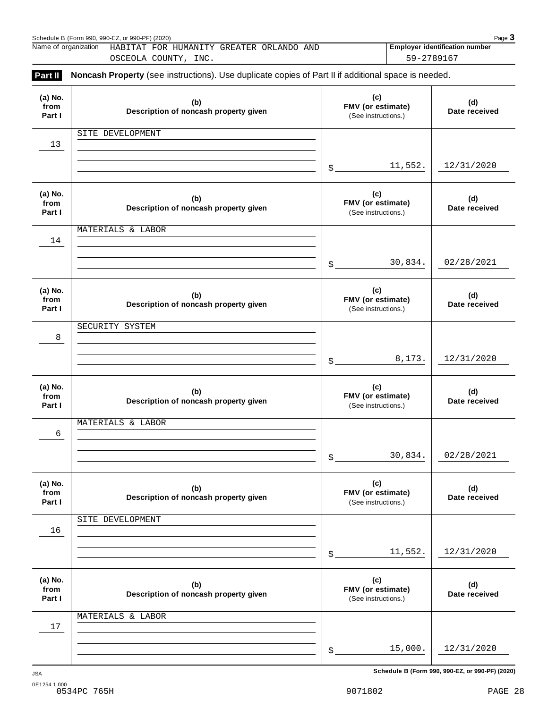|                           | Name of organization<br>HABITAT FOR HUMANITY GREATER ORLANDO AND<br>OSCEOLA COUNTY, INC.            |                                                 | 59-2789167 | <b>Employer identification number</b> |
|---------------------------|-----------------------------------------------------------------------------------------------------|-------------------------------------------------|------------|---------------------------------------|
| Part II                   | Noncash Property (see instructions). Use duplicate copies of Part II if additional space is needed. |                                                 |            |                                       |
| (a) No.<br>from<br>Part I | (b)<br>Description of noncash property given                                                        | (c)<br>FMV (or estimate)<br>(See instructions.) |            | (d)<br>Date received                  |
| 13                        | SITE DEVELOPMENT                                                                                    |                                                 |            |                                       |
|                           |                                                                                                     | $\mathbb{S}$                                    | 11,552.    | 12/31/2020                            |
| (a) No.<br>from<br>Part I | (b)<br>Description of noncash property given                                                        | (c)<br>FMV (or estimate)<br>(See instructions.) |            | (d)<br>Date received                  |
| 14                        | MATERIALS & LABOR                                                                                   |                                                 |            |                                       |
|                           |                                                                                                     | $\mathbb{S}$                                    | 30,834.    | 02/28/2021                            |
| (a) No.<br>from<br>Part I | (b)<br>Description of noncash property given                                                        | (c)<br>FMV (or estimate)<br>(See instructions.) |            | (d)<br>Date received                  |
| 8                         | SECURITY SYSTEM                                                                                     |                                                 |            |                                       |
|                           |                                                                                                     | $\mathbb S$                                     | 8,173.     | 12/31/2020                            |
| (a) No.<br>from<br>Part I | (b)<br>Description of noncash property given                                                        | (c)<br>FMV (or estimate)<br>(See instructions.) |            | (d)<br>Date received                  |
| 6                         | MATERIALS & LABOR                                                                                   |                                                 |            |                                       |
|                           |                                                                                                     | $$^{\circ}$                                     | 30,834.    | 02/28/2021                            |
| (a) No.<br>from<br>Part I | (b)<br>Description of noncash property given                                                        | (c)<br>FMV (or estimate)<br>(See instructions.) |            | (d)<br>Date received                  |
| 16                        | SITE DEVELOPMENT                                                                                    |                                                 |            |                                       |
|                           |                                                                                                     | $$^{\circ}$                                     | 11,552.    | 12/31/2020                            |
| (a) No.<br>from<br>Part I | (b)<br>Description of noncash property given                                                        | (c)<br>FMV (or estimate)<br>(See instructions.) |            | (d)<br>Date received                  |
| 17                        | MATERIALS & LABOR                                                                                   |                                                 |            |                                       |
|                           |                                                                                                     | $$^{\circ}$                                     | 15,000.    | 12/31/2020                            |
|                           |                                                                                                     |                                                 |            |                                       |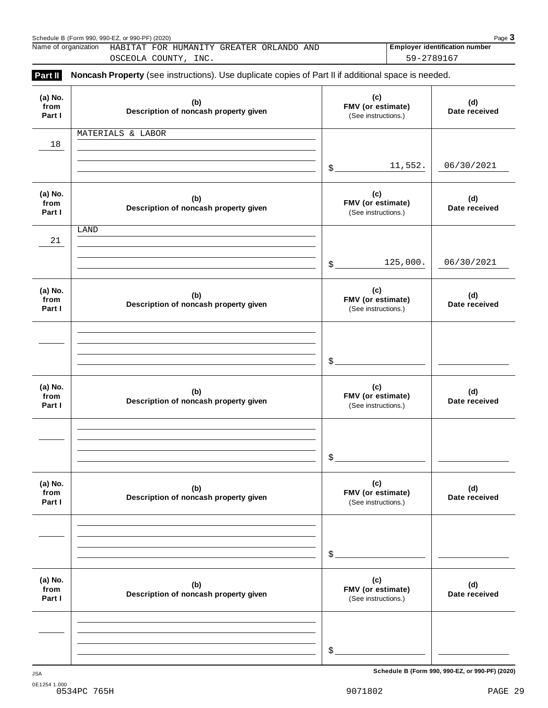|                           | Name of organization<br>HABITAT FOR HUMANITY GREATER ORLANDO AND<br>OSCEOLA COUNTY, INC.            |             | 59-2789167                                      | <b>Employer identification number</b> |
|---------------------------|-----------------------------------------------------------------------------------------------------|-------------|-------------------------------------------------|---------------------------------------|
| Part II                   | Noncash Property (see instructions). Use duplicate copies of Part II if additional space is needed. |             |                                                 |                                       |
| (a) No.<br>from<br>Part I | (b)<br>Description of noncash property given                                                        |             | (c)<br>FMV (or estimate)<br>(See instructions.) | (d)<br>Date received                  |
| 18                        | MATERIALS & LABOR                                                                                   |             |                                                 |                                       |
|                           |                                                                                                     | \$          | 11,552.                                         | 06/30/2021                            |
| (a) No.<br>from<br>Part I | (b)<br>Description of noncash property given                                                        |             | (c)<br>FMV (or estimate)<br>(See instructions.) | (d)<br>Date received                  |
| 21                        | LAND                                                                                                |             |                                                 |                                       |
|                           |                                                                                                     | \$          | 125,000.                                        | 06/30/2021                            |
| (a) No.<br>from<br>Part I | (b)<br>Description of noncash property given                                                        |             | (c)<br>FMV (or estimate)<br>(See instructions.) | (d)<br>Date received                  |
|                           |                                                                                                     |             |                                                 |                                       |
|                           |                                                                                                     | \$          |                                                 |                                       |
| (a) No.<br>from<br>Part I | (b)<br>Description of noncash property given                                                        |             | (c)<br>FMV (or estimate)<br>(See instructions.) | (d)<br>Date received                  |
|                           |                                                                                                     |             |                                                 |                                       |
|                           |                                                                                                     | \$          |                                                 |                                       |
| (a) No.<br>from<br>Part I | (b)<br>Description of noncash property given                                                        |             | (c)<br>FMV (or estimate)<br>(See instructions.) | (d)<br>Date received                  |
|                           |                                                                                                     |             |                                                 |                                       |
|                           |                                                                                                     | \$          |                                                 |                                       |
| (a) No.<br>from<br>Part I | (b)<br>Description of noncash property given                                                        |             | (c)<br>FMV (or estimate)<br>(See instructions.) | (d)<br>Date received                  |
|                           |                                                                                                     |             |                                                 |                                       |
|                           |                                                                                                     | $$^{\circ}$ |                                                 |                                       |
|                           |                                                                                                     |             |                                                 |                                       |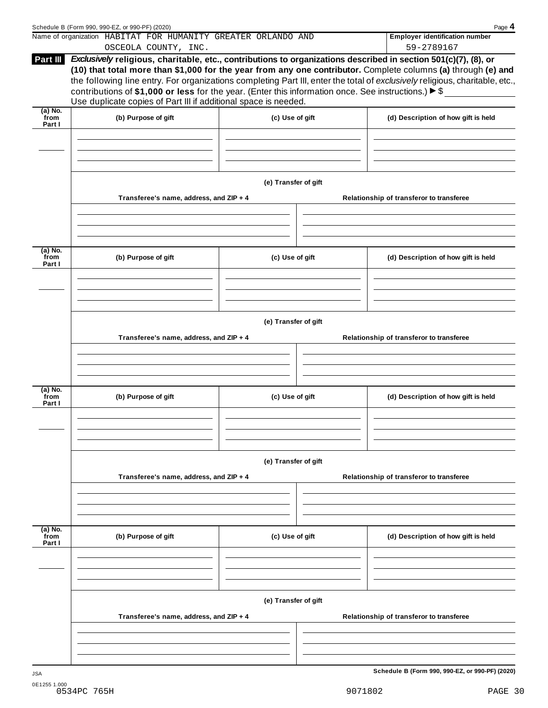|                           | Name of organization HABITAT FOR HUMANITY GREATER ORLANDO AND                                                                                                                                                                                                                                                                                                                                                                                                                                                                                                   |                      | <b>Employer identification number</b>    |
|---------------------------|-----------------------------------------------------------------------------------------------------------------------------------------------------------------------------------------------------------------------------------------------------------------------------------------------------------------------------------------------------------------------------------------------------------------------------------------------------------------------------------------------------------------------------------------------------------------|----------------------|------------------------------------------|
|                           | OSCEOLA COUNTY, INC.                                                                                                                                                                                                                                                                                                                                                                                                                                                                                                                                            |                      | 59-2789167                               |
| Part III                  | Exclusively religious, charitable, etc., contributions to organizations described in section 501(c)(7), (8), or<br>(10) that total more than \$1,000 for the year from any one contributor. Complete columns (a) through (e) and<br>the following line entry. For organizations completing Part III, enter the total of exclusively religious, charitable, etc.,<br>contributions of \$1,000 or less for the year. (Enter this information once. See instructions.) $\blacktriangleright$ \$<br>Use duplicate copies of Part III if additional space is needed. |                      |                                          |
| $(a)$ No.<br>from         |                                                                                                                                                                                                                                                                                                                                                                                                                                                                                                                                                                 |                      |                                          |
| Part I                    | (b) Purpose of gift                                                                                                                                                                                                                                                                                                                                                                                                                                                                                                                                             | (c) Use of gift      | (d) Description of how gift is held      |
|                           |                                                                                                                                                                                                                                                                                                                                                                                                                                                                                                                                                                 | (e) Transfer of gift |                                          |
|                           | Transferee's name, address, and ZIP + 4                                                                                                                                                                                                                                                                                                                                                                                                                                                                                                                         |                      | Relationship of transferor to transferee |
|                           |                                                                                                                                                                                                                                                                                                                                                                                                                                                                                                                                                                 |                      |                                          |
| (a) No.<br>from<br>Part I | (b) Purpose of gift                                                                                                                                                                                                                                                                                                                                                                                                                                                                                                                                             | (c) Use of gift      | (d) Description of how gift is held      |
|                           |                                                                                                                                                                                                                                                                                                                                                                                                                                                                                                                                                                 |                      |                                          |
|                           | Transferee's name, address, and ZIP + 4                                                                                                                                                                                                                                                                                                                                                                                                                                                                                                                         | (e) Transfer of gift | Relationship of transferor to transferee |
|                           |                                                                                                                                                                                                                                                                                                                                                                                                                                                                                                                                                                 |                      |                                          |
|                           |                                                                                                                                                                                                                                                                                                                                                                                                                                                                                                                                                                 |                      |                                          |
| from<br>Part I            | (b) Purpose of gift                                                                                                                                                                                                                                                                                                                                                                                                                                                                                                                                             | (c) Use of gift      | (d) Description of how gift is held      |
|                           |                                                                                                                                                                                                                                                                                                                                                                                                                                                                                                                                                                 |                      |                                          |
|                           |                                                                                                                                                                                                                                                                                                                                                                                                                                                                                                                                                                 | (e) Transfer of gift |                                          |
|                           | Transferee's name, address, and ZIP + 4                                                                                                                                                                                                                                                                                                                                                                                                                                                                                                                         |                      | Relationship of transferor to transferee |
|                           |                                                                                                                                                                                                                                                                                                                                                                                                                                                                                                                                                                 |                      |                                          |
| from<br>Part I            | (b) Purpose of gift                                                                                                                                                                                                                                                                                                                                                                                                                                                                                                                                             | (c) Use of gift      | (d) Description of how gift is held      |
| (a) No.<br>(a) No.        |                                                                                                                                                                                                                                                                                                                                                                                                                                                                                                                                                                 |                      |                                          |
|                           |                                                                                                                                                                                                                                                                                                                                                                                                                                                                                                                                                                 | (e) Transfer of gift |                                          |
|                           | Transferee's name, address, and ZIP + 4                                                                                                                                                                                                                                                                                                                                                                                                                                                                                                                         |                      | Relationship of transferor to transferee |
|                           |                                                                                                                                                                                                                                                                                                                                                                                                                                                                                                                                                                 |                      |                                          |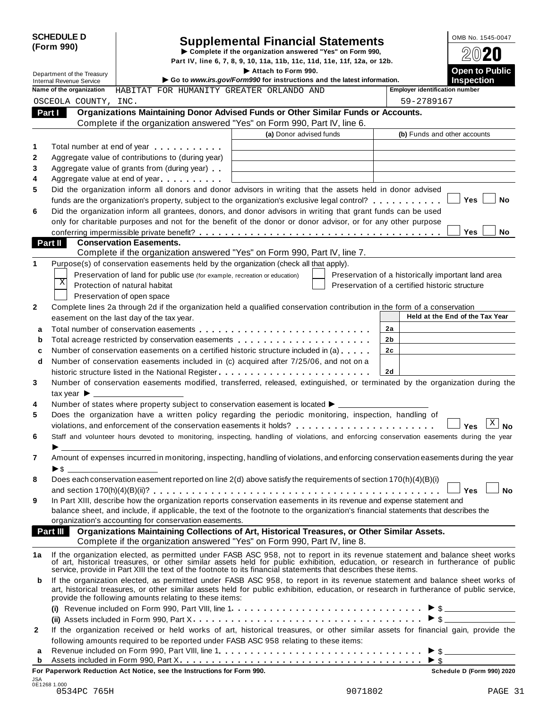| <b>SCHEDULE D</b> |  |
|-------------------|--|
| (Form 990)        |  |

# Supplemental Financial Statements<br>
Example if the organization answered "Yes" on Form 990,<br>
Part IV, line 6, 7, 8, 9, 10, 11a, 11b, 11c, 11d, 11e, 11f, 12a, or 12b.

Department of the Treasury<br>Department of the Treasury<br>Control **Public Inches Example 2014 Control in the Intervet intervention** and the latest information Internal Revenue Service I **Go to** *www.irs.gov/Form990* **for instructions and the latest information. Inspection Name of the organization Employer identification number** HABITAT FOR HUMANITY GREATER ORLANDO AND **Organizations Maintaining Donor Advised Funds or Other Similar Funds or Accounts. Part I | | Organizations Maintaining Donor Advised Funds or Other Similar Funds<br>Complete if the organization answered "Yes" on Form 990, Part IV, line 6. (a)** Donor advised funds **(b)** Funds and other accounts **1 2 3 4 5 6** Total number at end of year  $\dots\dots\dots\dots$ Aggregate value of contributions to (during year) Aggregate value of contributions to (during year)<br>Aggregate value of grants from (during year) Aggregate value of grants from (during year)<br>Aggregate value at end of year Did the organization inform all donors and donor advisors in writing that the assets held in donor advised funds are the organization's property, subject to the organization's exclusive legal control? **m** m m m m m m **y**  $\blacksquare$  Yes  $\blacksquare$  No Did the organization inform all grantees, donors, and donor advisors in writing that grant funds can be used only for charitable purposes and not for the benefit of the donor or donor advisor, or for any other purpose conferring impermissible private benefit? m m m m m m m m m m m m m m m m m m m m m m m m m m m m m m m m m m m m m m **Yes No Conservation Easements. Part II** Conservation Easements.<br>Complete if the organization answered "Yes" on Form 990, Part IV, line 7. **1** Purpose(s) of conservation easements held by the organization (check all that apply). Preservation of land for public use (for example, recreation or education) Protection of natural habitat Preservation of open space Preservation of a historically important land area Preservation of a certified historic structure **2** Complete lines 2a through 2d if the organization held a qualified conservation contribution in the form of a conservation easement on the last day of the tax year. **Held at the End** of the Tax Year **2a 2b 2c 2d a** Total number of conservation easements m m m m m m m m m m m m m m m m m m m m m m m m m m m **a** Total number of conservation easements ............................<br>**b** Total acreage restricted by conservation easements ..................... **b** Total acreage restricted by conservation easements<br>**c** Number of conservation easements on a certified historic structure included in (a) . . . . . . **d** Number of conservation easements included in (c) acquired after 7/25/06, and not on a | historic structure listed in the National Register m m m m m m m m m m m m m m m m m m m m m m m m **3 4 5 6 7 8 9** Number of conservation easements modified, transferred, released, extinguished, or terminated by the organization during the tax vear  $\blacktriangleright$ Number of states where property subject to conservation easement is located  $\blacktriangleright$ . Does the organization have a written policy regarding the periodic monitoring, inspection, handling of violations, and enforcement of the conservation easements it holds? music m m m m m m m m m m  $\Box$  Yes Staff and volunteer hours devoted to monitoring, inspecting, handling of violations, and enforcing conservation easements during the year <br>
> Amount of expenses incurred in monitoring, inspecting, handling of violations, and enforcing conservation easements during the year  $\triangleright$  s Does each conservation easement reported on line 2(d) above satisfy the requirements of section 170(h)(4)(B)(i) and section 170(h)(4)(B)(ii)? m m m m m m m m m m m m m m m m m m m m m m m m m m m m m m m m m m m m m m m m m m m m m **Yes No** In Part XIII, describe how the organization reports conservation easements in its revenue and expense statement and balance sheet, and include, if applicable, the text of the footnote to the organization's financial statements that describes the organization's accounting for conservation easements. **Organizations Maintaining Collections of Art, Historical Treasures, or Other Similar Assets. Part III Organizations Maintaining Collections of Art, Historical Treasures, or Organization answered "Yes" on Form 990, Part IV, line 8. 1a** If the organization elected, as permitted under FASB ASC 958, not to report in its revenue statement and balance sheet works of art, historical treasures, or other similar assets held for public exhibition, education, or research in furtherance of public service, provide in Part XIII the text of the footnote to its financial statements that describes these items. **b** If the organization elected, as permitted under FASB ASC 958, to report in its revenue statement and balance sheet works of art, historical treasures, or other similar assets held for public exhibition, education, or research in furtherance of public service, provide the following amounts relating to these items: provide the following amounts relating to these items:<br>**(i)** Revenue included on Form 990, Part VIII, line 1............................... **(ii)** Assets included in Form 990, Part X m m m m m m m m m m m m m m m m m m m m m m m m m m m m m m m m m m m m I \$ **2** If the organization received or held works of art, historical treasures, or other similar assets for financial gain, provide the following amounts required to be reported under FASB ASC 958 relating to these items: following amounts required to be reported under FASB ASC 958 relating to these items:<br>**a** Revenue included on Form 990, Part VIII, line 1 **Allian Concernance in the metal on Form 990**, Part VIII, line 1 **Allian Concernanc** Assets included in Form 990, Part X **<sup>b</sup>** m m m m m m m m m m m m m m m m m m m m m m m m m m m m m m m m m m m m m m I \$ OSCEOLA COUNTY, INC. 59-2789167  $\overline{\mathrm{x}}$  $\vert$  X  $\vert$  No

**For Paperwork Reduction Act Notice, see the Instructions for Form 990. Schedule D (Form 990) 2020**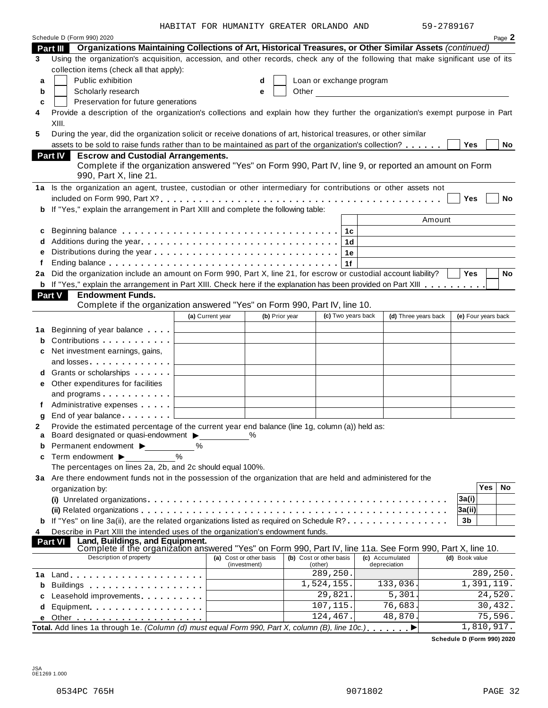|  | HABITAT FOR HUMANITY GREATER ORLANDO AND |  |  |
|--|------------------------------------------|--|--|
|  |                                          |  |  |

|    | Schedule D (Form 990) 2020                                                                                                                                                                                                     |                                                    |                |       |                                    |                |                                 |        |                     | Page 2   |
|----|--------------------------------------------------------------------------------------------------------------------------------------------------------------------------------------------------------------------------------|----------------------------------------------------|----------------|-------|------------------------------------|----------------|---------------------------------|--------|---------------------|----------|
|    | Organizations Maintaining Collections of Art, Historical Treasures, or Other Similar Assets (continued)<br><b>Part III</b>                                                                                                     |                                                    |                |       |                                    |                |                                 |        |                     |          |
| 3  | Using the organization's acquisition, accession, and other records, check any of the following that make significant use of its                                                                                                |                                                    |                |       |                                    |                |                                 |        |                     |          |
|    | collection items (check all that apply):                                                                                                                                                                                       |                                                    |                |       |                                    |                |                                 |        |                     |          |
| a  | Public exhibition                                                                                                                                                                                                              |                                                    | d              |       | Loan or exchange program           |                |                                 |        |                     |          |
| b  | Scholarly research                                                                                                                                                                                                             |                                                    | е              | Other |                                    |                |                                 |        |                     |          |
| c  | Preservation for future generations                                                                                                                                                                                            |                                                    |                |       |                                    |                |                                 |        |                     |          |
| 4  | Provide a description of the organization's collections and explain how they further the organization's exempt purpose in Part                                                                                                 |                                                    |                |       |                                    |                |                                 |        |                     |          |
|    | XIII.                                                                                                                                                                                                                          |                                                    |                |       |                                    |                |                                 |        |                     |          |
| 5  | During the year, did the organization solicit or receive donations of art, historical treasures, or other similar                                                                                                              |                                                    |                |       |                                    |                |                                 |        |                     |          |
|    | assets to be sold to raise funds rather than to be maintained as part of the organization's collection?                                                                                                                        |                                                    |                |       |                                    |                |                                 |        | Yes                 | No       |
|    | <b>Escrow and Custodial Arrangements.</b><br><b>Part IV</b>                                                                                                                                                                    |                                                    |                |       |                                    |                |                                 |        |                     |          |
|    | Complete if the organization answered "Yes" on Form 990, Part IV, line 9, or reported an amount on Form                                                                                                                        |                                                    |                |       |                                    |                |                                 |        |                     |          |
|    | 990, Part X, line 21.                                                                                                                                                                                                          |                                                    |                |       |                                    |                |                                 |        |                     |          |
|    | 1a Is the organization an agent, trustee, custodian or other intermediary for contributions or other assets not                                                                                                                |                                                    |                |       |                                    |                |                                 |        |                     |          |
|    |                                                                                                                                                                                                                                |                                                    |                |       |                                    |                |                                 |        | Yes                 | No       |
| b  | If "Yes," explain the arrangement in Part XIII and complete the following table:                                                                                                                                               |                                                    |                |       |                                    |                |                                 |        |                     |          |
|    |                                                                                                                                                                                                                                |                                                    |                |       |                                    |                |                                 | Amount |                     |          |
|    |                                                                                                                                                                                                                                |                                                    |                |       |                                    |                |                                 |        |                     |          |
| c  |                                                                                                                                                                                                                                |                                                    |                |       |                                    | 1с             |                                 |        |                     |          |
|    |                                                                                                                                                                                                                                |                                                    |                |       |                                    | 1 <sub>d</sub> |                                 |        |                     |          |
|    |                                                                                                                                                                                                                                |                                                    |                |       |                                    | 1e             |                                 |        |                     |          |
| f  |                                                                                                                                                                                                                                |                                                    |                |       |                                    | 1f             |                                 |        |                     |          |
| 2a | Did the organization include an amount on Form 990, Part X, line 21, for escrow or custodial account liability?                                                                                                                |                                                    |                |       |                                    |                |                                 |        | <b>Yes</b>          | No       |
|    | <b>b</b> If "Yes," explain the arrangement in Part XIII. Check here if the explanation has been provided on Part XIII                                                                                                          |                                                    |                |       |                                    |                |                                 |        |                     |          |
|    | <b>Endowment Funds.</b><br><b>Part V</b>                                                                                                                                                                                       |                                                    |                |       |                                    |                |                                 |        |                     |          |
|    | Complete if the organization answered "Yes" on Form 990, Part IV, line 10.                                                                                                                                                     |                                                    |                |       |                                    |                |                                 |        |                     |          |
|    |                                                                                                                                                                                                                                | (a) Current year                                   | (b) Prior year |       | (c) Two years back                 |                | (d) Three years back            |        | (e) Four years back |          |
| 1а | Beginning of year balance                                                                                                                                                                                                      |                                                    |                |       |                                    |                |                                 |        |                     |          |
| b  | Contributions <b>Contributions</b>                                                                                                                                                                                             |                                                    |                |       |                                    |                |                                 |        |                     |          |
| c  | Net investment earnings, gains,                                                                                                                                                                                                |                                                    |                |       |                                    |                |                                 |        |                     |          |
|    | and losses experiences and losses                                                                                                                                                                                              |                                                    |                |       |                                    |                |                                 |        |                     |          |
| d  | Grants or scholarships <b>State of State State</b>                                                                                                                                                                             |                                                    |                |       |                                    |                |                                 |        |                     |          |
| е  | Other expenditures for facilities                                                                                                                                                                                              |                                                    |                |       |                                    |                |                                 |        |                     |          |
|    | and programs                                                                                                                                                                                                                   | <u> 1989 - Andrea Stationen, Amerikaansk konst</u> |                |       |                                    |                |                                 |        |                     |          |
| f  | Administrative expenses                                                                                                                                                                                                        |                                                    |                |       |                                    |                |                                 |        |                     |          |
| g  | End of year balance                                                                                                                                                                                                            |                                                    |                |       |                                    |                |                                 |        |                     |          |
| 2  | Provide the estimated percentage of the current year end balance (line 1g, column (a)) held as:                                                                                                                                |                                                    |                |       |                                    |                |                                 |        |                     |          |
| a  | Board designated or quasi-endowment $\blacktriangleright$                                                                                                                                                                      |                                                    |                |       |                                    |                |                                 |        |                     |          |
| b  | Permanent endowment ▶                                                                                                                                                                                                          | ℅                                                  |                |       |                                    |                |                                 |        |                     |          |
| c  | %<br>Term endowment ▶                                                                                                                                                                                                          |                                                    |                |       |                                    |                |                                 |        |                     |          |
|    | The percentages on lines 2a, 2b, and 2c should equal 100%.                                                                                                                                                                     |                                                    |                |       |                                    |                |                                 |        |                     |          |
|    | 3a Are there endowment funds not in the possession of the organization that are held and administered for the                                                                                                                  |                                                    |                |       |                                    |                |                                 |        |                     |          |
|    | organization by:                                                                                                                                                                                                               |                                                    |                |       |                                    |                |                                 |        | <b>Yes</b>          | No       |
|    |                                                                                                                                                                                                                                |                                                    |                |       |                                    |                |                                 |        | 3a(i)               |          |
|    |                                                                                                                                                                                                                                |                                                    |                |       |                                    |                |                                 |        | 3a(ii)              |          |
|    | If "Yes" on line 3a(ii), are the related organizations listed as required on Schedule R?                                                                                                                                       |                                                    |                |       |                                    |                |                                 |        | 3b                  |          |
| 4  | Describe in Part XIII the intended uses of the organization's endowment funds.                                                                                                                                                 |                                                    |                |       |                                    |                |                                 |        |                     |          |
|    | <b>Part VI</b>                                                                                                                                                                                                                 |                                                    |                |       |                                    |                |                                 |        |                     |          |
|    | Land, Buildings, and Equipment.<br>Complete if the organization answered "Yes" on Form 990, Part IV, line 11a. See Form 990, Part X, line 10.                                                                                  |                                                    |                |       |                                    |                |                                 |        |                     |          |
|    | Description of property                                                                                                                                                                                                        | (a) Cost or other basis<br>(investment)            |                |       | (b) Cost or other basis<br>(other) |                | (c) Accumulated<br>depreciation |        | (d) Book value      |          |
| 1a |                                                                                                                                                                                                                                |                                                    |                |       | 289,250.                           |                |                                 |        |                     | 289,250. |
| b  | Buildings and the service of the service of the service of the service of the service of the service of the service of the service of the service of the service of the service of the service of the service of the service o |                                                    |                |       | 1,524,155.                         |                | 133,036.                        |        | 1,391,119.          |          |
|    | Leasehold improvements entitled and the set of the set of the set of the set of the set of the set of the set of the set of the set of the set of the set of the set of the set of the set of the set of the set of the set of |                                                    |                |       | 29,821.                            |                | 5,301                           |        |                     | 24,520.  |
| c  |                                                                                                                                                                                                                                |                                                    |                |       | 107,115.                           |                | 76,683                          |        |                     | 30,432.  |
| d  | Equipment                                                                                                                                                                                                                      |                                                    |                |       | 124,467.                           |                | 48,870                          |        |                     | 75,596.  |
|    |                                                                                                                                                                                                                                |                                                    |                |       |                                    |                |                                 |        | 1,810,917.          |          |
|    | Total. Add lines 1a through 1e. (Column (d) must equal Form 990, Part X, column (B), line 10c.)                                                                                                                                |                                                    |                |       |                                    |                |                                 |        |                     |          |

**Schedule D (Form 990) 2020**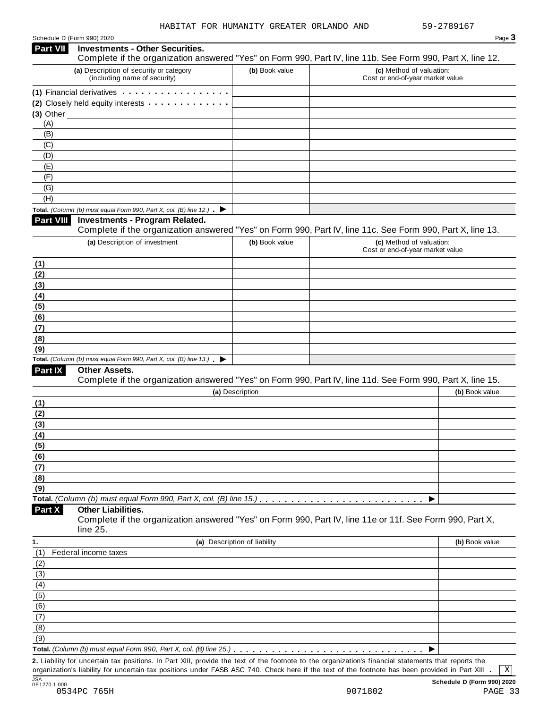| Schedule D (Form 990) 2020 |  |  |
|----------------------------|--|--|
|                            |  |  |

|                 | Schedule D (Form 990) 2020                                                               |                              | Page 3                                                                                                                                                                                                                                                                                                       |
|-----------------|------------------------------------------------------------------------------------------|------------------------------|--------------------------------------------------------------------------------------------------------------------------------------------------------------------------------------------------------------------------------------------------------------------------------------------------------------|
| <b>Part VII</b> | <b>Investments - Other Securities.</b>                                                   |                              | Complete if the organization answered "Yes" on Form 990, Part IV, line 11b. See Form 990, Part X, line 12.                                                                                                                                                                                                   |
|                 | (a) Description of security or category<br>(including name of security)                  | (b) Book value               | (c) Method of valuation:<br>Cost or end-of-year market value                                                                                                                                                                                                                                                 |
|                 | (1) Financial derivatives                                                                |                              |                                                                                                                                                                                                                                                                                                              |
|                 | (2) Closely held equity interests                                                        |                              |                                                                                                                                                                                                                                                                                                              |
|                 | $(3)$ Other                                                                              |                              |                                                                                                                                                                                                                                                                                                              |
| (A)             |                                                                                          |                              |                                                                                                                                                                                                                                                                                                              |
| (B)             |                                                                                          |                              |                                                                                                                                                                                                                                                                                                              |
| (C)             |                                                                                          |                              |                                                                                                                                                                                                                                                                                                              |
| (D)             |                                                                                          |                              |                                                                                                                                                                                                                                                                                                              |
| (E)             |                                                                                          |                              |                                                                                                                                                                                                                                                                                                              |
| (F)             |                                                                                          |                              |                                                                                                                                                                                                                                                                                                              |
| (G)             |                                                                                          |                              |                                                                                                                                                                                                                                                                                                              |
| (H)             |                                                                                          |                              |                                                                                                                                                                                                                                                                                                              |
|                 | Total. (Column (b) must equal Form 990, Part X, col. (B) line 12.) $\blacktriangleright$ |                              |                                                                                                                                                                                                                                                                                                              |
| Part VIII       | <b>Investments - Program Related.</b>                                                    |                              | Complete if the organization answered "Yes" on Form 990, Part IV, line 11c. See Form 990, Part X, line 13.                                                                                                                                                                                                   |
|                 | (a) Description of investment                                                            | (b) Book value               | (c) Method of valuation:                                                                                                                                                                                                                                                                                     |
|                 |                                                                                          |                              | Cost or end-of-year market value                                                                                                                                                                                                                                                                             |
| (1)             |                                                                                          |                              |                                                                                                                                                                                                                                                                                                              |
| (2)             |                                                                                          |                              |                                                                                                                                                                                                                                                                                                              |
| (3)             |                                                                                          |                              |                                                                                                                                                                                                                                                                                                              |
| (4)             |                                                                                          |                              |                                                                                                                                                                                                                                                                                                              |
| (5)             |                                                                                          |                              |                                                                                                                                                                                                                                                                                                              |
| (6)             |                                                                                          |                              |                                                                                                                                                                                                                                                                                                              |
| (7)             |                                                                                          |                              |                                                                                                                                                                                                                                                                                                              |
| (8)             |                                                                                          |                              |                                                                                                                                                                                                                                                                                                              |
| (9)             |                                                                                          |                              |                                                                                                                                                                                                                                                                                                              |
|                 | Total. (Column (b) must equal Form 990, Part X, col. (B) line $13$ .)                    |                              |                                                                                                                                                                                                                                                                                                              |
| Part IX         | Other Assets.                                                                            |                              | Complete if the organization answered "Yes" on Form 990, Part IV, line 11d. See Form 990, Part X, line 15.                                                                                                                                                                                                   |
|                 |                                                                                          | (a) Description              | (b) Book value                                                                                                                                                                                                                                                                                               |
| (1)             |                                                                                          |                              |                                                                                                                                                                                                                                                                                                              |
| (2)             |                                                                                          |                              |                                                                                                                                                                                                                                                                                                              |
| (3)             |                                                                                          |                              |                                                                                                                                                                                                                                                                                                              |
| (4)             |                                                                                          |                              |                                                                                                                                                                                                                                                                                                              |
| (5)             |                                                                                          |                              |                                                                                                                                                                                                                                                                                                              |
| (6)             |                                                                                          |                              |                                                                                                                                                                                                                                                                                                              |
| (7)             |                                                                                          |                              |                                                                                                                                                                                                                                                                                                              |
| (8)             |                                                                                          |                              |                                                                                                                                                                                                                                                                                                              |
| (9)             |                                                                                          |                              |                                                                                                                                                                                                                                                                                                              |
|                 |                                                                                          |                              |                                                                                                                                                                                                                                                                                                              |
| Part X          | <b>Other Liabilities.</b><br>line 25.                                                    |                              | Complete if the organization answered "Yes" on Form 990, Part IV, line 11e or 11f. See Form 990, Part X,                                                                                                                                                                                                     |
| 1.              |                                                                                          | (a) Description of liability | (b) Book value                                                                                                                                                                                                                                                                                               |
| (1)             | Federal income taxes                                                                     |                              |                                                                                                                                                                                                                                                                                                              |
| (2)             |                                                                                          |                              |                                                                                                                                                                                                                                                                                                              |
| (3)             |                                                                                          |                              |                                                                                                                                                                                                                                                                                                              |
| (4)             |                                                                                          |                              |                                                                                                                                                                                                                                                                                                              |
| (5)             |                                                                                          |                              |                                                                                                                                                                                                                                                                                                              |
| (6)             |                                                                                          |                              |                                                                                                                                                                                                                                                                                                              |
| (7)             |                                                                                          |                              |                                                                                                                                                                                                                                                                                                              |
| (8)             |                                                                                          |                              |                                                                                                                                                                                                                                                                                                              |
| (9)             |                                                                                          |                              |                                                                                                                                                                                                                                                                                                              |
|                 |                                                                                          |                              |                                                                                                                                                                                                                                                                                                              |
|                 |                                                                                          |                              |                                                                                                                                                                                                                                                                                                              |
|                 |                                                                                          |                              | 2. Liability for uncertain tax positions. In Part XIII, provide the text of the footnote to the organization's financial statements that reports the<br>organization's liability for uncertain tax positions under FASB ASC 740. Check here if the text of the footnote has been provided in Part XIII.<br>Χ |
|                 |                                                                                          |                              |                                                                                                                                                                                                                                                                                                              |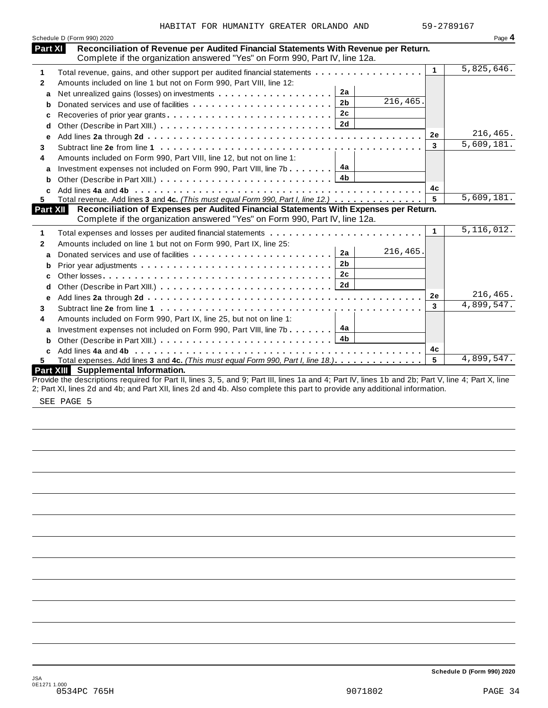|              | Schedule D (Form 990) 2020                                                                                                                                         |                | Page 4       |
|--------------|--------------------------------------------------------------------------------------------------------------------------------------------------------------------|----------------|--------------|
| Part XI      | Reconciliation of Revenue per Audited Financial Statements With Revenue per Return.<br>Complete if the organization answered "Yes" on Form 990, Part IV, line 12a. |                |              |
| 1            | Total revenue, gains, and other support per audited financial statements                                                                                           | $\mathbf 1$    | 5,825,646.   |
| $\mathbf{2}$ | Amounts included on line 1 but not on Form 990, Part VIII, line 12:                                                                                                |                |              |
| a            | 2a                                                                                                                                                                 |                |              |
| b            | 216, 465.<br>2 <sub>b</sub><br>Donated services and use of facilities                                                                                              |                |              |
| c            | 2c<br>Recoveries of prior year grants                                                                                                                              |                |              |
| d            | 2d                                                                                                                                                                 |                |              |
| e            |                                                                                                                                                                    | 2e             | 216,465.     |
| 3            |                                                                                                                                                                    | 3              | 5,609,181.   |
| 4            | Amounts included on Form 990, Part VIII, line 12, but not on line 1:                                                                                               |                |              |
| a            | 4a<br>Investment expenses not included on Form 990, Part VIII, line 7b                                                                                             |                |              |
| b            | 4b                                                                                                                                                                 |                |              |
| C            |                                                                                                                                                                    | 4c             |              |
| 5.           | Total revenue. Add lines 3 and 4c. (This must equal Form 990, Part I, line 12.)                                                                                    | 5              | 5,609,181.   |
| Part XII     | Reconciliation of Expenses per Audited Financial Statements With Expenses per Return.                                                                              |                |              |
|              | Complete if the organization answered "Yes" on Form 990, Part IV, line 12a.                                                                                        |                |              |
| 1            |                                                                                                                                                                    | $\mathbf{1}$   | 5, 116, 012. |
| 2            | Amounts included on line 1 but not on Form 990, Part IX, line 25:                                                                                                  |                |              |
| a            | 216,465.<br>2a                                                                                                                                                     |                |              |
| b            | 2 <sub>b</sub>                                                                                                                                                     |                |              |
| C            | 2c                                                                                                                                                                 |                |              |
| d            | 2d                                                                                                                                                                 |                |              |
| е            |                                                                                                                                                                    | 2е             | 216,465.     |
| 3            |                                                                                                                                                                    | 3              | 4,899,547.   |
| 4            | Amounts included on Form 990, Part IX, line 25, but not on line 1:                                                                                                 |                |              |
| a            | 4a<br>Investment expenses not included on Form 990, Part VIII, line 7b                                                                                             |                |              |
| b            |                                                                                                                                                                    |                |              |
| C            |                                                                                                                                                                    | 4с             |              |
| 5.           | Total expenses. Add lines 3 and 4c. (This must equal Form 990, Part I, line 18.).                                                                                  | $5\phantom{a}$ | 4,899,547.   |
|              | Part XIII Supplemental Information.                                                                                                                                |                |              |
|              | Provide the descriptions required for Part II, lines 3, 5, and 9; Part III, lines 1a and 4; Part IV, lines 1b and 2b; Part V, line 4; Part X, line                 |                |              |
|              | 2; Part XI, lines 2d and 4b; and Part XII, lines 2d and 4b. Also complete this part to provide any additional information.                                         |                |              |

SEE PAGE 5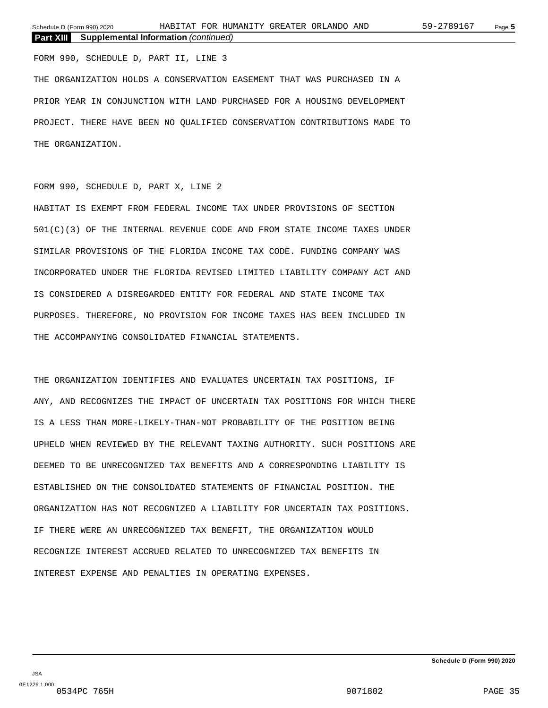FORM 990, SCHEDULE D, PART II, LINE 3 THE ORGANIZATION HOLDS A CONSERVATION EASEMENT THAT WAS PURCHASED IN A PRIOR YEAR IN CONJUNCTION WITH LAND PURCHASED FOR A HOUSING DEVELOPMENT PROJECT. THERE HAVE BEEN NO QUALIFIED CONSERVATION CONTRIBUTIONS MADE TO THE ORGANIZATION.

#### FORM 990, SCHEDULE D, PART X, LINE 2

HABITAT IS EXEMPT FROM FEDERAL INCOME TAX UNDER PROVISIONS OF SECTION 501(C)(3) OF THE INTERNAL REVENUE CODE AND FROM STATE INCOME TAXES UNDER SIMILAR PROVISIONS OF THE FLORIDA INCOME TAX CODE. FUNDING COMPANY WAS INCORPORATED UNDER THE FLORIDA REVISED LIMITED LIABILITY COMPANY ACT AND IS CONSIDERED A DISREGARDED ENTITY FOR FEDERAL AND STATE INCOME TAX PURPOSES. THEREFORE, NO PROVISION FOR INCOME TAXES HAS BEEN INCLUDED IN THE ACCOMPANYING CONSOLIDATED FINANCIAL STATEMENTS.

THE ORGANIZATION IDENTIFIES AND EVALUATES UNCERTAIN TAX POSITIONS, IF ANY, AND RECOGNIZES THE IMPACT OF UNCERTAIN TAX POSITIONS FOR WHICH THERE IS A LESS THAN MORE-LIKELY-THAN-NOT PROBABILITY OF THE POSITION BEING UPHELD WHEN REVIEWED BY THE RELEVANT TAXING AUTHORITY. SUCH POSITIONS ARE DEEMED TO BE UNRECOGNIZED TAX BENEFITS AND A CORRESPONDING LIABILITY IS ESTABLISHED ON THE CONSOLIDATED STATEMENTS OF FINANCIAL POSITION. THE ORGANIZATION HAS NOT RECOGNIZED A LIABILITY FOR UNCERTAIN TAX POSITIONS. IF THERE WERE AN UNRECOGNIZED TAX BENEFIT, THE ORGANIZATION WOULD RECOGNIZE INTEREST ACCRUED RELATED TO UNRECOGNIZED TAX BENEFITS IN INTEREST EXPENSE AND PENALTIES IN OPERATING EXPENSES.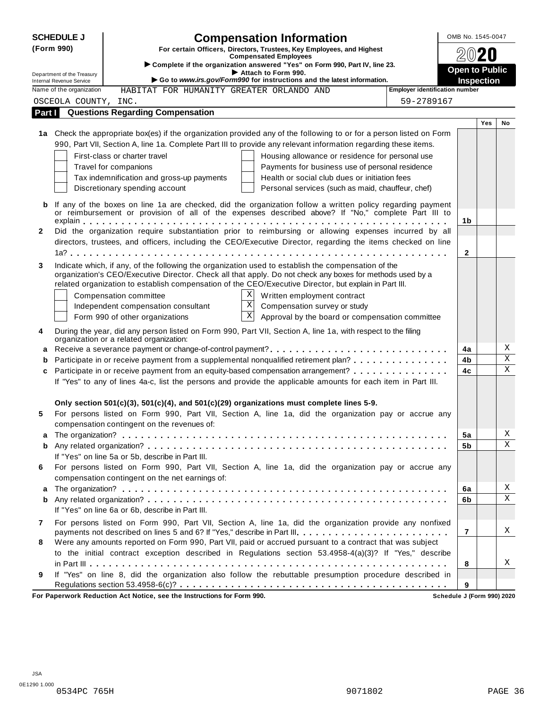|              | <b>SCHEDULE J</b>          | <b>Compensation Information</b>                                                                                                                                        | OMB No. 1545-0047     |     |             |
|--------------|----------------------------|------------------------------------------------------------------------------------------------------------------------------------------------------------------------|-----------------------|-----|-------------|
|              | (Form 990)                 | For certain Officers, Directors, Trustees, Key Employees, and Highest                                                                                                  |                       |     |             |
|              |                            | <b>Compensated Employees</b><br>Complete if the organization answered "Yes" on Form 990, Part IV, line 23.                                                             |                       |     |             |
|              | Department of the Treasury | Attach to Form 990.                                                                                                                                                    | <b>Open to Public</b> |     |             |
|              | Internal Revenue Service   | Go to www.irs.gov/Form990 for instructions and the latest information.                                                                                                 | <b>Inspection</b>     |     |             |
|              | Name of the organization   | <b>Employer identification number</b><br>HABITAT FOR HUMANITY GREATER ORLANDO AND                                                                                      |                       |     |             |
|              | OSCEOLA COUNTY, INC.       | 59-2789167                                                                                                                                                             |                       |     |             |
| Part I       |                            | <b>Questions Regarding Compensation</b>                                                                                                                                |                       |     |             |
|              |                            | 1a Check the appropriate box(es) if the organization provided any of the following to or for a person listed on Form                                                   |                       | Yes | No          |
|              |                            | 990, Part VII, Section A, line 1a. Complete Part III to provide any relevant information regarding these items.                                                        |                       |     |             |
|              |                            |                                                                                                                                                                        |                       |     |             |
|              |                            | First-class or charter travel<br>Housing allowance or residence for personal use                                                                                       |                       |     |             |
|              |                            | Travel for companions<br>Payments for business use of personal residence<br>Health or social club dues or initiation fees<br>Tax indemnification and gross-up payments |                       |     |             |
|              |                            | Discretionary spending account<br>Personal services (such as maid, chauffeur, chef)                                                                                    |                       |     |             |
|              |                            |                                                                                                                                                                        |                       |     |             |
| b            |                            | If any of the boxes on line 1a are checked, did the organization follow a written policy regarding payment                                                             |                       |     |             |
|              |                            | or reimbursement or provision of all of the expenses described above? If "No," complete Part III to                                                                    | 1b                    |     |             |
| $\mathbf{2}$ |                            | Did the organization require substantiation prior to reimbursing or allowing expenses incurred by all                                                                  |                       |     |             |
|              |                            | directors, trustees, and officers, including the CEO/Executive Director, regarding the items checked on line                                                           |                       |     |             |
|              |                            |                                                                                                                                                                        | $\mathbf{2}$          |     |             |
| 3            |                            | Indicate which, if any, of the following the organization used to establish the compensation of the                                                                    |                       |     |             |
|              |                            | organization's CEO/Executive Director. Check all that apply. Do not check any boxes for methods used by a                                                              |                       |     |             |
|              |                            | related organization to establish compensation of the CEO/Executive Director, but explain in Part III.                                                                 |                       |     |             |
|              |                            | X<br>Compensation committee<br>Written employment contract                                                                                                             |                       |     |             |
|              |                            | $\mathbf{X}$<br>Independent compensation consultant<br>Compensation survey or study                                                                                    |                       |     |             |
|              |                            | $\mathbf{x}$<br>Form 990 of other organizations<br>Approval by the board or compensation committee                                                                     |                       |     |             |
| 4            |                            | During the year, did any person listed on Form 990, Part VII, Section A, line 1a, with respect to the filing<br>organization or a related organization:                |                       |     |             |
| a            |                            |                                                                                                                                                                        | 4a                    |     | Χ           |
| b            |                            | Participate in or receive payment from a supplemental nonqualified retirement plan?                                                                                    | 4b                    |     | $\mathbf X$ |
| c            |                            | Participate in or receive payment from an equity-based compensation arrangement?                                                                                       | 4c                    |     | $\mathbf X$ |
|              |                            | If "Yes" to any of lines 4a-c, list the persons and provide the applicable amounts for each item in Part III.                                                          |                       |     |             |
|              |                            |                                                                                                                                                                        |                       |     |             |
|              |                            | Only section 501(c)(3), 501(c)(4), and 501(c)(29) organizations must complete lines 5-9.                                                                               |                       |     |             |
| 5            |                            | For persons listed on Form 990, Part VII, Section A, line 1a, did the organization pay or accrue any                                                                   |                       |     |             |
|              |                            | compensation contingent on the revenues of:                                                                                                                            |                       |     |             |
|              |                            |                                                                                                                                                                        | 5a                    |     | Χ           |
| b            |                            |                                                                                                                                                                        | 5b                    |     | X           |
|              |                            | If "Yes" on line 5a or 5b, describe in Part III.                                                                                                                       |                       |     |             |
| 6            |                            | For persons listed on Form 990, Part VII, Section A, line 1a, did the organization pay or accrue any                                                                   |                       |     |             |
|              |                            | compensation contingent on the net earnings of:                                                                                                                        |                       |     |             |
| a            |                            |                                                                                                                                                                        | 6a                    |     | Χ           |
| b            |                            |                                                                                                                                                                        | 6b                    |     | $\mathbf X$ |
|              |                            | If "Yes" on line 6a or 6b, describe in Part III.                                                                                                                       |                       |     |             |
| 7            |                            | For persons listed on Form 990, Part VII, Section A, line 1a, did the organization provide any nonfixed                                                                |                       |     |             |
|              |                            | payments not described on lines 5 and 6? If "Yes," describe in Part III.                                                                                               | $\overline{7}$        |     | Χ           |
| 8            |                            | Were any amounts reported on Form 990, Part VII, paid or accrued pursuant to a contract that was subject                                                               |                       |     |             |
|              |                            | to the initial contract exception described in Regulations section 53.4958-4(a)(3)? If "Yes," describe                                                                 | 8                     |     | Χ           |
| 9            |                            | If "Yes" on line 8, did the organization also follow the rebuttable presumption procedure described in                                                                 |                       |     |             |
|              |                            |                                                                                                                                                                        | 9                     |     |             |
|              |                            |                                                                                                                                                                        |                       |     |             |

**For Paperwork Reduction Act Notice, see the Instructions for Form 990. Schedule J (Form 990) 2020**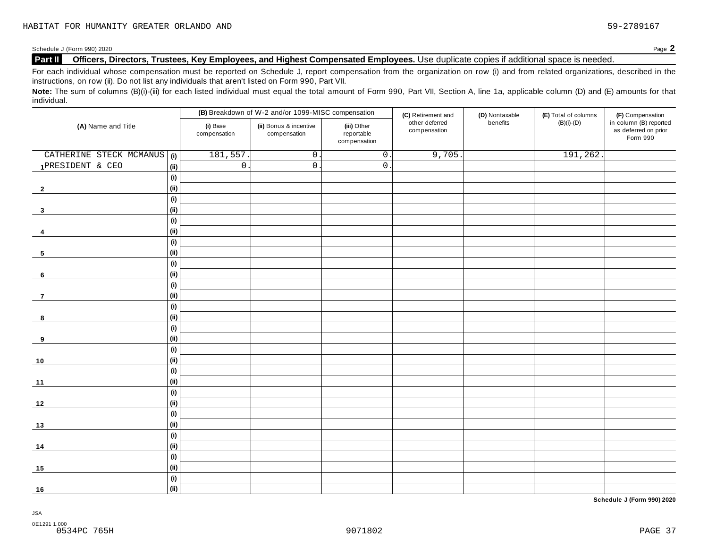#### **Part II Officers, Directors, Trustees, Key Employees, and Highest Compensated Employees.** Use duplicate copies ifadditional space is needed.

For each individual whose compensation must be reported on Schedule J, report compensation from the organization on row (i) and from related organizations, described in the instructions, on row (ii). Do not list any individuals that aren't listed on Form 990, Part VII.

Note: The sum of columns (B)(i)-(iii) for each listed individual must equal the total amount of Form 990, Part VII, Section A, line 1a, applicable column (D) and (E) amounts for that individual.

|                         |      |                          | (B) Breakdown of W-2 and/or 1099-MISC compensation |                                           | (C) Retirement and             | (D) Nontaxable | (E) Total of columns | (F) Compensation                                           |
|-------------------------|------|--------------------------|----------------------------------------------------|-------------------------------------------|--------------------------------|----------------|----------------------|------------------------------------------------------------|
| (A) Name and Title      |      | (i) Base<br>compensation | (ii) Bonus & incentive<br>compensation             | (iii) Other<br>reportable<br>compensation | other deferred<br>compensation | benefits       | $(B)(i)-(D)$         | in column (B) reported<br>as deferred on prior<br>Form 990 |
| CATHERINE STECK MCMANUS | (i)  | 181,557.                 | $\mathsf O$ .                                      | $\overline{0}$ .                          | 9,705.                         |                | 191,262.             |                                                            |
| 1PRESIDENT & CEO        | (ii) | $\overline{0}$ .         | $\overline{0}$ .                                   | $\overline{0}$ .                          |                                |                |                      |                                                            |
|                         | (i)  |                          |                                                    |                                           |                                |                |                      |                                                            |
| $\mathbf{2}$            | (ii) |                          |                                                    |                                           |                                |                |                      |                                                            |
|                         | (i)  |                          |                                                    |                                           |                                |                |                      |                                                            |
| $\mathbf{3}$            | (ii) |                          |                                                    |                                           |                                |                |                      |                                                            |
|                         | (i)  |                          |                                                    |                                           |                                |                |                      |                                                            |
| -4                      | (ii) |                          |                                                    |                                           |                                |                |                      |                                                            |
|                         | (i)  |                          |                                                    |                                           |                                |                |                      |                                                            |
| 5                       | (ii) |                          |                                                    |                                           |                                |                |                      |                                                            |
|                         | (i)  |                          |                                                    |                                           |                                |                |                      |                                                            |
| 6                       | (ii) |                          |                                                    |                                           |                                |                |                      |                                                            |
|                         | (i)  |                          |                                                    |                                           |                                |                |                      |                                                            |
| $\overline{7}$          | (ii) |                          |                                                    |                                           |                                |                |                      |                                                            |
|                         | (i)  |                          |                                                    |                                           |                                |                |                      |                                                            |
| 8                       | (ii) |                          |                                                    |                                           |                                |                |                      |                                                            |
|                         | (i)  |                          |                                                    |                                           |                                |                |                      |                                                            |
| 9                       | (ii) |                          |                                                    |                                           |                                |                |                      |                                                            |
|                         | (i)  |                          |                                                    |                                           |                                |                |                      |                                                            |
| 10                      | (ii) |                          |                                                    |                                           |                                |                |                      |                                                            |
|                         | (i)  |                          |                                                    |                                           |                                |                |                      |                                                            |
| 11                      | (ii) |                          |                                                    |                                           |                                |                |                      |                                                            |
|                         | (i)  |                          |                                                    |                                           |                                |                |                      |                                                            |
| 12                      | (ii) |                          |                                                    |                                           |                                |                |                      |                                                            |
|                         | (i)  |                          |                                                    |                                           |                                |                |                      |                                                            |
| $13$                    | (ii) |                          |                                                    |                                           |                                |                |                      |                                                            |
|                         | (i)  |                          |                                                    |                                           |                                |                |                      |                                                            |
| 14                      | (ii) |                          |                                                    |                                           |                                |                |                      |                                                            |
|                         | (i)  |                          |                                                    |                                           |                                |                |                      |                                                            |
| 15                      | (ii) |                          |                                                    |                                           |                                |                |                      |                                                            |
|                         | (i)  |                          |                                                    |                                           |                                |                |                      |                                                            |
| $16$                    | (ii) |                          |                                                    |                                           |                                |                |                      |                                                            |

**Schedule J (Form 990) 2020**

JSA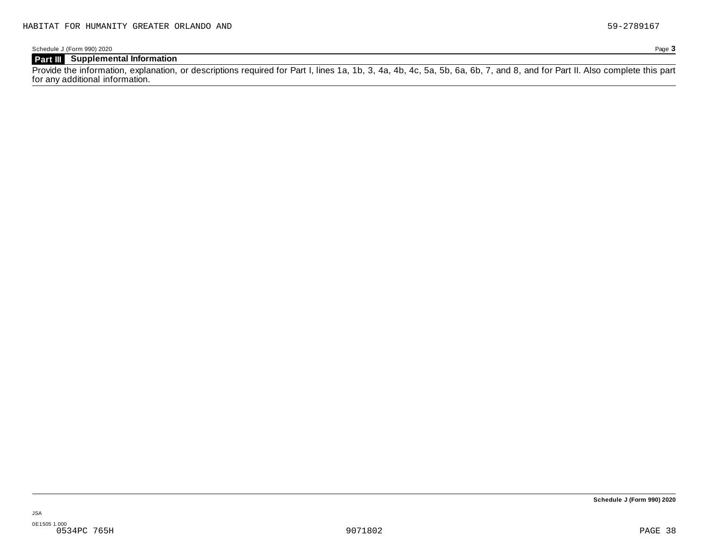Schedule J (Form 990) 2020 Page **3**

### **Part III Supplemental Information**

Provide the information, explanation, or descriptions required for Part I, lines 1a, 1b, 3, 4a, 4b, 4c, 5a, 5b, 6a, 6b, 7, and 8, and for Part II. Also complete this part for any additional information.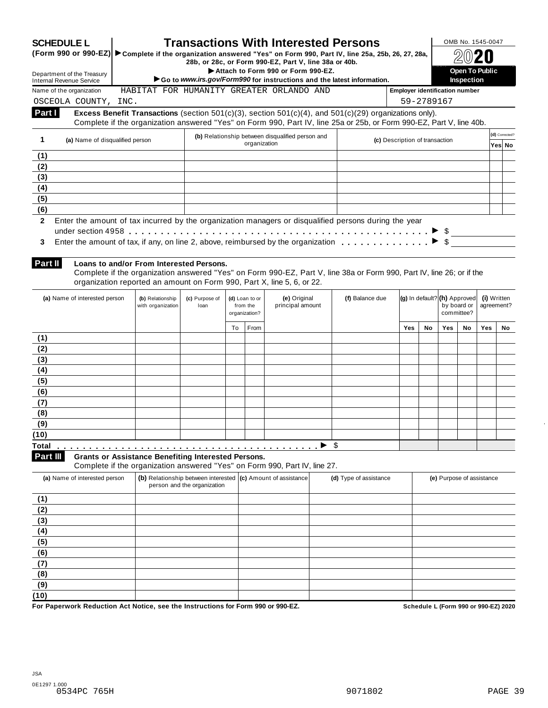|                | <b>SCHEDULE L</b>                                                                                                    |                                                                        |                             |                |              | <b>Transactions With Interested Persons</b>                                                                                                                                                                                    |                        |                                       |                                     |                                  | OMB No. 1545-0047         |             |                |
|----------------|----------------------------------------------------------------------------------------------------------------------|------------------------------------------------------------------------|-----------------------------|----------------|--------------|--------------------------------------------------------------------------------------------------------------------------------------------------------------------------------------------------------------------------------|------------------------|---------------------------------------|-------------------------------------|----------------------------------|---------------------------|-------------|----------------|
|                | (Form 990 or 990-EZ) ► Complete if the organization answered "Yes" on Form 990, Part IV, line 25a, 25b, 26, 27, 28a, |                                                                        |                             |                |              | 28b, or 28c, or Form 990-EZ, Part V, line 38a or 40b.                                                                                                                                                                          |                        |                                       |                                     |                                  |                           |             |                |
|                | Department of the Treasury<br><b>Internal Revenue Service</b>                                                        |                                                                        |                             |                |              | Attach to Form 990 or Form 990-EZ.<br>Go to www.irs.gov/Form990 for instructions and the latest information.                                                                                                                   |                        |                                       | <b>Open To Public</b><br>Inspection |                                  |                           |             |                |
|                | Name of the organization                                                                                             |                                                                        |                             |                |              | HABITAT FOR HUMANITY GREATER ORLANDO AND                                                                                                                                                                                       |                        | <b>Employer identification number</b> |                                     |                                  |                           |             |                |
|                | OSCEOLA COUNTY, INC.                                                                                                 |                                                                        |                             |                |              |                                                                                                                                                                                                                                |                        |                                       | 59-2789167                          |                                  |                           |             |                |
| Part I         |                                                                                                                      |                                                                        |                             |                |              | Excess Benefit Transactions (section 501(c)(3), section 501(c)(4), and 501(c)(29) organizations only).<br>Complete if the organization answered "Yes" on Form 990, Part IV, line 25a or 25b, or Form 990-EZ, Part V, line 40b. |                        |                                       |                                     |                                  |                           |             |                |
| $\mathbf 1$    | (a) Name of disqualified person                                                                                      |                                                                        |                             |                | organization | (b) Relationship between disqualified person and                                                                                                                                                                               |                        | (c) Description of transaction        |                                     |                                  |                           |             | (d) Corrected? |
| (1)            |                                                                                                                      |                                                                        |                             |                |              |                                                                                                                                                                                                                                |                        |                                       |                                     |                                  |                           |             | Yes No         |
| (2)            |                                                                                                                      |                                                                        |                             |                |              |                                                                                                                                                                                                                                |                        |                                       |                                     |                                  |                           |             |                |
| (3)            |                                                                                                                      |                                                                        |                             |                |              |                                                                                                                                                                                                                                |                        |                                       |                                     |                                  |                           |             |                |
| (4)            |                                                                                                                      |                                                                        |                             |                |              |                                                                                                                                                                                                                                |                        |                                       |                                     |                                  |                           |             |                |
| (5)            |                                                                                                                      |                                                                        |                             |                |              |                                                                                                                                                                                                                                |                        |                                       |                                     |                                  |                           |             |                |
| (6)            |                                                                                                                      |                                                                        |                             |                |              |                                                                                                                                                                                                                                |                        |                                       |                                     |                                  |                           |             |                |
| $\overline{2}$ | Enter the amount of tax incurred by the organization managers or disqualified persons during the year                |                                                                        |                             |                |              |                                                                                                                                                                                                                                |                        |                                       |                                     |                                  |                           |             |                |
|                |                                                                                                                      |                                                                        |                             |                |              |                                                                                                                                                                                                                                |                        |                                       |                                     |                                  |                           |             |                |
| 3              | Enter the amount of tax, if any, on line 2, above, reimbursed by the organization $\ldots \ldots \ldots$             |                                                                        |                             |                |              |                                                                                                                                                                                                                                |                        |                                       |                                     |                                  |                           |             |                |
|                |                                                                                                                      |                                                                        |                             |                |              |                                                                                                                                                                                                                                |                        |                                       |                                     |                                  |                           |             |                |
| Part II        |                                                                                                                      | Loans to and/or From Interested Persons.                               |                             |                |              |                                                                                                                                                                                                                                |                        |                                       |                                     |                                  |                           |             |                |
|                |                                                                                                                      | organization reported an amount on Form 990, Part X, line 5, 6, or 22. |                             |                |              | Complete if the organization answered "Yes" on Form 990-EZ, Part V, line 38a or Form 990, Part IV, line 26; or if the                                                                                                          |                        |                                       |                                     |                                  |                           |             |                |
|                | (a) Name of interested person                                                                                        | (b) Relationship                                                       | (c) Purpose of              | (d) Loan to or |              | (e) Original                                                                                                                                                                                                                   | (f) Balance due        |                                       |                                     | $(g)$ In default? $(h)$ Approved |                           | (i) Written |                |
|                |                                                                                                                      | with organization                                                      | loan                        | from the       |              | principal amount                                                                                                                                                                                                               |                        |                                       |                                     |                                  | by board or               | agreement?  |                |
|                |                                                                                                                      |                                                                        |                             | organization?  |              |                                                                                                                                                                                                                                |                        |                                       |                                     |                                  | committee?                |             |                |
|                |                                                                                                                      |                                                                        |                             | To             | From         |                                                                                                                                                                                                                                |                        | <b>Yes</b>                            | No                                  | <b>Yes</b>                       | No                        | Yes         | No             |
| (1)            |                                                                                                                      |                                                                        |                             |                |              |                                                                                                                                                                                                                                |                        |                                       |                                     |                                  |                           |             |                |
| (2)            |                                                                                                                      |                                                                        |                             |                |              |                                                                                                                                                                                                                                |                        |                                       |                                     |                                  |                           |             |                |
| (3)            |                                                                                                                      |                                                                        |                             |                |              |                                                                                                                                                                                                                                |                        |                                       |                                     |                                  |                           |             |                |
| (4)            |                                                                                                                      |                                                                        |                             |                |              |                                                                                                                                                                                                                                |                        |                                       |                                     |                                  |                           |             |                |
| (5)            |                                                                                                                      |                                                                        |                             |                |              |                                                                                                                                                                                                                                |                        |                                       |                                     |                                  |                           |             |                |
| (6)            |                                                                                                                      |                                                                        |                             |                |              |                                                                                                                                                                                                                                |                        |                                       |                                     |                                  |                           |             |                |
| (7)<br>(8)     |                                                                                                                      |                                                                        |                             |                |              |                                                                                                                                                                                                                                |                        |                                       |                                     |                                  |                           |             |                |
| (9)            |                                                                                                                      |                                                                        |                             |                |              |                                                                                                                                                                                                                                |                        |                                       |                                     |                                  |                           |             |                |
| (10)           |                                                                                                                      |                                                                        |                             |                |              |                                                                                                                                                                                                                                |                        |                                       |                                     |                                  |                           |             |                |
| Total          |                                                                                                                      |                                                                        |                             |                |              |                                                                                                                                                                                                                                | \$                     |                                       |                                     |                                  |                           |             |                |
| Part III       |                                                                                                                      | <b>Grants or Assistance Benefiting Interested Persons.</b>             |                             |                |              |                                                                                                                                                                                                                                |                        |                                       |                                     |                                  |                           |             |                |
|                |                                                                                                                      |                                                                        |                             |                |              | Complete if the organization answered "Yes" on Form 990, Part IV, line 27.                                                                                                                                                     |                        |                                       |                                     |                                  |                           |             |                |
|                | (a) Name of interested person                                                                                        |                                                                        | person and the organization |                |              | (b) Relationship between interested (c) Amount of assistance                                                                                                                                                                   | (d) Type of assistance |                                       |                                     |                                  | (e) Purpose of assistance |             |                |
| (1)            |                                                                                                                      |                                                                        |                             |                |              |                                                                                                                                                                                                                                |                        |                                       |                                     |                                  |                           |             |                |
| (2)            |                                                                                                                      |                                                                        |                             |                |              |                                                                                                                                                                                                                                |                        |                                       |                                     |                                  |                           |             |                |
| (3)            |                                                                                                                      |                                                                        |                             |                |              |                                                                                                                                                                                                                                |                        |                                       |                                     |                                  |                           |             |                |
| (4)            |                                                                                                                      |                                                                        |                             |                |              |                                                                                                                                                                                                                                |                        |                                       |                                     |                                  |                           |             |                |
| (5)            |                                                                                                                      |                                                                        |                             |                |              |                                                                                                                                                                                                                                |                        |                                       |                                     |                                  |                           |             |                |
| (6)            |                                                                                                                      |                                                                        |                             |                |              |                                                                                                                                                                                                                                |                        |                                       |                                     |                                  |                           |             |                |
| (7)            |                                                                                                                      |                                                                        |                             |                |              |                                                                                                                                                                                                                                |                        |                                       |                                     |                                  |                           |             |                |
| (8)            |                                                                                                                      |                                                                        |                             |                |              |                                                                                                                                                                                                                                |                        |                                       |                                     |                                  |                           |             |                |
|                |                                                                                                                      |                                                                        |                             |                |              |                                                                                                                                                                                                                                |                        |                                       |                                     |                                  |                           |             |                |
| (9)<br>(10)    |                                                                                                                      |                                                                        |                             |                |              |                                                                                                                                                                                                                                |                        |                                       |                                     |                                  |                           |             |                |

For Paperwork Reduction Act Notice, see the Instructions for Form 990 or 990-EZ. Schedule L (Form 990 or 990-E2) 2020

 $\cdot$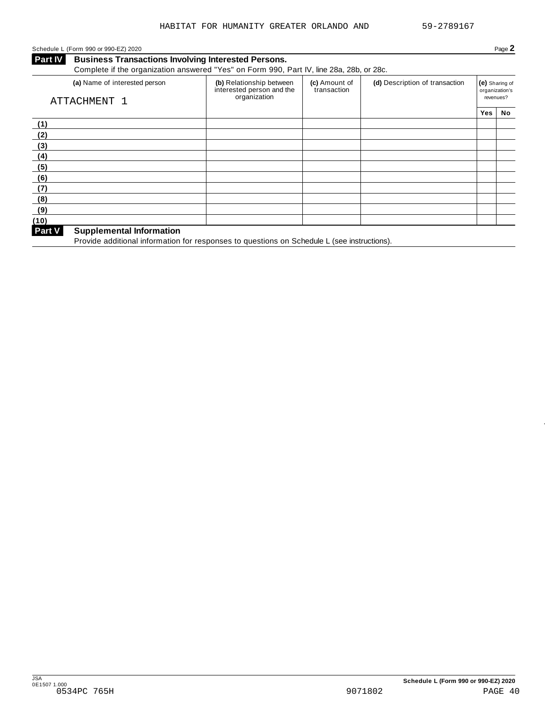### Schedule L (Form 990 or 990-EZ) 2020 Page 2

**Business Transactions Involving Interested Persons. Part IV** Business Transactions Involving Interested Persons.<br>Complete if the organization answered "Yes" on Form 990, Part IV, line 28a, 28b, or 28c.

| $\sim$ 0.11 proton in the original extraction and notice and out of order $\sim$ 0.011 proton and $\sim$ 0.011 proton in the $\sim$ |                                                                       |                              |                                |            |                                  |
|-------------------------------------------------------------------------------------------------------------------------------------|-----------------------------------------------------------------------|------------------------------|--------------------------------|------------|----------------------------------|
| (a) Name of interested person<br>ATTACHMENT 1                                                                                       | (b) Relationship between<br>interested person and the<br>organization | (c) Amount of<br>transaction | (d) Description of transaction | revenues?  | (e) Sharing of<br>organization's |
|                                                                                                                                     |                                                                       |                              |                                | <b>Yes</b> | No                               |
| (1)                                                                                                                                 |                                                                       |                              |                                |            |                                  |
| (2)                                                                                                                                 |                                                                       |                              |                                |            |                                  |
| (3)                                                                                                                                 |                                                                       |                              |                                |            |                                  |
| (4)                                                                                                                                 |                                                                       |                              |                                |            |                                  |
| (5)                                                                                                                                 |                                                                       |                              |                                |            |                                  |
| (6)                                                                                                                                 |                                                                       |                              |                                |            |                                  |
| (7)                                                                                                                                 |                                                                       |                              |                                |            |                                  |
| (8)                                                                                                                                 |                                                                       |                              |                                |            |                                  |
| (9)                                                                                                                                 |                                                                       |                              |                                |            |                                  |
| (10)                                                                                                                                |                                                                       |                              |                                |            |                                  |
| Part V<br><b>Supplemental Information</b>                                                                                           |                                                                       |                              |                                |            |                                  |

Provide additional information for responses to questions on Schedule L (see instructions).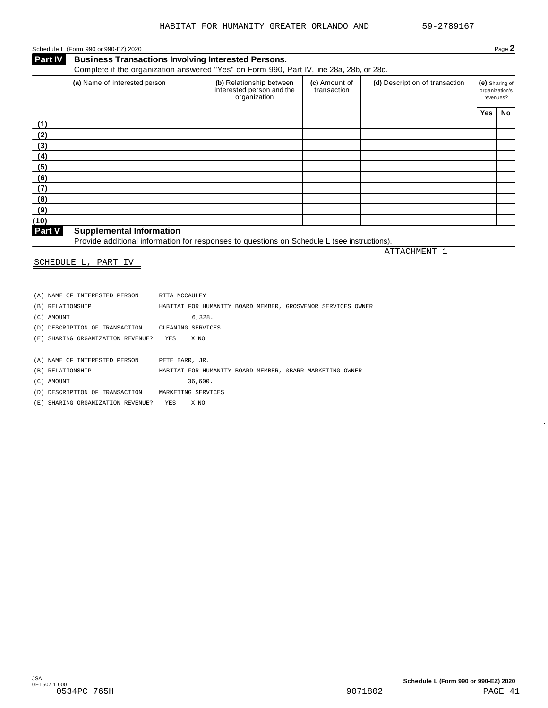### <span id="page-38-0"></span>Schedule L (Form 990 or 990-EZ) 2020 Page 2

**Business Transactions Involving Interested Persons. Part IV** Business Transactions Involving Interested Persons.<br>Complete if the organization answered "Yes" on Form 990, Part IV, line 28a, 28b, or 28c

|      | Complete in the eigenization anowered free only only see, i art iv, line zoa, zoo, or zoo. |                                                                       |  |                                |     |                                               |  |
|------|--------------------------------------------------------------------------------------------|-----------------------------------------------------------------------|--|--------------------------------|-----|-----------------------------------------------|--|
|      | (a) Name of interested person                                                              | (b) Relationship between<br>interested person and the<br>organization |  | (d) Description of transaction |     | (e) Sharing of<br>organization's<br>revenues? |  |
|      |                                                                                            |                                                                       |  |                                | Yes | No                                            |  |
| (1)  |                                                                                            |                                                                       |  |                                |     |                                               |  |
| (2)  |                                                                                            |                                                                       |  |                                |     |                                               |  |
| (3)  |                                                                                            |                                                                       |  |                                |     |                                               |  |
| (4)  |                                                                                            |                                                                       |  |                                |     |                                               |  |
| (5)  |                                                                                            |                                                                       |  |                                |     |                                               |  |
| (6)  |                                                                                            |                                                                       |  |                                |     |                                               |  |
| (7)  |                                                                                            |                                                                       |  |                                |     |                                               |  |
| (8)  |                                                                                            |                                                                       |  |                                |     |                                               |  |
| (9)  |                                                                                            |                                                                       |  |                                |     |                                               |  |
| (10) |                                                                                            |                                                                       |  |                                |     |                                               |  |

#### **Supplemental Information**

**Part V** Supplemental Information<br>Provide additional information for responses to questions on Schedule L (see instructions). ATTACHMENT 1

SCHEDULE L, PART IV

| (A) NAME OF INTERESTED PERSON FITA MCCAULEY       |                                                             |
|---------------------------------------------------|-------------------------------------------------------------|
| (B) RELATIONSHIP                                  | HABITAT FOR HUMANITY BOARD MEMBER, GROSVENOR SERVICES OWNER |
| (C) AMOUNT                                        | 6.328.                                                      |
| (D) DESCRIPTION OF TRANSACTION CLEANING SERVICES  |                                                             |
| (E) SHARING ORGANIZATION REVENUE? YES X NO        |                                                             |
|                                                   |                                                             |
| (A) NAME OF INTERESTED PERSON PETE BARR, JR.      |                                                             |
| (B) RELATIONSHIP                                  | HABITAT FOR HUMANITY BOARD MEMBER, & BARR MARKETING OWNER   |
| (C) AMOUNT                                        | 36.600.                                                     |
| (D) DESCRIPTION OF TRANSACTION MARKETING SERVICES |                                                             |
| (E) SHARING ORGANIZATION REVENUE? YES X NO        |                                                             |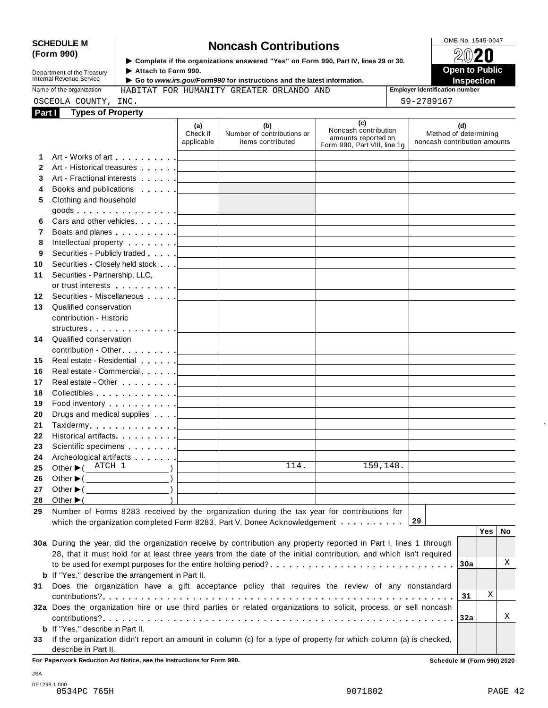# SCHEDULE M<br>
(Form 990) **Supplementary of the organizations answered** "Yes" on Form 990 Part IV lines 29 or 30

**Department of the Treasury<br>Internal Revenue Service** 

**Examplete** if the organizations answered "Yes" on Form 990, Part Ⅳ, lines 29 or 30. 
<br>
■ **Open to Public** Internal Revenue Service **Open to Public** I **Go to** *www.irs.gov/Form990* **for instructions and the latest information. Inspection**

Name of the organization **Employer identification number** HABITAT FOR HUMANITY GREATER ORLANDO AND

|                 | unulini ton hommulti onulinin onulining mo |  |  |            |
|-----------------|--------------------------------------------|--|--|------------|
| OSCEOLA COUNTY, | INC.                                       |  |  | 59-2789167 |

| Part I       | <b>Types of Property</b>                                                                                                                                                                                                       |                               |                                                                                           |                                                                                    |                                                              |
|--------------|--------------------------------------------------------------------------------------------------------------------------------------------------------------------------------------------------------------------------------|-------------------------------|-------------------------------------------------------------------------------------------|------------------------------------------------------------------------------------|--------------------------------------------------------------|
|              |                                                                                                                                                                                                                                | (a)<br>Check if<br>applicable | (b)<br>Number of contributions or<br>items contributed                                    | (c)<br>Noncash contribution<br>amounts reported on<br>Form 990, Part VIII, line 1g | (d)<br>Method of determining<br>noncash contribution amounts |
| 1.           |                                                                                                                                                                                                                                |                               |                                                                                           |                                                                                    |                                                              |
| $\mathbf{2}$ |                                                                                                                                                                                                                                |                               | <u> 1989 - Johann Barn, amerikansk politiker (</u>                                        |                                                                                    |                                                              |
| 3            |                                                                                                                                                                                                                                |                               |                                                                                           |                                                                                    |                                                              |
| 4            |                                                                                                                                                                                                                                |                               |                                                                                           |                                                                                    |                                                              |
| 5            | Clothing and household                                                                                                                                                                                                         |                               |                                                                                           |                                                                                    |                                                              |
|              |                                                                                                                                                                                                                                |                               |                                                                                           |                                                                                    |                                                              |
| 6            |                                                                                                                                                                                                                                |                               |                                                                                           | <u> 1980 - Johann Barbara, martxa alemaniar a</u>                                  |                                                              |
| 7            | Boats and planes entertainment and planes are all the set of the set of the set of the set of the set of the set of the set of the set of the set of the set of the set of the set of the set of the set of the set of the set |                               |                                                                                           |                                                                                    |                                                              |
| 8            |                                                                                                                                                                                                                                |                               |                                                                                           |                                                                                    |                                                              |
| 9            |                                                                                                                                                                                                                                |                               |                                                                                           |                                                                                    |                                                              |
| 10           |                                                                                                                                                                                                                                |                               | the control of the control of the control of the control of the control of                |                                                                                    |                                                              |
| 11           | Securities - Partnership, LLC,                                                                                                                                                                                                 |                               |                                                                                           |                                                                                    |                                                              |
|              |                                                                                                                                                                                                                                |                               | <u> 1989 - Johann Barn, mars eta inperiodo</u>                                            |                                                                                    |                                                              |
| 12           | Securities - Miscellaneous                                                                                                                                                                                                     |                               |                                                                                           |                                                                                    |                                                              |
| 13           | Qualified conservation                                                                                                                                                                                                         |                               |                                                                                           |                                                                                    |                                                              |
|              | contribution - Historic                                                                                                                                                                                                        |                               |                                                                                           |                                                                                    |                                                              |
|              |                                                                                                                                                                                                                                |                               |                                                                                           |                                                                                    |                                                              |
| 14           | Qualified conservation                                                                                                                                                                                                         |                               |                                                                                           |                                                                                    |                                                              |
|              |                                                                                                                                                                                                                                |                               |                                                                                           |                                                                                    |                                                              |
| 15           |                                                                                                                                                                                                                                |                               |                                                                                           |                                                                                    |                                                              |
| 16           |                                                                                                                                                                                                                                |                               |                                                                                           | the control of the control of the control of the control of                        |                                                              |
| 17           |                                                                                                                                                                                                                                |                               |                                                                                           |                                                                                    |                                                              |
| 18           |                                                                                                                                                                                                                                |                               |                                                                                           |                                                                                    |                                                              |
| 19           | Food inventory $\ldots \ldots \ldots$ . $\Box$                                                                                                                                                                                 |                               |                                                                                           |                                                                                    |                                                              |
| 20           | Drugs and medical supplies equal to the state of the state of the state of the state of the state of the state of the state of the state of the state of the state of the state of the state of the state of the state of the  |                               |                                                                                           |                                                                                    |                                                              |
| 21           |                                                                                                                                                                                                                                |                               |                                                                                           |                                                                                    |                                                              |
| 22           |                                                                                                                                                                                                                                |                               |                                                                                           |                                                                                    |                                                              |
| 23           |                                                                                                                                                                                                                                |                               |                                                                                           |                                                                                    |                                                              |
| 24           | Archeological artifacts <u>  _ _ _ _ _   _ _ _ _ _ _ _ _ _ _</u>                                                                                                                                                               |                               |                                                                                           |                                                                                    |                                                              |
| 25           | Other $\blacktriangleright$ ( ATCH 1<br>$\overline{\phantom{a}}$                                                                                                                                                               |                               | $\overline{1}14.$                                                                         | 159,148.                                                                           |                                                              |
| 26           | Other $\blacktriangleright$ ( $\_\_\_\_\_\_\_\_\$ )                                                                                                                                                                            |                               | <u> 1990 - Johann Barbara, martin a</u>                                                   |                                                                                    |                                                              |
| 27           | Other $\blacktriangleright$ ( $\_\_\_\_\_\_\_\_$ )                                                                                                                                                                             |                               | the contract of the contract of the contract of the contract of the contract of           |                                                                                    |                                                              |
|              | 28 Other $\blacktriangleright$ (                                                                                                                                                                                               |                               | the control of the control of the control of the control of the control of the control of |                                                                                    |                                                              |
|              | 29 Number of Forms 8283 received by the organization during the tax year for contributions for                                                                                                                                 |                               |                                                                                           |                                                                                    |                                                              |
|              |                                                                                                                                                                                                                                |                               |                                                                                           |                                                                                    | 29                                                           |
|              | which the organization completed Form 8283, Part V, Donee Acknowledgement                                                                                                                                                      |                               |                                                                                           |                                                                                    | Yes  <br>No                                                  |
|              | 30a During the year, did the organization receive by contribution any property reported in Part I, lines 1 through                                                                                                             |                               |                                                                                           |                                                                                    |                                                              |
|              | 28, that it must hold for at least three years from the date of the initial contribution, and which isn't required                                                                                                             |                               |                                                                                           |                                                                                    |                                                              |
|              |                                                                                                                                                                                                                                |                               |                                                                                           |                                                                                    | Χ<br>30a                                                     |
|              |                                                                                                                                                                                                                                |                               |                                                                                           |                                                                                    |                                                              |
|              | <b>b</b> If "Yes," describe the arrangement in Part II.                                                                                                                                                                        |                               |                                                                                           |                                                                                    |                                                              |
| 31           | Does the organization have a gift acceptance policy that requires the review of any nonstandard                                                                                                                                |                               |                                                                                           |                                                                                    | Χ                                                            |
|              |                                                                                                                                                                                                                                |                               |                                                                                           |                                                                                    | 31                                                           |
|              | 32a Does the organization hire or use third parties or related organizations to solicit, process, or sell noncash                                                                                                              |                               |                                                                                           |                                                                                    | Χ                                                            |
|              |                                                                                                                                                                                                                                |                               |                                                                                           |                                                                                    | 32a                                                          |
|              | <b>b</b> If "Yes," describe in Part II.                                                                                                                                                                                        |                               |                                                                                           |                                                                                    |                                                              |
| 33           | If the organization didn't report an amount in column (c) for a type of property for which column (a) is checked,<br>describe in Part II.                                                                                      |                               |                                                                                           |                                                                                    |                                                              |

**For Paperwork Reduction Act Notice, see the Instructions for Form 990. Schedule M (Form 990) 2020**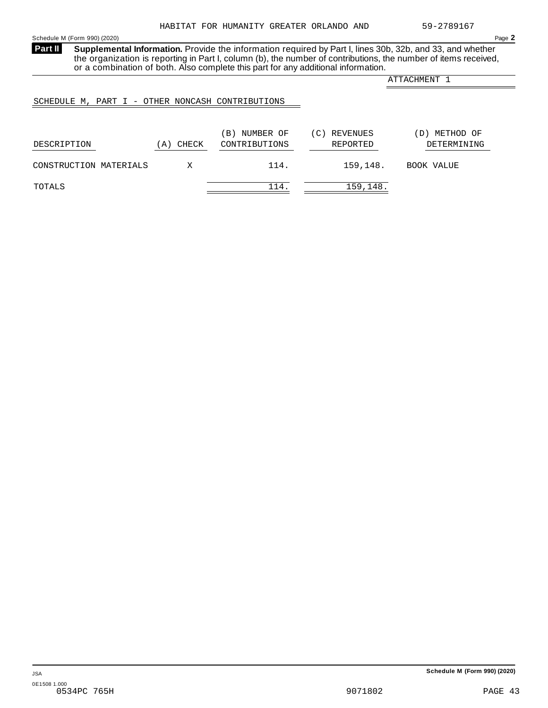<span id="page-40-0"></span>Schedule M (Form 990) (2020) Page **2**

**Supplemental Information.** Provide the information required by Part I, lines 30b, 32b, and 33, and whether the organization is reporting in Part I, column (b), the number of contributions, the number of items received, or a combination of both. Also complete this part for any additional information. **Part II**

ATTACHMENT 1

### SCHEDULE M, PART I - OTHER NONCASH CONTRIBUTIONS

| DESCRIPTION            | CHECK<br>A | NUMBER OF<br>$\Delta$ B)<br>CONTRIBUTIONS | REVENUES<br>(C)<br>REPORTED | METHOD OF<br>D)<br>DETERMINING |
|------------------------|------------|-------------------------------------------|-----------------------------|--------------------------------|
| CONSTRUCTION MATERIALS | Χ          | 114.                                      | 159,148.                    | BOOK VALUE                     |
| TOTALS                 |            | 114                                       | 159,148.                    |                                |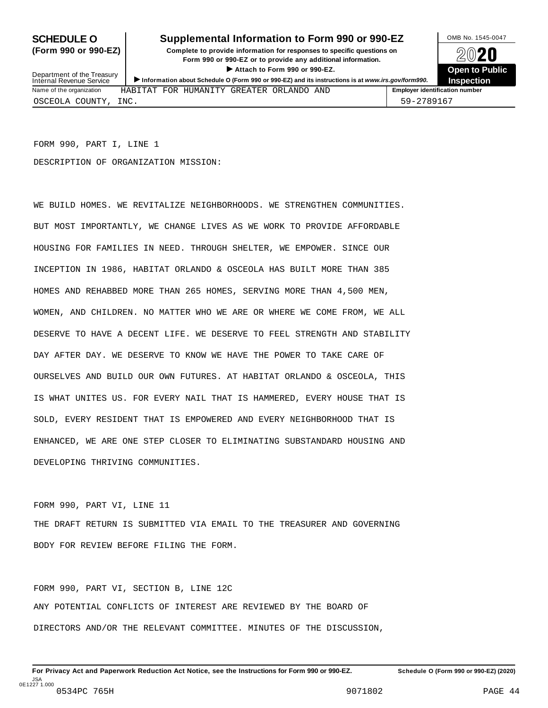### **SCHEDULE O** Supplemental Information to Form 990 or 990-EZ DAMB No. 1545-0047

**(Form 990 or 990-EZ) Complete to provide information for responses to specific questions on** plete to provide information for responses to specific questions on  $\bigotimes_{\mathbb{Z}}\mathbb{Q}$  20 **EVECT**<br>
Attach to Form 990 or 990-EZ.<br>
and the Communication of the Communication of the Communication of the Communication of the Communication of the Communication of the Communication of the Communication of the Commu > Attach to Form 990 or 990-EZ.<br>Information about Schedule O (Form 990 or 990-EZ) and its instructions is at www.irs.gov/form990. Inspection



Department of the Treasury<br>Internal Revenue Service

|                          |             |  |                                | .                                     |
|--------------------------|-------------|--|--------------------------------|---------------------------------------|
| Name of the organization | HABITAT FOR |  | . HUMANITY GREATER ORLANDO AND | <b>Employer identification number</b> |
| OSCEOLA COUNTY           | INC.        |  |                                | 59-2789167                            |

FORM 990, PART I, LINE 1 DESCRIPTION OF ORGANIZATION MISSION:

WE BUILD HOMES. WE REVITALIZE NEIGHBORHOODS. WE STRENGTHEN COMMUNITIES. BUT MOST IMPORTANTLY, WE CHANGE LIVES AS WE WORK TO PROVIDE AFFORDABLE HOUSING FOR FAMILIES IN NEED. THROUGH SHELTER, WE EMPOWER. SINCE OUR INCEPTION IN 1986, HABITAT ORLANDO & OSCEOLA HAS BUILT MORE THAN 385 HOMES AND REHABBED MORE THAN 265 HOMES, SERVING MORE THAN 4,500 MEN, WOMEN, AND CHILDREN. NO MATTER WHO WE ARE OR WHERE WE COME FROM, WE ALL DESERVE TO HAVE A DECENT LIFE. WE DESERVE TO FEEL STRENGTH AND STABILITY DAY AFTER DAY. WE DESERVE TO KNOW WE HAVE THE POWER TO TAKE CARE OF OURSELVES AND BUILD OUR OWN FUTURES. AT HABITAT ORLANDO & OSCEOLA, THIS IS WHAT UNITES US. FOR EVERY NAIL THAT IS HAMMERED, EVERY HOUSE THAT IS SOLD, EVERY RESIDENT THAT IS EMPOWERED AND EVERY NEIGHBORHOOD THAT IS ENHANCED, WE ARE ONE STEP CLOSER TO ELIMINATING SUBSTANDARD HOUSING AND DEVELOPING THRIVING COMMUNITIES.

FORM 990, PART VI, LINE 11 THE DRAFT RETURN IS SUBMITTED VIA EMAIL TO THE TREASURER AND GOVERNING BODY FOR REVIEW BEFORE FILING THE FORM.

FORM 990, PART VI, SECTION B, LINE 12C ANY POTENTIAL CONFLICTS OF INTEREST ARE REVIEWED BY THE BOARD OF DIRECTORS AND/OR THE RELEVANT COMMITTEE. MINUTES OF THE DISCUSSION,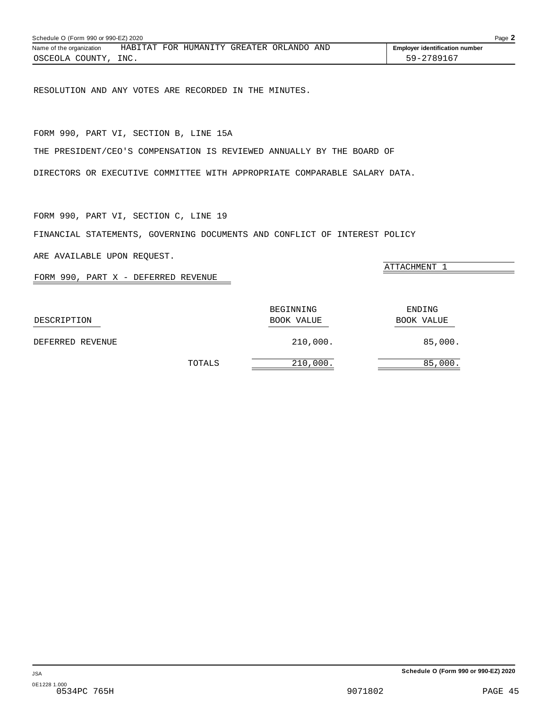<span id="page-42-0"></span>

| Schedule O (Form 990 or 990-EZ) 2020 |  |  |                                          |  |  | Page 2                                |  |
|--------------------------------------|--|--|------------------------------------------|--|--|---------------------------------------|--|
| Name of the organization             |  |  | HABITAT FOR HUMANITY GREATER ORLANDO AND |  |  | <b>Employer identification number</b> |  |
| OSCEOLA COUNTY, INC.                 |  |  |                                          |  |  | 59-2789167                            |  |

RESOLUTION AND ANY VOTES ARE RECORDED IN THE MINUTES.

FORM 990, PART VI, SECTION B, LINE 15A

THE PRESIDENT/CEO'S COMPENSATION IS REVIEWED ANNUALLY BY THE BOARD OF

DIRECTORS OR EXECUTIVE COMMITTEE WITH APPROPRIATE COMPARABLE SALARY DATA.

FORM 990, PART VI, SECTION C, LINE 19

FINANCIAL STATEMENTS, GOVERNING DOCUMENTS AND CONFLICT OF INTEREST POLICY

ARE AVAILABLE UPON REQUEST.

FORM 990, PART X - DEFERRED REVENUE

BEGINNING ENDING DESCRIPTION BOOK VALUE BOOK VALUE DEFERRED REVENUE 210,000. 85,000. TOTALS 210,000. 85,000.

ATTACHMENT 1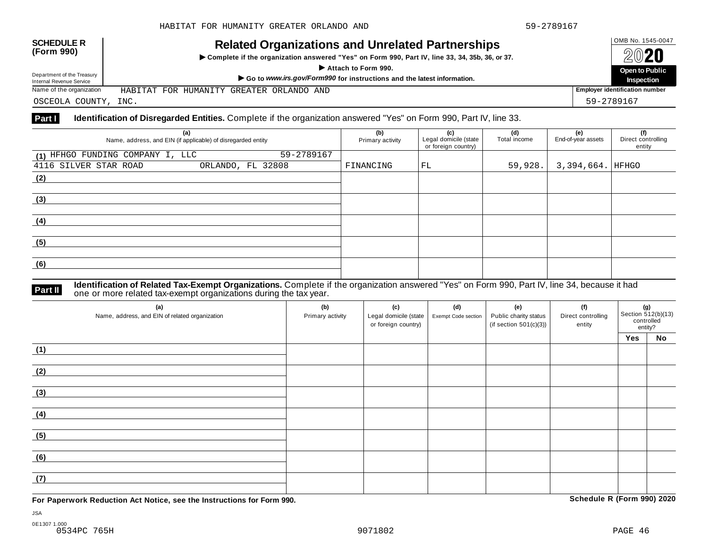## OMB No. 1545-0047 **SCHEDULE R (Form 990) Related Organizations and Unrelated Partnerships**

 $\triangleright$  Complete if the organization answered "Yes" on Form 990, Part IV, line 33, 34, 35b, 36, or 37.



Department of the Treasury

Department of the Treasury Departo Public<br>Internal Revenue Service Marketing of the Treasury Marketing of the United Service of the Departo Public<br>Name of the organization HABITAT FOR HUMANITY GREATER ORLANDO AND Repection HABITAT FOR HUMANITY GREATER ORLANDO AND

OSCEOLA COUNTY, INC. 59-2789167

#### **Part I Identification of Disregarded Entities.** Complete if the organization answered "Yes" on Form 990, Part IV, line 33.

| (a)<br>Name, address, and EIN (if applicable) of disregarded entity | (b)<br>Primary activity | (c)<br>Legal domicile (state<br>or foreign country) | (d)<br>Total income | (e)<br>End-of-year assets | (f)<br>Direct controlling<br>entity |
|---------------------------------------------------------------------|-------------------------|-----------------------------------------------------|---------------------|---------------------------|-------------------------------------|
| 59-2789167<br>(1) HFHGO FUNDING COMPANY I, LLC                      |                         |                                                     |                     |                           |                                     |
| 4116 SILVER STAR ROAD<br>ORLANDO, FL 32808                          | FINANCING               | FL                                                  | 59,928.             | 3,394,664.  HFHGO         |                                     |
| (2)                                                                 |                         |                                                     |                     |                           |                                     |
|                                                                     |                         |                                                     |                     |                           |                                     |
| (3)                                                                 |                         |                                                     |                     |                           |                                     |
|                                                                     |                         |                                                     |                     |                           |                                     |
| (4)                                                                 |                         |                                                     |                     |                           |                                     |
|                                                                     |                         |                                                     |                     |                           |                                     |
| (5)                                                                 |                         |                                                     |                     |                           |                                     |
|                                                                     |                         |                                                     |                     |                           |                                     |
| (6)                                                                 |                         |                                                     |                     |                           |                                     |
|                                                                     |                         |                                                     |                     |                           |                                     |

**Identification of Related Tax-Exempt Organizations.** Complete if the organization answered "Yes" on Form 990, Part IV, line 34, because it had **Part II** one or more related tax-exempt organizations during the tax year.

| (a)<br>Name, address, and EIN of related organization | (b)<br>Primary activity | (c)<br>Legal domicile (state<br>or foreign country) | (d)<br>Exempt Code section | (e)<br>Public charity status<br>(if section $501(c)(3)$ ) | (f)<br>Direct controlling<br>entity | <b>(g)</b><br>Section 512(b)(13)<br>controlled<br>entity? |    |
|-------------------------------------------------------|-------------------------|-----------------------------------------------------|----------------------------|-----------------------------------------------------------|-------------------------------------|-----------------------------------------------------------|----|
|                                                       |                         |                                                     |                            |                                                           |                                     | Yes                                                       | No |
| (1)                                                   |                         |                                                     |                            |                                                           |                                     |                                                           |    |
| (2)                                                   |                         |                                                     |                            |                                                           |                                     |                                                           |    |
| (3)                                                   |                         |                                                     |                            |                                                           |                                     |                                                           |    |
| (4)                                                   |                         |                                                     |                            |                                                           |                                     |                                                           |    |
| (5)                                                   |                         |                                                     |                            |                                                           |                                     |                                                           |    |
| (6)                                                   |                         |                                                     |                            |                                                           |                                     |                                                           |    |
| (7)                                                   |                         |                                                     |                            |                                                           |                                     |                                                           |    |

**For Paperwork Reduction Act Notice, see the Instructions for Form 990. Schedule R (Form 990) 2020**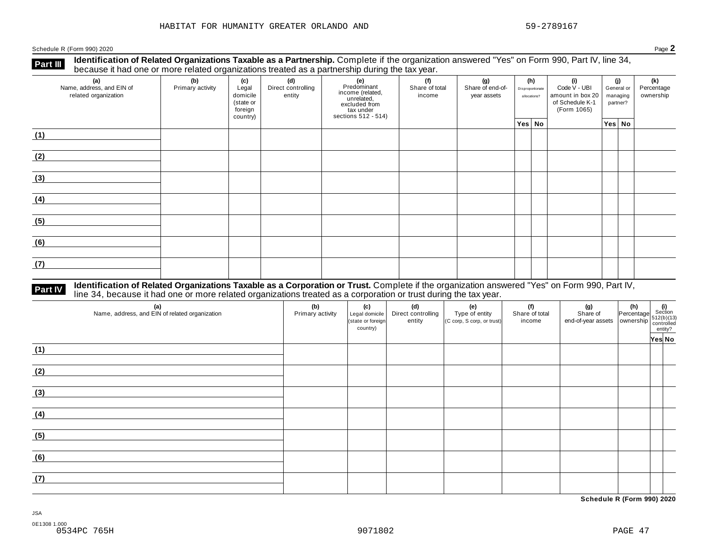Schedule <sup>R</sup> (Form 990) <sup>2020</sup> Page **2**

**Identification of Related Organizations Taxable as a Partnership.** Complete if the organization answered "Yes" on Form 990, Part IV, line 34, **because it had one or more related organizations Taxable as a Partnership.** Complete if the organization of Related organizations treated as a partnership during the tax year.

| (a)<br>Name, address, and EIN of<br>related organization | ັ<br>(b)<br>Primary activity | (c)<br>Legal<br>domicile<br>(state or<br>foreign<br>country) | .<br>(d)<br>Direct controlling<br>entity | ັ<br>(e)<br>Predominant<br>income (related,<br>unrelated,<br>excluded from<br>tax under<br>sections 512 - 514) | (f)<br>Share of total<br>income | (g)<br>Share of end-of-<br>year assets | (h)<br>Disproportionate<br>allocations? | (i)<br>Code V - UBI<br>amount in box 20<br>of Schedule K-1<br>(Form 1065) |  | (j)<br>General or<br>managing<br>partner? |        | (k)<br>Percentage<br>ownership |
|----------------------------------------------------------|------------------------------|--------------------------------------------------------------|------------------------------------------|----------------------------------------------------------------------------------------------------------------|---------------------------------|----------------------------------------|-----------------------------------------|---------------------------------------------------------------------------|--|-------------------------------------------|--------|--------------------------------|
|                                                          |                              |                                                              |                                          |                                                                                                                |                                 |                                        | Yes No                                  |                                                                           |  |                                           | Yes No |                                |
| (1)                                                      |                              |                                                              |                                          |                                                                                                                |                                 |                                        |                                         |                                                                           |  |                                           |        |                                |
| (2)                                                      |                              |                                                              |                                          |                                                                                                                |                                 |                                        |                                         |                                                                           |  |                                           |        |                                |
| (3)                                                      |                              |                                                              |                                          |                                                                                                                |                                 |                                        |                                         |                                                                           |  |                                           |        |                                |
| (4)                                                      |                              |                                                              |                                          |                                                                                                                |                                 |                                        |                                         |                                                                           |  |                                           |        |                                |
| (5)                                                      |                              |                                                              |                                          |                                                                                                                |                                 |                                        |                                         |                                                                           |  |                                           |        |                                |
| (6)                                                      |                              |                                                              |                                          |                                                                                                                |                                 |                                        |                                         |                                                                           |  |                                           |        |                                |
| (7)                                                      |                              |                                                              |                                          |                                                                                                                |                                 |                                        |                                         |                                                                           |  |                                           |        |                                |

# **Part IV** Identification of Related Organizations Taxable as a Corporation or Trust. Complete if the organization answered "Yes" on Form 990, Part IV,<br>line 34, because it had one or more related organizations treated as a

| (a)<br>Name, address, and EIN of related organization | (b)<br>Primary activity | (c)<br>Legal domicile<br>(state or foreign<br>country) | (d)<br>Direct controlling<br>entity | (e)<br>Type of entity<br>$(C \text{ comp}, S \text{ comp}, \text{ or trust})$ | (f)<br>Share of total<br>income | (g) (h) $\left\{\n \begin{array}{c}\n \text{(g)} \\  \text{Share of } \\  \text{end-of-year assets}\n \end{array}\n \right.\n \right\} \n \begin{array}{c}\n \text{(h)} \\  \text{Percentage} \\  \text{S12(b)(13)} \\  \text{countrolled} \\  \text{entity?}\n \end{array}$ |        |
|-------------------------------------------------------|-------------------------|--------------------------------------------------------|-------------------------------------|-------------------------------------------------------------------------------|---------------------------------|------------------------------------------------------------------------------------------------------------------------------------------------------------------------------------------------------------------------------------------------------------------------------|--------|
| (1)                                                   |                         |                                                        |                                     |                                                                               |                                 |                                                                                                                                                                                                                                                                              | Yes No |
| (2)                                                   |                         |                                                        |                                     |                                                                               |                                 |                                                                                                                                                                                                                                                                              |        |
| (3)                                                   |                         |                                                        |                                     |                                                                               |                                 |                                                                                                                                                                                                                                                                              |        |
| (4)                                                   |                         |                                                        |                                     |                                                                               |                                 |                                                                                                                                                                                                                                                                              |        |
| (5)                                                   |                         |                                                        |                                     |                                                                               |                                 |                                                                                                                                                                                                                                                                              |        |
| (6)                                                   |                         |                                                        |                                     |                                                                               |                                 |                                                                                                                                                                                                                                                                              |        |
| (7)                                                   |                         |                                                        |                                     |                                                                               |                                 |                                                                                                                                                                                                                                                                              |        |

**Schedule R (Form 990) 2020**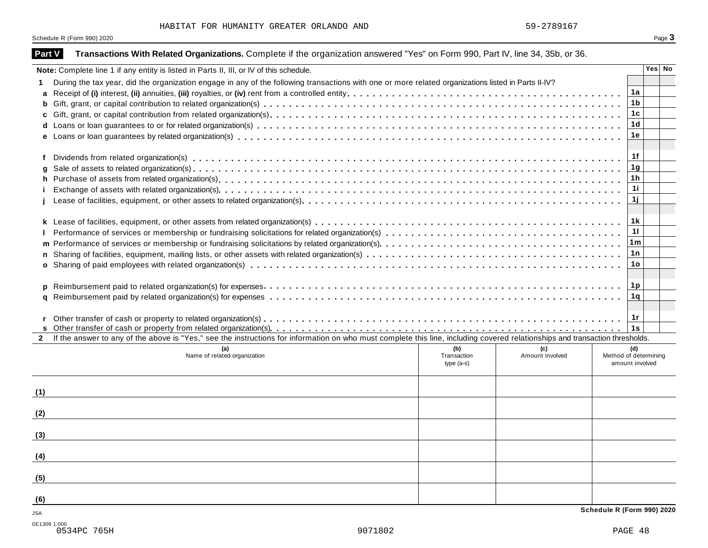Schedule R (Form 990) 2020 Page 3

| <b>Part V</b> | Transactions With Related Organizations. Complete if the organization answered "Yes" on Form 990, Part IV, line 34, 35b, or 36.                                              |                                                        |        |
|---------------|------------------------------------------------------------------------------------------------------------------------------------------------------------------------------|--------------------------------------------------------|--------|
|               | Note: Complete line 1 if any entity is listed in Parts II, III, or IV of this schedule.                                                                                      |                                                        | Yes No |
|               | During the tax year, did the organization engage in any of the following transactions with one or more related organizations listed in Parts II-IV?                          |                                                        |        |
| a             |                                                                                                                                                                              | 1a                                                     |        |
| b             |                                                                                                                                                                              | 1 <sub>b</sub>                                         |        |
|               |                                                                                                                                                                              | 1 <sub>c</sub>                                         |        |
| d             |                                                                                                                                                                              | 1 <sub>d</sub>                                         |        |
|               |                                                                                                                                                                              | 1е                                                     |        |
|               |                                                                                                                                                                              |                                                        |        |
|               |                                                                                                                                                                              | 1f                                                     |        |
|               |                                                                                                                                                                              | 1 <sub>g</sub>                                         |        |
| h             |                                                                                                                                                                              | 1 <sub>h</sub><br>11                                   |        |
|               |                                                                                                                                                                              | 1j                                                     |        |
|               |                                                                                                                                                                              |                                                        |        |
|               |                                                                                                                                                                              | 1k                                                     |        |
|               |                                                                                                                                                                              | 11                                                     |        |
|               |                                                                                                                                                                              | 1m                                                     |        |
|               |                                                                                                                                                                              | 1n                                                     |        |
|               |                                                                                                                                                                              | 1o                                                     |        |
|               |                                                                                                                                                                              |                                                        |        |
|               |                                                                                                                                                                              | 1p                                                     |        |
| a             |                                                                                                                                                                              | 1q                                                     |        |
|               |                                                                                                                                                                              |                                                        |        |
|               |                                                                                                                                                                              | 1r                                                     |        |
|               |                                                                                                                                                                              | 1s                                                     |        |
| $\mathbf{2}$  | If the answer to any of the above is "Yes," see the instructions for information on who must complete this line, including covered relationships and transaction thresholds. |                                                        |        |
|               | (b)<br>(a)<br>Name of related organization<br>Transaction                                                                                                                    | (c)<br>(d)<br>Amount involved<br>Method of determining |        |
|               | $type(a-s)$                                                                                                                                                                  | amount involved                                        |        |
|               |                                                                                                                                                                              |                                                        |        |
|               |                                                                                                                                                                              |                                                        |        |
| (1)           |                                                                                                                                                                              |                                                        |        |
| (2)           |                                                                                                                                                                              |                                                        |        |
|               |                                                                                                                                                                              |                                                        |        |
| (3)           |                                                                                                                                                                              |                                                        |        |
|               |                                                                                                                                                                              |                                                        |        |
| (4)           |                                                                                                                                                                              |                                                        |        |
|               |                                                                                                                                                                              |                                                        |        |
| (5)           |                                                                                                                                                                              |                                                        |        |
|               |                                                                                                                                                                              |                                                        |        |
| (6)           |                                                                                                                                                                              |                                                        |        |
| JSA           |                                                                                                                                                                              | Schedule R (Form 990) 2020                             |        |
|               | 0E1309 1 000                                                                                                                                                                 |                                                        |        |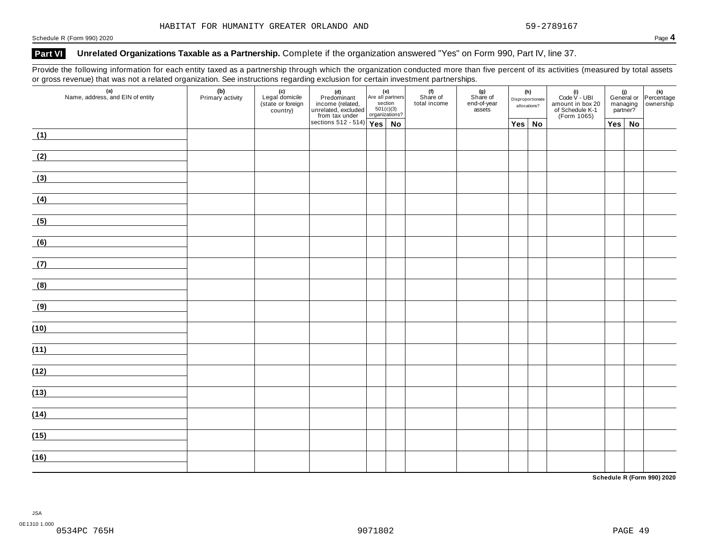### **Part VI Unrelated Organizations Taxable as a Partnership.** Complete if the organization answered "Yes" on Form 990, Part IV, line 37.

Provide the following information for each entity taxed as a partnership through which the organization conducted more than five percent of its activities (measured by total assets or gross revenue) that was not a related organization. See instructions regarding exclusion for certain investment partnerships.

|                                                       |                         |                                                        |                                                                                                                                             |  |  | . .                             |                                          |                                         |        |                                                                           |                                                                |  |  |
|-------------------------------------------------------|-------------------------|--------------------------------------------------------|---------------------------------------------------------------------------------------------------------------------------------------------|--|--|---------------------------------|------------------------------------------|-----------------------------------------|--------|---------------------------------------------------------------------------|----------------------------------------------------------------|--|--|
| (a)<br>Name, address, and EIN of entity               | (b)<br>Primary activity | (c)<br>Legal domicile<br>(state or foreign<br>country) | (d)<br>Predominant<br>income (related, Are all partners<br>unrelated, excluded 501(c)(3)<br>from tax under<br>sections 512 - 514)<br>Yes No |  |  | (f)<br>Share of<br>total income | (g)<br>Share of<br>end-of-year<br>assets | (h)<br>Disproportionate<br>allocations? |        | (i)<br>Code V - UBI<br>amount in box 20<br>of Schedule K-1<br>(Form 1065) | (i)<br>General or Percentage<br>managing ownership<br>partner? |  |  |
|                                                       |                         |                                                        |                                                                                                                                             |  |  |                                 |                                          |                                         | Yes No |                                                                           | $Yes \mid No$                                                  |  |  |
| (1)<br><u>and the state of the state of the state</u> |                         |                                                        |                                                                                                                                             |  |  |                                 |                                          |                                         |        |                                                                           |                                                                |  |  |
| (2)                                                   |                         |                                                        |                                                                                                                                             |  |  |                                 |                                          |                                         |        |                                                                           |                                                                |  |  |
| (3)                                                   |                         |                                                        |                                                                                                                                             |  |  |                                 |                                          |                                         |        |                                                                           |                                                                |  |  |
| (4)                                                   |                         |                                                        |                                                                                                                                             |  |  |                                 |                                          |                                         |        |                                                                           |                                                                |  |  |
| (5)                                                   |                         |                                                        |                                                                                                                                             |  |  |                                 |                                          |                                         |        |                                                                           |                                                                |  |  |
| (6)                                                   |                         |                                                        |                                                                                                                                             |  |  |                                 |                                          |                                         |        |                                                                           |                                                                |  |  |
| (7)                                                   |                         |                                                        |                                                                                                                                             |  |  |                                 |                                          |                                         |        |                                                                           |                                                                |  |  |
| (8)                                                   |                         |                                                        |                                                                                                                                             |  |  |                                 |                                          |                                         |        |                                                                           |                                                                |  |  |
| (9)                                                   |                         |                                                        |                                                                                                                                             |  |  |                                 |                                          |                                         |        |                                                                           |                                                                |  |  |
| (10)                                                  |                         |                                                        |                                                                                                                                             |  |  |                                 |                                          |                                         |        |                                                                           |                                                                |  |  |
| (11)                                                  |                         |                                                        |                                                                                                                                             |  |  |                                 |                                          |                                         |        |                                                                           |                                                                |  |  |
| (12)                                                  |                         |                                                        |                                                                                                                                             |  |  |                                 |                                          |                                         |        |                                                                           |                                                                |  |  |
| (13)                                                  |                         |                                                        |                                                                                                                                             |  |  |                                 |                                          |                                         |        |                                                                           |                                                                |  |  |
|                                                       |                         |                                                        |                                                                                                                                             |  |  |                                 |                                          |                                         |        |                                                                           |                                                                |  |  |
| (14)                                                  |                         |                                                        |                                                                                                                                             |  |  |                                 |                                          |                                         |        |                                                                           |                                                                |  |  |
| (15)                                                  |                         |                                                        |                                                                                                                                             |  |  |                                 |                                          |                                         |        |                                                                           |                                                                |  |  |
| (16)                                                  |                         |                                                        |                                                                                                                                             |  |  |                                 |                                          |                                         |        |                                                                           |                                                                |  |  |

**Schedule R (Form 990) 2020**